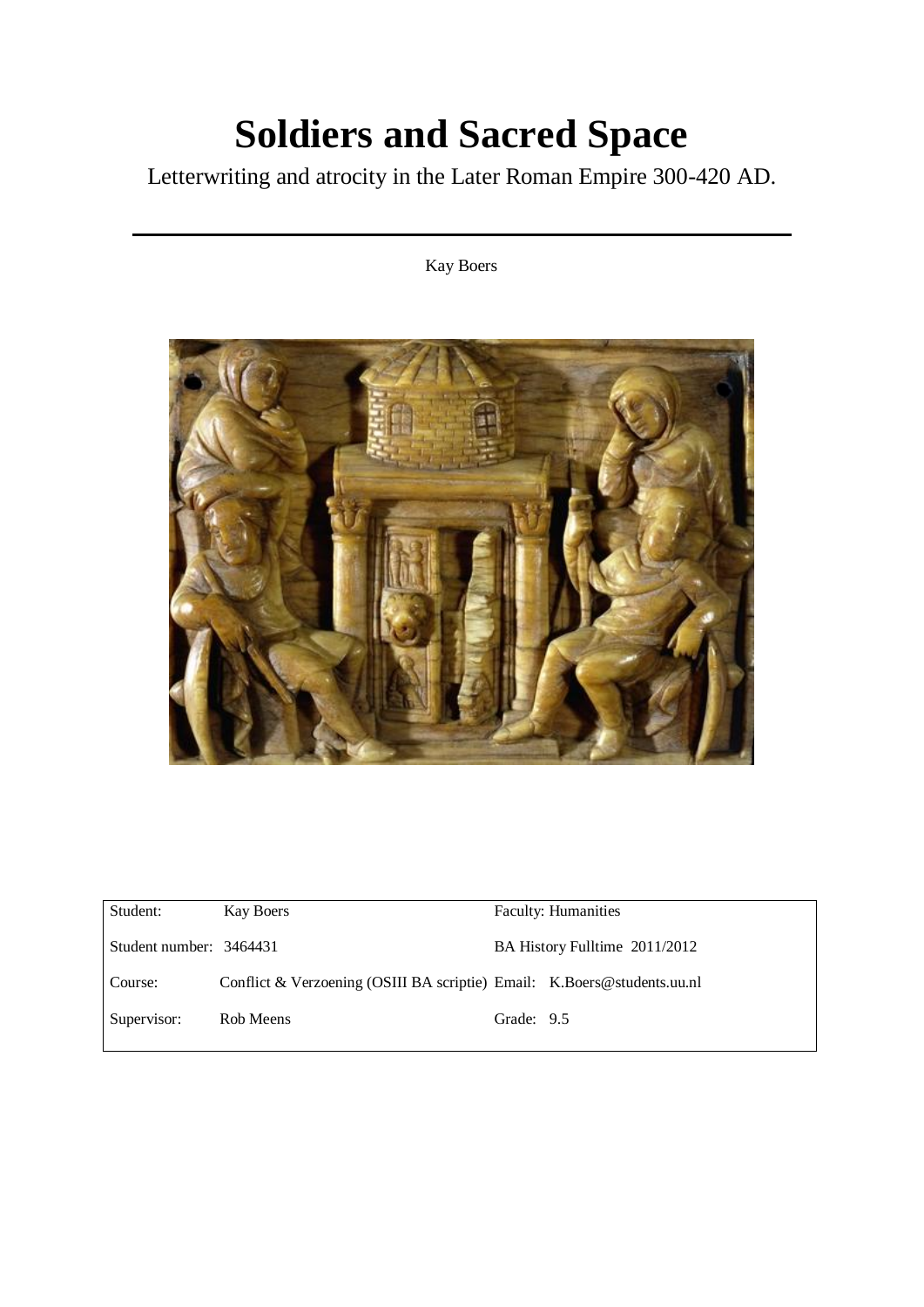# **Soldiers and Sacred Space**

Letterwriting and atrocity in the Later Roman Empire 300-420 AD.

# Kay Boers



| Student:                | Kay Boers                                                               |            | <b>Faculty: Humanities</b>    |
|-------------------------|-------------------------------------------------------------------------|------------|-------------------------------|
| Student number: 3464431 |                                                                         |            | BA History Fulltime 2011/2012 |
| Course:                 | Conflict & Verzoening (OSIII BA scriptie) Email: K.Boers@students.uu.nl |            |                               |
| Supervisor:             | Rob Meens                                                               | Grade: 9.5 |                               |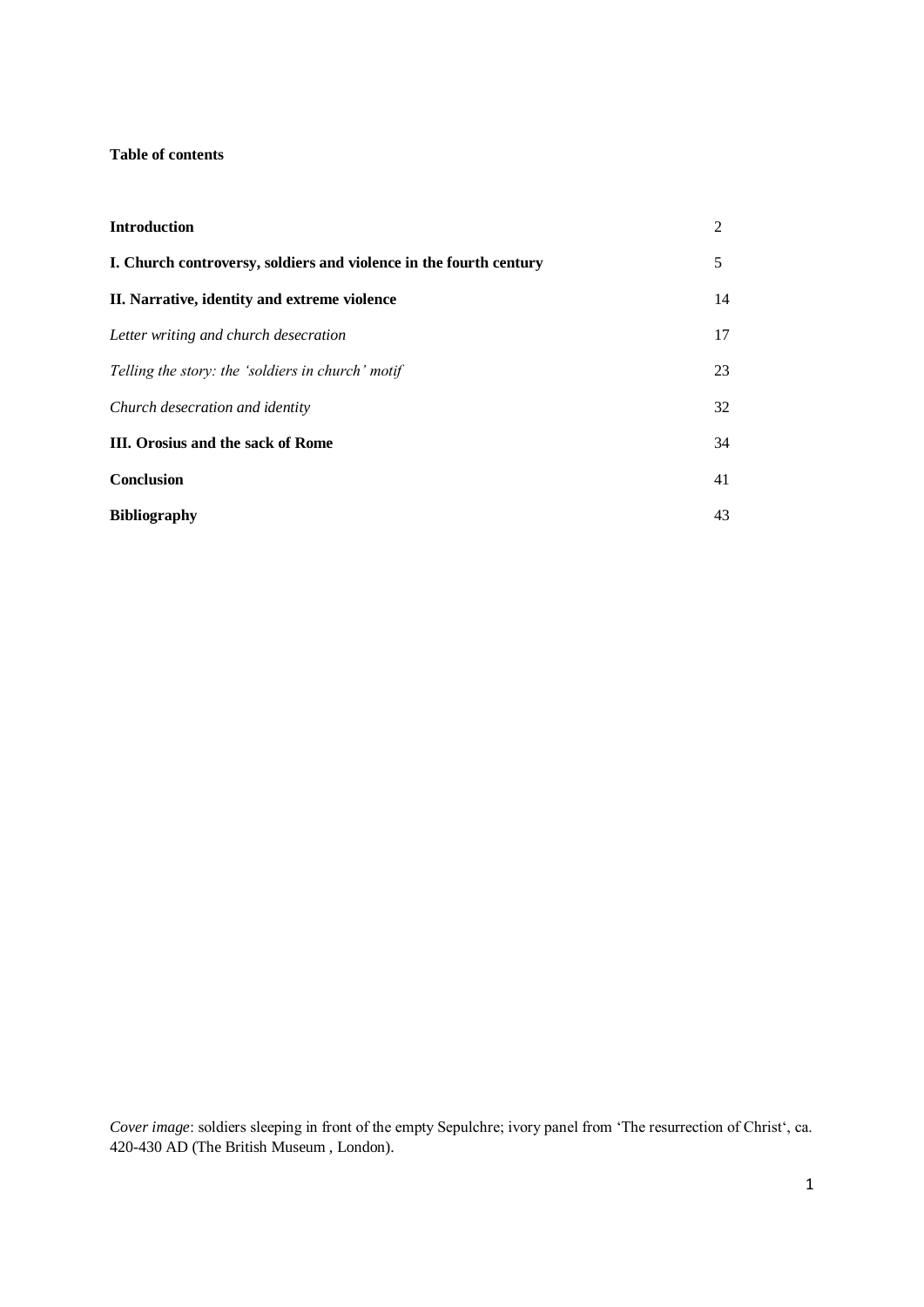# **Table of contents**

| <b>Introduction</b>                                                | 2  |
|--------------------------------------------------------------------|----|
| I. Church controversy, soldiers and violence in the fourth century |    |
| II. Narrative, identity and extreme violence                       | 14 |
| Letter writing and church desecration                              | 17 |
| Telling the story: the 'soldiers in church' motif                  | 23 |
| Church desecration and identity                                    | 32 |
| <b>III.</b> Orosius and the sack of Rome                           | 34 |
| <b>Conclusion</b>                                                  | 41 |
| <b>Bibliography</b>                                                | 43 |

*Cover image*: soldiers sleeping in front of the empty Sepulchre; ivory panel from 'The resurrection of Christ', ca. 420-430 AD (The British Museum , London).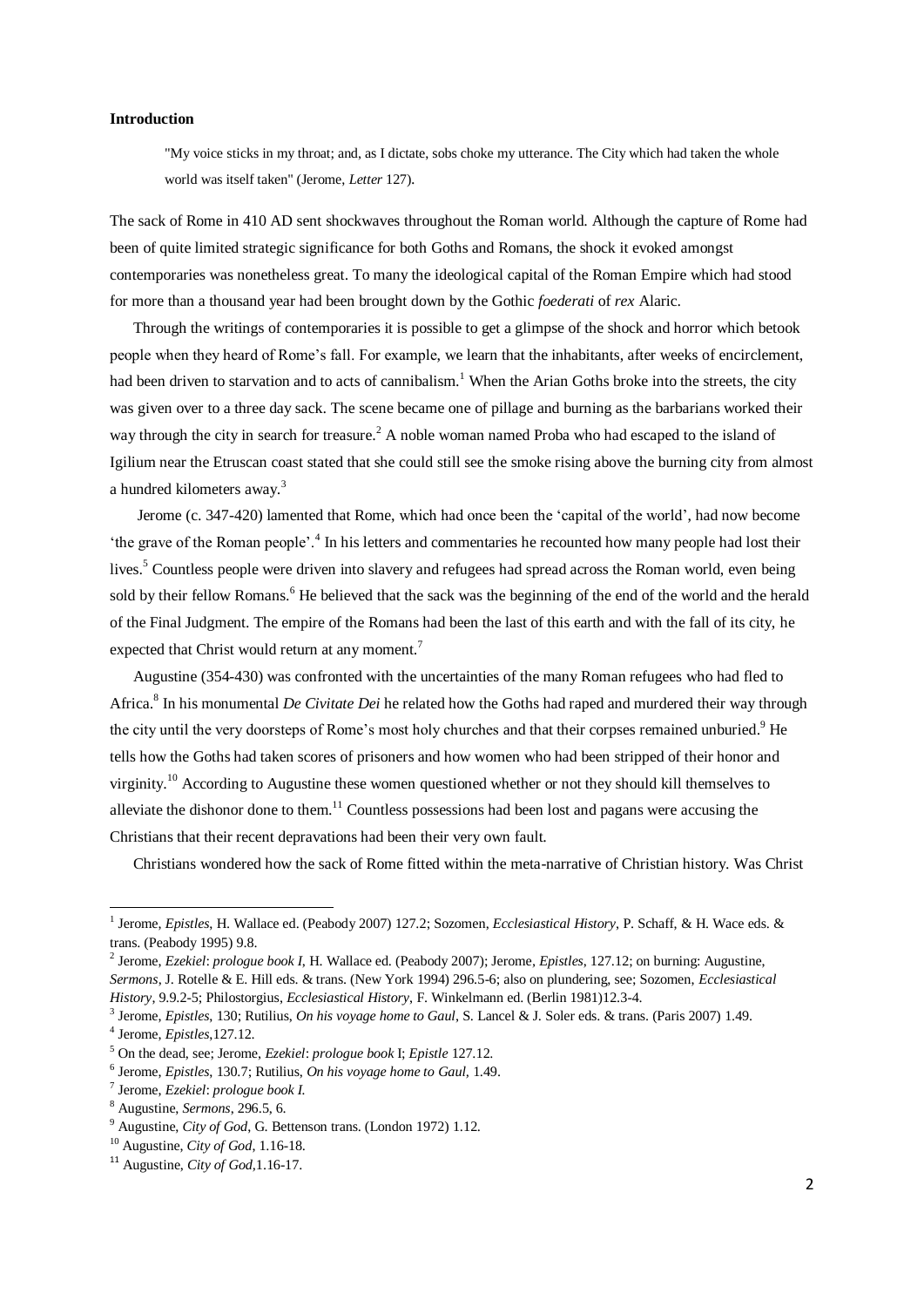# **Introduction**

"My voice sticks in my throat; and, as I dictate, sobs choke my utterance. The City which had taken the whole world was itself taken" (Jerome, *Letter* 127).

The sack of Rome in 410 AD sent shockwaves throughout the Roman world. Although the capture of Rome had been of quite limited strategic significance for both Goths and Romans, the shock it evoked amongst contemporaries was nonetheless great. To many the ideological capital of the Roman Empire which had stood for more than a thousand year had been brought down by the Gothic *foederati* of *rex* Alaric.

 Through the writings of contemporaries it is possible to get a glimpse of the shock and horror which betook people when they heard of Rome's fall. For example, we learn that the inhabitants, after weeks of encirclement, had been driven to starvation and to acts of cannibalism.<sup>1</sup> When the Arian Goths broke into the streets, the city was given over to a three day sack. The scene became one of pillage and burning as the barbarians worked their way through the city in search for treasure.<sup>2</sup> A noble woman named Proba who had escaped to the island of Igilium near the Etruscan coast stated that she could still see the smoke rising above the burning city from almost a hundred kilometers away.<sup>3</sup>

 Jerome (c. 347-420) lamented that Rome, which had once been the 'capital of the world', had now become 'the grave of the Roman people'.<sup>4</sup> In his letters and commentaries he recounted how many people had lost their lives.<sup>5</sup> Countless people were driven into slavery and refugees had spread across the Roman world, even being sold by their fellow Romans.<sup>6</sup> He believed that the sack was the beginning of the end of the world and the herald of the Final Judgment. The empire of the Romans had been the last of this earth and with the fall of its city, he expected that Christ would return at any moment.<sup>7</sup>

 Augustine (354-430) was confronted with the uncertainties of the many Roman refugees who had fled to Africa.<sup>8</sup> In his monumental *De Civitate Dei* he related how the Goths had raped and murdered their way through the city until the very doorsteps of Rome's most holy churches and that their corpses remained unburied.<sup>9</sup> He tells how the Goths had taken scores of prisoners and how women who had been stripped of their honor and virginity.<sup>10</sup> According to Augustine these women questioned whether or not they should kill themselves to alleviate the dishonor done to them.<sup>11</sup> Countless possessions had been lost and pagans were accusing the Christians that their recent depravations had been their very own fault.

Christians wondered how the sack of Rome fitted within the meta-narrative of Christian history. Was Christ

<sup>&</sup>lt;sup>1</sup> Jerome, *Epistles*, H. Wallace ed. (Peabody 2007) 127.2; Sozomen, *Ecclesiastical History*, P. Schaff, & H. Wace eds. & trans. (Peabody 1995) 9.8.

<sup>2</sup> Jerome, *Ezekiel*: *prologue book I*, H. Wallace ed. (Peabody 2007); Jerome*, Epistles*, 127.12; on burning: Augustine, *Sermons*, J. Rotelle & E. Hill eds. & trans. (New York 1994) 296.5-6; also on plundering, see; Sozomen, *Ecclesiastical History*, 9.9.2-5; Philostorgius, *Ecclesiastical History*, F. Winkelmann ed. (Berlin 1981)12.3-4.

<sup>3</sup> Jerome, *Epistles*, 130; Rutilius, *On his voyage home to Gaul*, S. Lancel & J. Soler eds. & trans. (Paris 2007) 1.49.

<sup>4</sup> Jerome, *Epistles*,127.12.

<sup>5</sup> On the dead, see; Jerome, *Ezekiel*: *prologue book* I; *Epistle* 127.12.

<sup>6</sup> Jerome, *Epistles*, 130.7; Rutilius, *On his voyage home to Gaul,* 1.49.

<sup>7</sup> Jerome, *Ezekiel*: *prologue book I.*

<sup>8</sup> Augustine, *Sermons*, 296.5, 6.

<sup>9</sup> Augustine, *City of God*, G. Bettenson trans. (London 1972) 1.12.

<sup>10</sup> Augustine, *City of God*, 1.16-18.

<sup>11</sup> Augustine, *City of God,*1.16-17.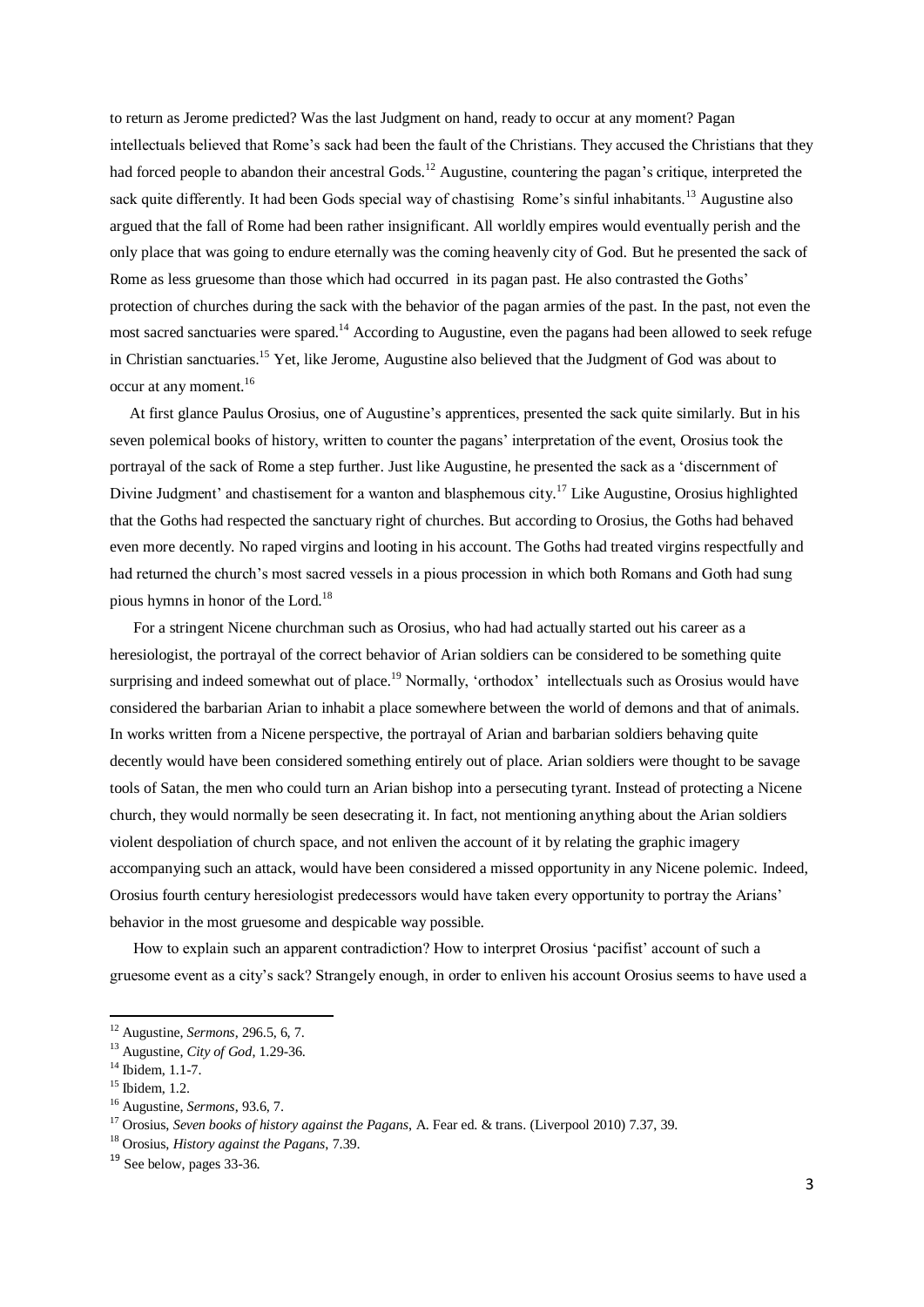to return as Jerome predicted? Was the last Judgment on hand, ready to occur at any moment? Pagan intellectuals believed that Rome's sack had been the fault of the Christians. They accused the Christians that they had forced people to abandon their ancestral Gods.<sup>12</sup> Augustine, countering the pagan's critique, interpreted the sack quite differently. It had been Gods special way of chastising Rome's sinful inhabitants.<sup>13</sup> Augustine also argued that the fall of Rome had been rather insignificant. All worldly empires would eventually perish and the only place that was going to endure eternally was the coming heavenly city of God. But he presented the sack of Rome as less gruesome than those which had occurred in its pagan past. He also contrasted the Goths' protection of churches during the sack with the behavior of the pagan armies of the past. In the past, not even the most sacred sanctuaries were spared.<sup>14</sup> According to Augustine, even the pagans had been allowed to seek refuge in Christian sanctuaries.<sup>15</sup> Yet, like Jerome, Augustine also believed that the Judgment of God was about to occur at any moment.<sup>16</sup>

 At first glance Paulus Orosius, one of Augustine's apprentices, presented the sack quite similarly. But in his seven polemical books of history, written to counter the pagans' interpretation of the event, Orosius took the portrayal of the sack of Rome a step further. Just like Augustine, he presented the sack as a 'discernment of Divine Judgment' and chastisement for a wanton and blasphemous city.<sup>17</sup> Like Augustine, Orosius highlighted that the Goths had respected the sanctuary right of churches. But according to Orosius, the Goths had behaved even more decently. No raped virgins and looting in his account. The Goths had treated virgins respectfully and had returned the church's most sacred vessels in a pious procession in which both Romans and Goth had sung pious hymns in honor of the Lord.<sup>18</sup>

 For a stringent Nicene churchman such as Orosius, who had had actually started out his career as a heresiologist, the portrayal of the correct behavior of Arian soldiers can be considered to be something quite surprising and indeed somewhat out of place.<sup>19</sup> Normally, 'orthodox' intellectuals such as Orosius would have considered the barbarian Arian to inhabit a place somewhere between the world of demons and that of animals. In works written from a Nicene perspective, the portrayal of Arian and barbarian soldiers behaving quite decently would have been considered something entirely out of place. Arian soldiers were thought to be savage tools of Satan, the men who could turn an Arian bishop into a persecuting tyrant. Instead of protecting a Nicene church, they would normally be seen desecrating it. In fact, not mentioning anything about the Arian soldiers violent despoliation of church space, and not enliven the account of it by relating the graphic imagery accompanying such an attack, would have been considered a missed opportunity in any Nicene polemic. Indeed, Orosius fourth century heresiologist predecessors would have taken every opportunity to portray the Arians' behavior in the most gruesome and despicable way possible.

 How to explain such an apparent contradiction? How to interpret Orosius 'pacifist' account of such a gruesome event as a city's sack? Strangely enough, in order to enliven his account Orosius seems to have used a

<sup>12</sup> Augustine, *Sermons*, 296.5, 6, 7.

<sup>13</sup> Augustine, *City of God*, 1.29-36.

 $14$  Ibidem, 1.1-7.

<sup>&</sup>lt;sup>15</sup> Ibidem, 1.2.

<sup>16</sup> Augustine, *Sermons*, 93.6, 7.

<sup>17</sup> Orosius, *Seven books of history against the Pagans*, A. Fear ed. & trans. (Liverpool 2010) 7.37, 39.

<sup>18</sup> Orosius, *History against the Pagans*, 7.39.

<sup>&</sup>lt;sup>19</sup> See below, pages 33-36.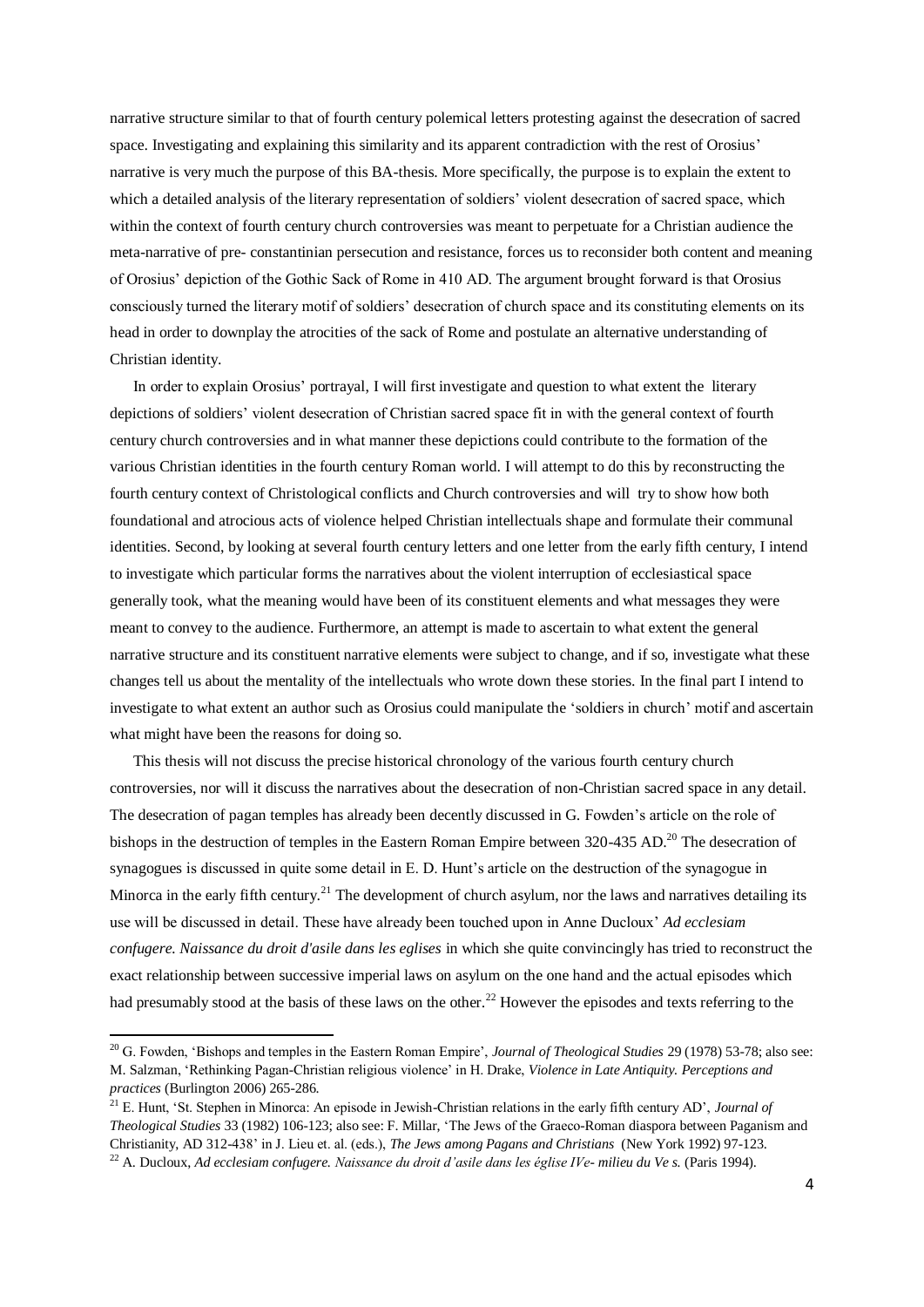narrative structure similar to that of fourth century polemical letters protesting against the desecration of sacred space. Investigating and explaining this similarity and its apparent contradiction with the rest of Orosius' narrative is very much the purpose of this BA-thesis. More specifically, the purpose is to explain the extent to which a detailed analysis of the literary representation of soldiers' violent desecration of sacred space, which within the context of fourth century church controversies was meant to perpetuate for a Christian audience the meta-narrative of pre- constantinian persecution and resistance, forces us to reconsider both content and meaning of Orosius' depiction of the Gothic Sack of Rome in 410 AD. The argument brought forward is that Orosius consciously turned the literary motif of soldiers' desecration of church space and its constituting elements on its head in order to downplay the atrocities of the sack of Rome and postulate an alternative understanding of Christian identity.

 In order to explain Orosius' portrayal, I will first investigate and question to what extent the literary depictions of soldiers' violent desecration of Christian sacred space fit in with the general context of fourth century church controversies and in what manner these depictions could contribute to the formation of the various Christian identities in the fourth century Roman world. I will attempt to do this by reconstructing the fourth century context of Christological conflicts and Church controversies and will try to show how both foundational and atrocious acts of violence helped Christian intellectuals shape and formulate their communal identities. Second, by looking at several fourth century letters and one letter from the early fifth century, I intend to investigate which particular forms the narratives about the violent interruption of ecclesiastical space generally took, what the meaning would have been of its constituent elements and what messages they were meant to convey to the audience. Furthermore, an attempt is made to ascertain to what extent the general narrative structure and its constituent narrative elements were subject to change, and if so, investigate what these changes tell us about the mentality of the intellectuals who wrote down these stories. In the final part I intend to investigate to what extent an author such as Orosius could manipulate the 'soldiers in church' motif and ascertain what might have been the reasons for doing so.

 This thesis will not discuss the precise historical chronology of the various fourth century church controversies, nor will it discuss the narratives about the desecration of non-Christian sacred space in any detail. The desecration of pagan temples has already been decently discussed in G. Fowden's article on the role of bishops in the destruction of temples in the Eastern Roman Empire between 320-435 AD.<sup>20</sup> The desecration of synagogues is discussed in quite some detail in E. D. Hunt's article on the destruction of the synagogue in Minorca in the early fifth century.<sup>21</sup> The development of church asylum, nor the laws and narratives detailing its use will be discussed in detail. These have already been touched upon in Anne Ducloux' *Ad ecclesiam confugere. Naissance du droit d'asile dans les eglises* in which she quite convincingly has tried to reconstruct the exact relationship between successive imperial laws on asylum on the one hand and the actual episodes which had presumably stood at the basis of these laws on the other.<sup>22</sup> However the episodes and texts referring to the

<sup>&</sup>lt;sup>20</sup> G. Fowden, 'Bishops and temples in the Eastern Roman Empire', *Journal of Theological Studies* 29 (1978) 53-78; also see: M. Salzman, 'Rethinking Pagan-Christian religious violence' in H. Drake, *Violence in Late Antiquity. Perceptions and practices* (Burlington 2006) 265-286.

<sup>21</sup> E. Hunt, 'St. Stephen in Minorca: An episode in Jewish-Christian relations in the early fifth century AD', *Journal of Theological Studies* 33 (1982) 106-123; also see: F. Millar, 'The Jews of the Graeco-Roman diaspora between Paganism and Christianity, AD 312-438' in J. Lieu et. al. (eds.), *The Jews among Pagans and Christians* (New York 1992) 97-123. <sup>22</sup> A. Ducloux, *Ad ecclesiam confugere. Naissance du droit d'asile dans les église IVe- milieu du Ve s.* (Paris 1994).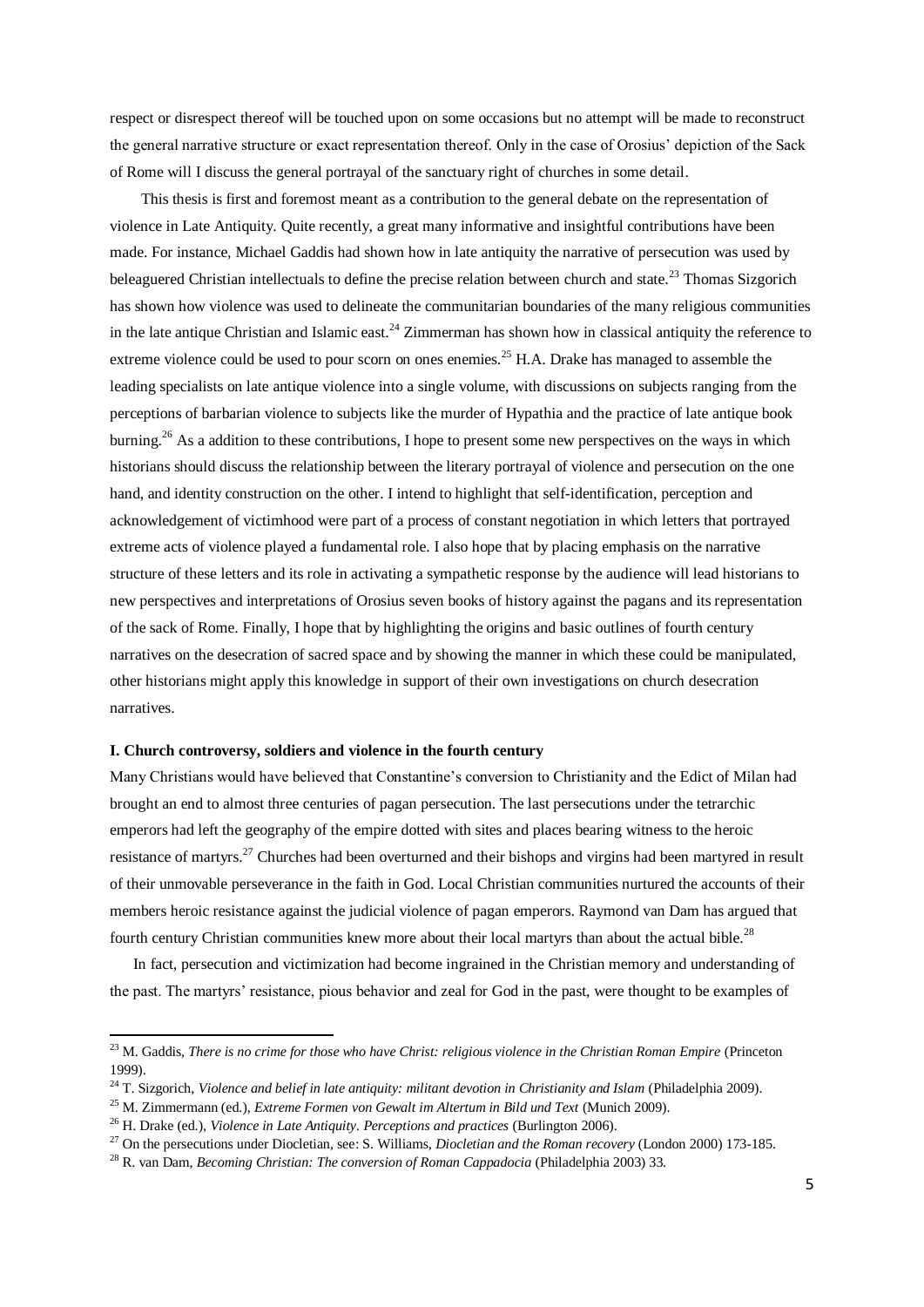respect or disrespect thereof will be touched upon on some occasions but no attempt will be made to reconstruct the general narrative structure or exact representation thereof. Only in the case of Orosius' depiction of the Sack of Rome will I discuss the general portrayal of the sanctuary right of churches in some detail.

 This thesis is first and foremost meant as a contribution to the general debate on the representation of violence in Late Antiquity. Quite recently, a great many informative and insightful contributions have been made. For instance, Michael Gaddis had shown how in late antiquity the narrative of persecution was used by beleaguered Christian intellectuals to define the precise relation between church and state.<sup>23</sup> Thomas Sizgorich has shown how violence was used to delineate the communitarian boundaries of the many religious communities in the late antique Christian and Islamic east.<sup>24</sup> Zimmerman has shown how in classical antiquity the reference to extreme violence could be used to pour scorn on ones enemies.<sup>25</sup> H.A. Drake has managed to assemble the leading specialists on late antique violence into a single volume, with discussions on subjects ranging from the perceptions of barbarian violence to subjects like the murder of Hypathia and the practice of late antique book burning.<sup>26</sup> As a addition to these contributions, I hope to present some new perspectives on the ways in which historians should discuss the relationship between the literary portrayal of violence and persecution on the one hand, and identity construction on the other. I intend to highlight that self-identification, perception and acknowledgement of victimhood were part of a process of constant negotiation in which letters that portrayed extreme acts of violence played a fundamental role. I also hope that by placing emphasis on the narrative structure of these letters and its role in activating a sympathetic response by the audience will lead historians to new perspectives and interpretations of Orosius seven books of history against the pagans and its representation of the sack of Rome. Finally, I hope that by highlighting the origins and basic outlines of fourth century narratives on the desecration of sacred space and by showing the manner in which these could be manipulated, other historians might apply this knowledge in support of their own investigations on church desecration narratives.

# **I. Church controversy, soldiers and violence in the fourth century**

Many Christians would have believed that Constantine's conversion to Christianity and the Edict of Milan had brought an end to almost three centuries of pagan persecution. The last persecutions under the tetrarchic emperors had left the geography of the empire dotted with sites and places bearing witness to the heroic resistance of martyrs.<sup>27</sup> Churches had been overturned and their bishops and virgins had been martyred in result of their unmovable perseverance in the faith in God. Local Christian communities nurtured the accounts of their members heroic resistance against the judicial violence of pagan emperors. Raymond van Dam has argued that fourth century Christian communities knew more about their local martyrs than about the actual bible.<sup>28</sup>

 In fact, persecution and victimization had become ingrained in the Christian memory and understanding of the past. The martyrs' resistance, pious behavior and zeal for God in the past, were thought to be examples of

<sup>&</sup>lt;sup>23</sup> M. Gaddis, *There is no crime for those who have Christ: religious violence in the Christian Roman Empire (Princeton* 1999).

<sup>&</sup>lt;sup>24</sup> T. Sizgorich, *Violence and belief in late antiquity: militant devotion in Christianity and Islam* (Philadelphia 2009).

<sup>&</sup>lt;sup>25</sup> M. Zimmermann (ed.), *Extreme Formen von Gewalt im Altertum in Bild und Text* (Munich 2009).

<sup>26</sup> H. Drake (ed.), *Violence in Late Antiquity. Perceptions and practices* (Burlington 2006).

<sup>27</sup> On the persecutions under Diocletian, see: S. Williams, *Diocletian and the Roman recovery* (London 2000) 173-185.

<sup>28</sup> R. van Dam, *Becoming Christian: The conversion of Roman Cappadocia* (Philadelphia 2003) 33.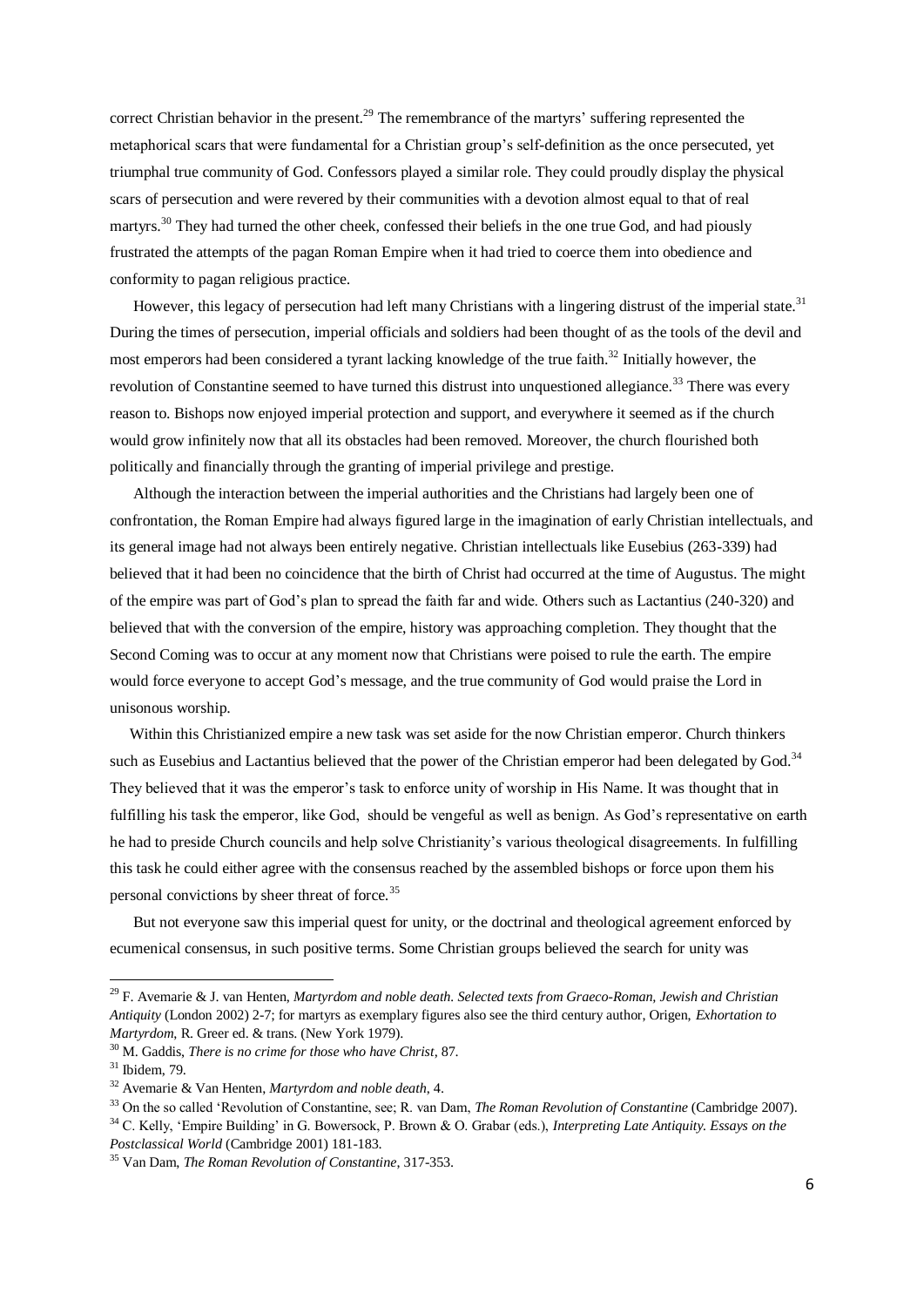correct Christian behavior in the present.<sup>29</sup> The remembrance of the martyrs' suffering represented the metaphorical scars that were fundamental for a Christian group's self-definition as the once persecuted, yet triumphal true community of God. Confessors played a similar role. They could proudly display the physical scars of persecution and were revered by their communities with a devotion almost equal to that of real martyrs.<sup>30</sup> They had turned the other cheek, confessed their beliefs in the one true God, and had piously frustrated the attempts of the pagan Roman Empire when it had tried to coerce them into obedience and conformity to pagan religious practice.

However, this legacy of persecution had left many Christians with a lingering distrust of the imperial state.<sup>31</sup> During the times of persecution, imperial officials and soldiers had been thought of as the tools of the devil and most emperors had been considered a tyrant lacking knowledge of the true faith.<sup>32</sup> Initially however, the revolution of Constantine seemed to have turned this distrust into unquestioned allegiance.<sup>33</sup> There was every reason to. Bishops now enjoyed imperial protection and support, and everywhere it seemed as if the church would grow infinitely now that all its obstacles had been removed. Moreover, the church flourished both politically and financially through the granting of imperial privilege and prestige.

 Although the interaction between the imperial authorities and the Christians had largely been one of confrontation, the Roman Empire had always figured large in the imagination of early Christian intellectuals, and its general image had not always been entirely negative. Christian intellectuals like Eusebius (263-339) had believed that it had been no coincidence that the birth of Christ had occurred at the time of Augustus. The might of the empire was part of God's plan to spread the faith far and wide. Others such as Lactantius (240-320) and believed that with the conversion of the empire, history was approaching completion. They thought that the Second Coming was to occur at any moment now that Christians were poised to rule the earth. The empire would force everyone to accept God's message, and the true community of God would praise the Lord in unisonous worship.

 Within this Christianized empire a new task was set aside for the now Christian emperor. Church thinkers such as Eusebius and Lactantius believed that the power of the Christian emperor had been delegated by God.<sup>34</sup> They believed that it was the emperor's task to enforce unity of worship in His Name. It was thought that in fulfilling his task the emperor, like God, should be vengeful as well as benign. As God's representative on earth he had to preside Church councils and help solve Christianity's various theological disagreements. In fulfilling this task he could either agree with the consensus reached by the assembled bishops or force upon them his personal convictions by sheer threat of force.<sup>35</sup>

 But not everyone saw this imperial quest for unity, or the doctrinal and theological agreement enforced by ecumenical consensus, in such positive terms. Some Christian groups believed the search for unity was

<sup>29</sup> F. Avemarie & J. van Henten, *Martyrdom and noble death. Selected texts from Graeco-Roman, Jewish and Christian Antiquity* (London 2002) 2-7; for martyrs as exemplary figures also see the third century author, Origen, *Exhortation to Martyrdom*, R. Greer ed. & trans. (New York 1979).

<sup>30</sup> M. Gaddis, *There is no crime for those who have Christ*, 87.

<sup>31</sup> Ibidem, 79.

<sup>32</sup> Avemarie & Van Henten, *Martyrdom and noble death*, 4.

<sup>33</sup> On the so called 'Revolution of Constantine, see; R. van Dam, *The Roman Revolution of Constantine* (Cambridge 2007).

<sup>34</sup> C. Kelly, 'Empire Building' in G. Bowersock, P. Brown & O. Grabar (eds.), *Interpreting Late Antiquity. Essays on the Postclassical World* (Cambridge 2001) 181-183.

<sup>35</sup> Van Dam, *The Roman Revolution of Constantine*, 317-353.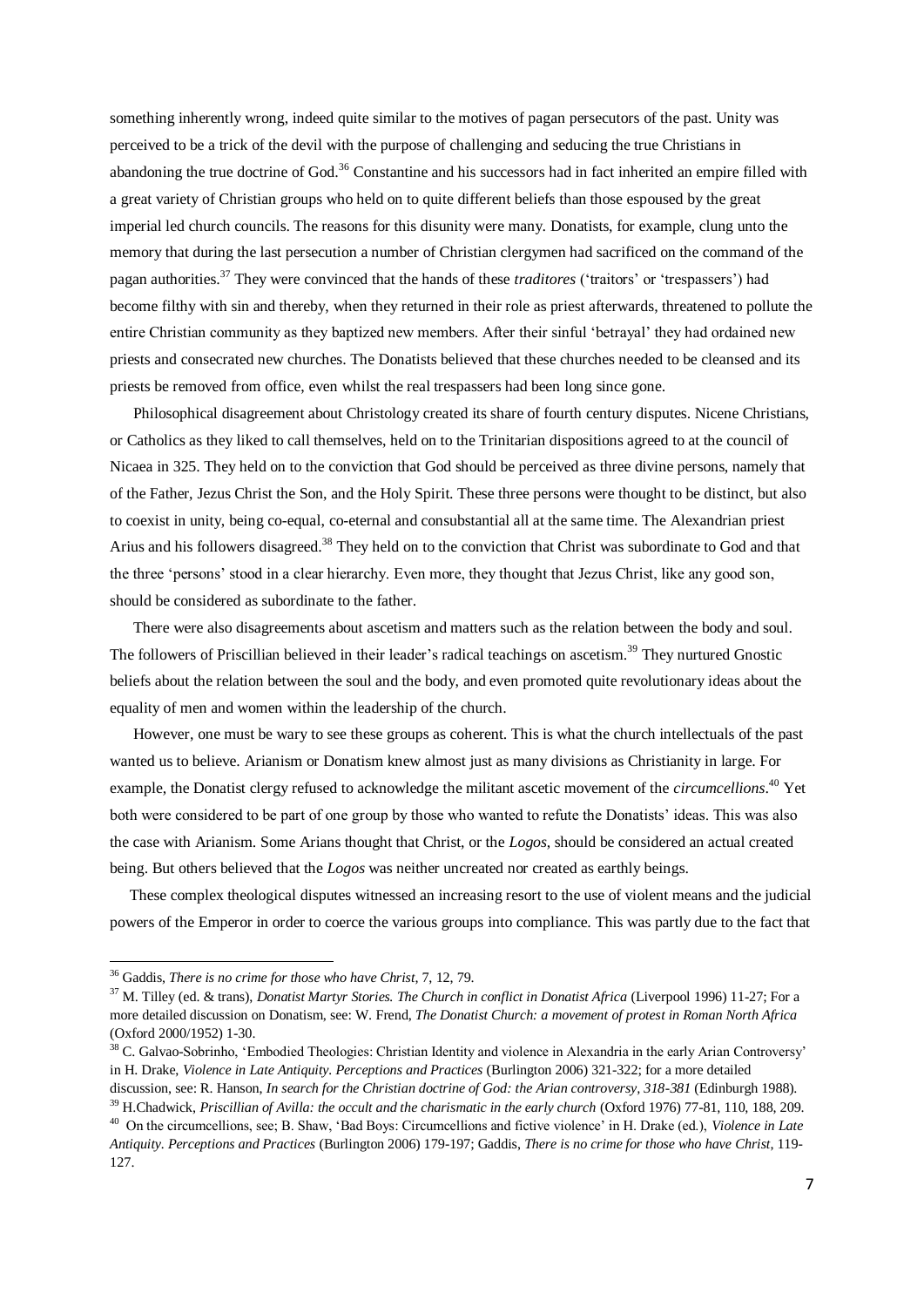something inherently wrong, indeed quite similar to the motives of pagan persecutors of the past. Unity was perceived to be a trick of the devil with the purpose of challenging and seducing the true Christians in abandoning the true doctrine of God.<sup>36</sup> Constantine and his successors had in fact inherited an empire filled with a great variety of Christian groups who held on to quite different beliefs than those espoused by the great imperial led church councils. The reasons for this disunity were many. Donatists, for example, clung unto the memory that during the last persecution a number of Christian clergymen had sacrificed on the command of the pagan authorities.<sup>37</sup> They were convinced that the hands of these *traditores* ('traitors' or 'trespassers') had become filthy with sin and thereby, when they returned in their role as priest afterwards, threatened to pollute the entire Christian community as they baptized new members. After their sinful 'betrayal' they had ordained new priests and consecrated new churches. The Donatists believed that these churches needed to be cleansed and its priests be removed from office, even whilst the real trespassers had been long since gone.

 Philosophical disagreement about Christology created its share of fourth century disputes. Nicene Christians, or Catholics as they liked to call themselves, held on to the Trinitarian dispositions agreed to at the council of Nicaea in 325. They held on to the conviction that God should be perceived as three divine persons, namely that of the Father, Jezus Christ the Son, and the Holy Spirit. These three persons were thought to be distinct, but also to coexist in unity, being co-equal, co-eternal and consubstantial all at the same time. The Alexandrian priest Arius and his followers disagreed.<sup>38</sup> They held on to the conviction that Christ was subordinate to God and that the three 'persons' stood in a clear hierarchy. Even more, they thought that Jezus Christ, like any good son, should be considered as subordinate to the father.

 There were also disagreements about ascetism and matters such as the relation between the body and soul. The followers of Priscillian believed in their leader's radical teachings on ascetism.<sup>39</sup> They nurtured Gnostic beliefs about the relation between the soul and the body, and even promoted quite revolutionary ideas about the equality of men and women within the leadership of the church.

 However, one must be wary to see these groups as coherent. This is what the church intellectuals of the past wanted us to believe. Arianism or Donatism knew almost just as many divisions as Christianity in large. For example, the Donatist clergy refused to acknowledge the militant ascetic movement of the *circumcellions*. <sup>40</sup> Yet both were considered to be part of one group by those who wanted to refute the Donatists' ideas. This was also the case with Arianism. Some Arians thought that Christ, or the *Logos*, should be considered an actual created being. But others believed that the *Logos* was neither uncreated nor created as earthly beings.

 These complex theological disputes witnessed an increasing resort to the use of violent means and the judicial powers of the Emperor in order to coerce the various groups into compliance. This was partly due to the fact that

<sup>36</sup> Gaddis, *There is no crime for those who have Christ*, 7, 12, 79.

<sup>37</sup> M. Tilley (ed. & trans), *Donatist Martyr Stories. The Church in conflict in Donatist Africa* (Liverpool 1996) 11-27; For a more detailed discussion on Donatism, see: W. Frend, *The Donatist Church: a movement of protest in Roman North Africa*  (Oxford 2000/1952) 1-30.

<sup>&</sup>lt;sup>38</sup> C. Galvao-Sobrinho, 'Embodied Theologies: Christian Identity and violence in Alexandria in the early Arian Controversy' in H. Drake, *Violence in Late Antiquity. Perceptions and Practices* (Burlington 2006) 321-322; for a more detailed

discussion, see: R. Hanson, *In search for the Christian doctrine of God: the Arian controversy, 318-381* (Edinburgh 1988). <sup>39</sup> H.Chadwick, *Priscillian of Avilla: the occult and the charismatic in the early church* (Oxford 1976) 77-81, 110, 188, 209.

<sup>40</sup> On the circumcellions, see; B. Shaw, 'Bad Boys: Circumcellions and fictive violence' in H. Drake (ed.), *Violence in Late Antiquity. Perceptions and Practices* (Burlington 2006) 179-197; Gaddis, *There is no crime for those who have Christ*, 119- 127.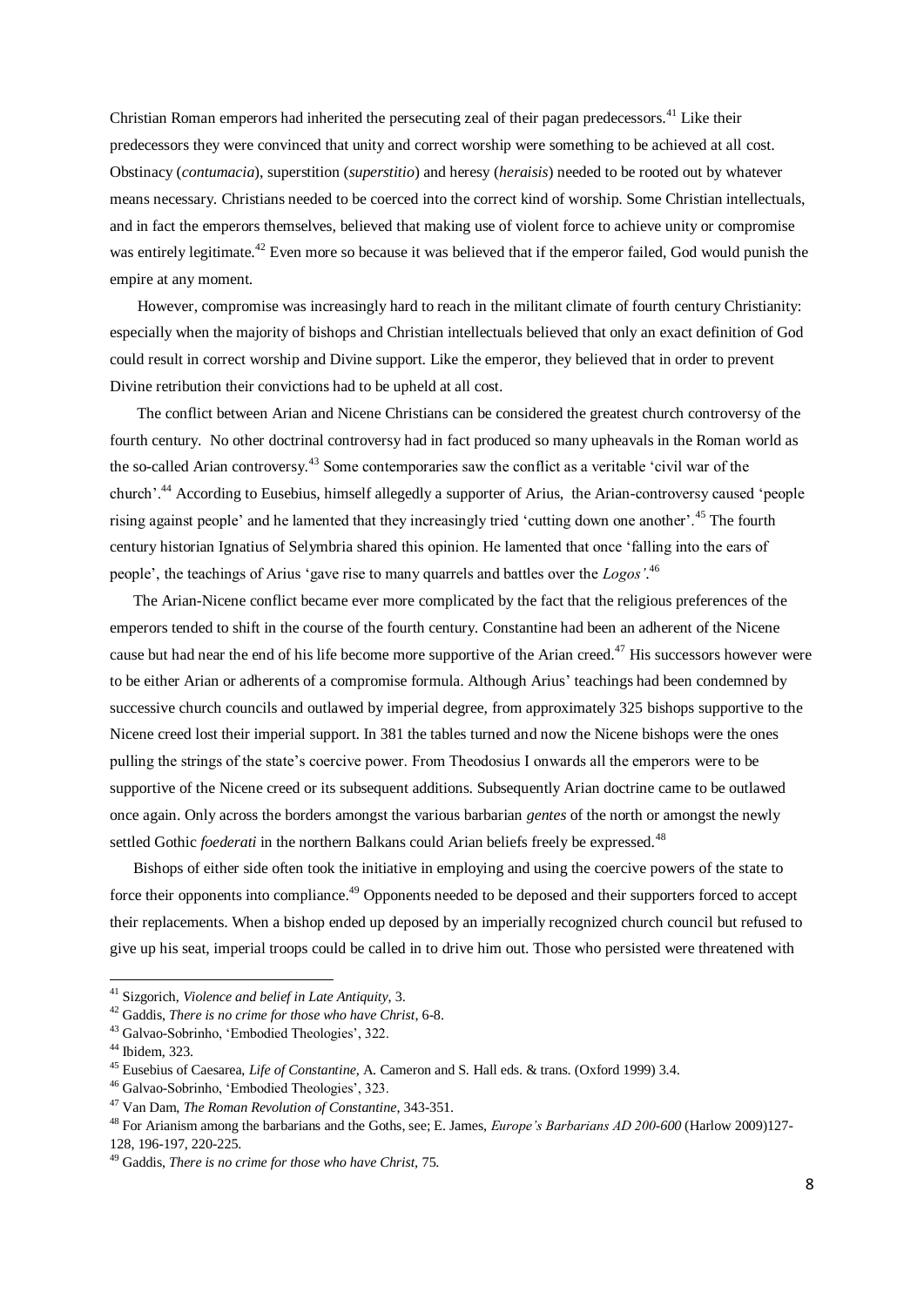Christian Roman emperors had inherited the persecuting zeal of their pagan predecessors.<sup>41</sup> Like their predecessors they were convinced that unity and correct worship were something to be achieved at all cost. Obstinacy (*contumacia*), superstition (*superstitio*) and heresy (*heraisis*) needed to be rooted out by whatever means necessary. Christians needed to be coerced into the correct kind of worship. Some Christian intellectuals, and in fact the emperors themselves, believed that making use of violent force to achieve unity or compromise was entirely legitimate.<sup>42</sup> Even more so because it was believed that if the emperor failed. God would punish the empire at any moment.

 However, compromise was increasingly hard to reach in the militant climate of fourth century Christianity: especially when the majority of bishops and Christian intellectuals believed that only an exact definition of God could result in correct worship and Divine support. Like the emperor, they believed that in order to prevent Divine retribution their convictions had to be upheld at all cost.

 The conflict between Arian and Nicene Christians can be considered the greatest church controversy of the fourth century. No other doctrinal controversy had in fact produced so many upheavals in the Roman world as the so-called Arian controversy.<sup>43</sup> Some contemporaries saw the conflict as a veritable 'civil war of the church'.<sup>44</sup> According to Eusebius, himself allegedly a supporter of Arius, the Arian-controversy caused 'people rising against people' and he lamented that they increasingly tried 'cutting down one another'.<sup>45</sup> The fourth century historian Ignatius of Selymbria shared this opinion. He lamented that once 'falling into the ears of people', the teachings of Arius 'gave rise to many quarrels and battles over the *Logos'*. 46

 The Arian-Nicene conflict became ever more complicated by the fact that the religious preferences of the emperors tended to shift in the course of the fourth century. Constantine had been an adherent of the Nicene cause but had near the end of his life become more supportive of the Arian creed.<sup>47</sup> His successors however were to be either Arian or adherents of a compromise formula. Although Arius' teachings had been condemned by successive church councils and outlawed by imperial degree, from approximately 325 bishops supportive to the Nicene creed lost their imperial support. In 381 the tables turned and now the Nicene bishops were the ones pulling the strings of the state's coercive power. From Theodosius I onwards all the emperors were to be supportive of the Nicene creed or its subsequent additions. Subsequently Arian doctrine came to be outlawed once again. Only across the borders amongst the various barbarian *gentes* of the north or amongst the newly settled Gothic *foederati* in the northern Balkans could Arian beliefs freely be expressed.<sup>48</sup>

 Bishops of either side often took the initiative in employing and using the coercive powers of the state to force their opponents into compliance.<sup>49</sup> Opponents needed to be deposed and their supporters forced to accept their replacements. When a bishop ended up deposed by an imperially recognized church council but refused to give up his seat, imperial troops could be called in to drive him out. Those who persisted were threatened with

<sup>41</sup> Sizgorich, *Violence and belief in Late Antiquity*, 3.

<sup>42</sup> Gaddis, *There is no crime for those who have Christ*, 6-8.

<sup>43</sup> Galvao-Sobrinho, 'Embodied Theologies', 322.

<sup>44</sup> Ibidem, 323.

<sup>45</sup> Eusebius of Caesarea, *Life of Constantine,* A. Cameron and S. Hall eds. & trans. (Oxford 1999) 3.4.

<sup>46</sup> Galvao-Sobrinho, 'Embodied Theologies', 323.

<sup>47</sup> Van Dam, *The Roman Revolution of Constantine*, 343-351.

<sup>48</sup> For Arianism among the barbarians and the Goths, see; E. James, *Europe's Barbarians AD 200-600* (Harlow 2009)127- 128, 196-197, 220-225.

<sup>49</sup> Gaddis, *There is no crime for those who have Christ,* 75.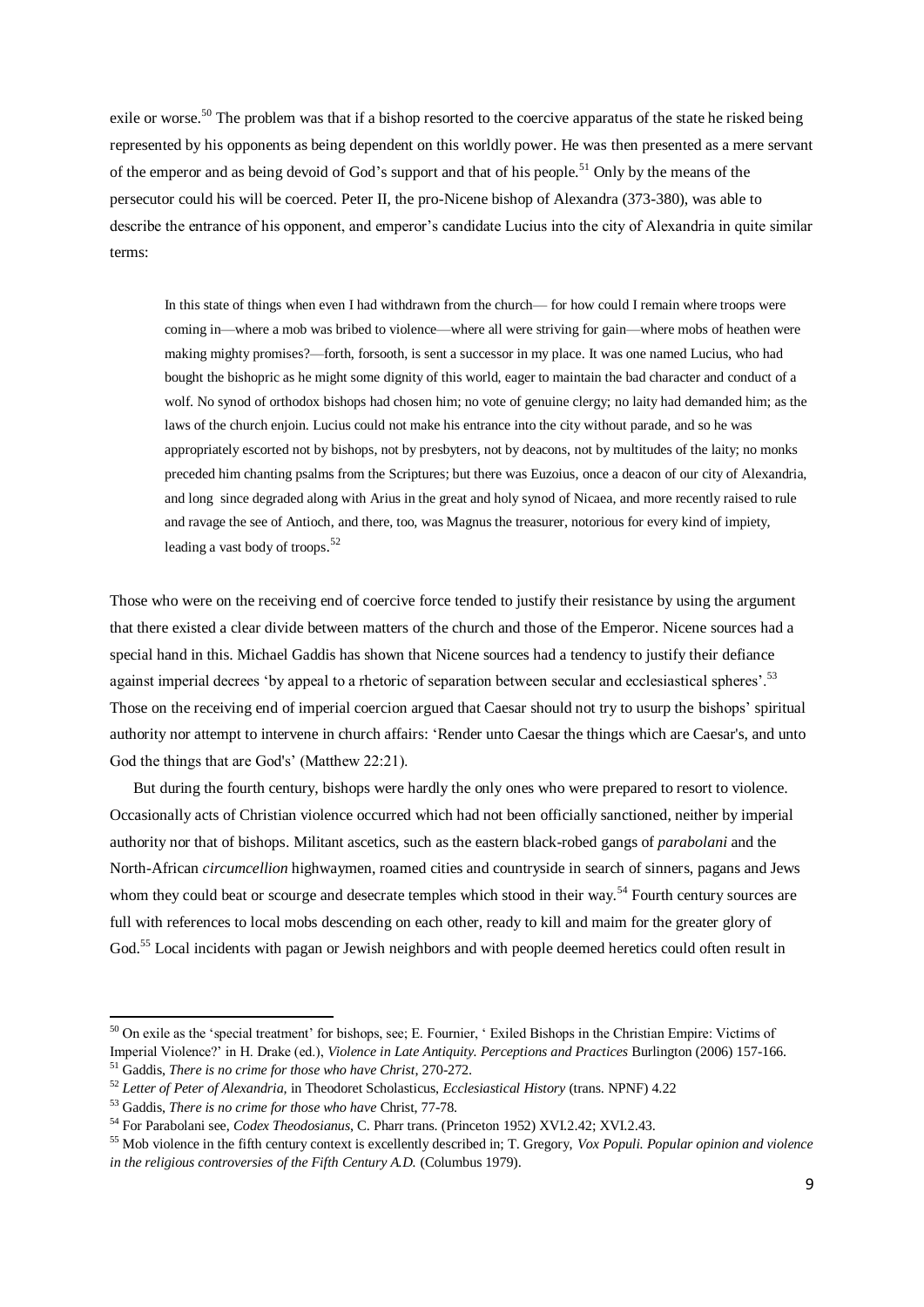exile or worse.<sup>50</sup> The problem was that if a bishop resorted to the coercive apparatus of the state he risked being represented by his opponents as being dependent on this worldly power. He was then presented as a mere servant of the emperor and as being devoid of God's support and that of his people.<sup>51</sup> Only by the means of the persecutor could his will be coerced. Peter II, the pro-Nicene bishop of Alexandra (373-380), was able to describe the entrance of his opponent, and emperor's candidate Lucius into the city of Alexandria in quite similar terms:

In this state of things when even I had withdrawn from the church— for how could I remain where troops were coming in—where a mob was bribed to violence—where all were striving for gain—where mobs of heathen were making mighty promises?—forth, forsooth, is sent a successor in my place. It was one named Lucius, who had bought the bishopric as he might some dignity of this world, eager to maintain the bad character and conduct of a wolf. No synod of orthodox bishops had chosen him; no vote of genuine clergy; no laity had demanded him; as the laws of the church enjoin. Lucius could not make his entrance into the city without parade, and so he was appropriately escorted not by bishops, not by presbyters, not by deacons, not by multitudes of the laity; no monks preceded him chanting psalms from the Scriptures; but there was Euzoius, once a deacon of our city of Alexandria, and long since degraded along with Arius in the great and holy synod of Nicaea, and more recently raised to rule and ravage the see of Antioch, and there, too, was Magnus the treasurer, notorious for every kind of impiety, leading a vast body of troops. 52

Those who were on the receiving end of coercive force tended to justify their resistance by using the argument that there existed a clear divide between matters of the church and those of the Emperor. Nicene sources had a special hand in this. Michael Gaddis has shown that Nicene sources had a tendency to justify their defiance against imperial decrees 'by appeal to a rhetoric of separation between secular and ecclesiastical spheres'.<sup>53</sup> Those on the receiving end of imperial coercion argued that Caesar should not try to usurp the bishops' spiritual authority nor attempt to intervene in church affairs: 'Render unto Caesar the things which are Caesar's, and unto God the things that are God's' (Matthew 22:21).

 But during the fourth century, bishops were hardly the only ones who were prepared to resort to violence. Occasionally acts of Christian violence occurred which had not been officially sanctioned, neither by imperial authority nor that of bishops. Militant ascetics, such as the eastern black-robed gangs of *parabolani* and the North-African *circumcellion* highwaymen, roamed cities and countryside in search of sinners, pagans and Jews whom they could beat or scourge and desecrate temples which stood in their way.<sup>54</sup> Fourth century sources are full with references to local mobs descending on each other, ready to kill and maim for the greater glory of God.<sup>55</sup> Local incidents with pagan or Jewish neighbors and with people deemed heretics could often result in

-

<sup>&</sup>lt;sup>50</sup> On exile as the 'special treatment' for bishops, see; E. Fournier, 'Exiled Bishops in the Christian Empire: Victims of Imperial Violence?' in H. Drake (ed.), *Violence in Late Antiquity. Perceptions and Practices* Burlington (2006) 157-166. <sup>51</sup> Gaddis, *There is no crime for those who have Christ*, 270-272.

<sup>52</sup> *Letter of Peter of Alexandria,* in Theodoret Scholasticus, *Ecclesiastical History* (trans. NPNF) 4.22

<sup>53</sup> Gaddis, *There is no crime for those who have* Christ, 77-78.

<sup>54</sup> For Parabolani see, *Codex Theodosianus*, C. Pharr trans. (Princeton 1952) XVI.2.42; XVI.2.43.

<sup>55</sup> Mob violence in the fifth century context is excellently described in; T. Gregory, *Vox Populi. Popular opinion and violence in the religious controversies of the Fifth Century A.D. (Columbus 1979).*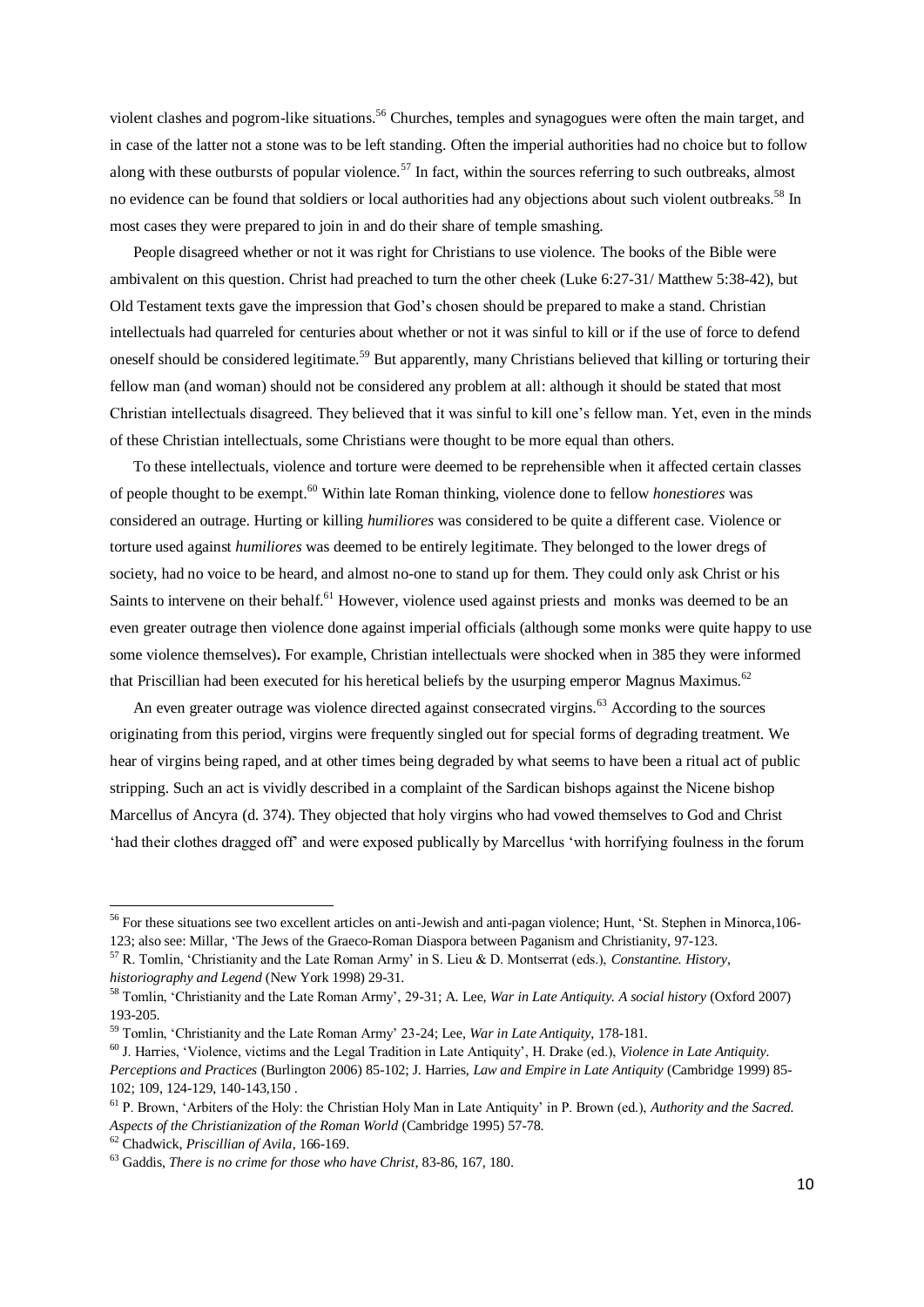violent clashes and pogrom-like situations.<sup>56</sup> Churches, temples and synagogues were often the main target, and in case of the latter not a stone was to be left standing. Often the imperial authorities had no choice but to follow along with these outbursts of popular violence.<sup>57</sup> In fact, within the sources referring to such outbreaks, almost no evidence can be found that soldiers or local authorities had any objections about such violent outbreaks.<sup>58</sup> In most cases they were prepared to join in and do their share of temple smashing.

 People disagreed whether or not it was right for Christians to use violence. The books of the Bible were ambivalent on this question. Christ had preached to turn the other cheek (Luke 6:27-31/ Matthew 5:38-42), but Old Testament texts gave the impression that God's chosen should be prepared to make a stand. Christian intellectuals had quarreled for centuries about whether or not it was sinful to kill or if the use of force to defend oneself should be considered legitimate.<sup>59</sup> But apparently, many Christians believed that killing or torturing their fellow man (and woman) should not be considered any problem at all: although it should be stated that most Christian intellectuals disagreed. They believed that it was sinful to kill one's fellow man. Yet, even in the minds of these Christian intellectuals, some Christians were thought to be more equal than others.

 To these intellectuals, violence and torture were deemed to be reprehensible when it affected certain classes of people thought to be exempt.<sup>60</sup> Within late Roman thinking, violence done to fellow *honestiores* was considered an outrage. Hurting or killing *humiliores* was considered to be quite a different case. Violence or torture used against *humiliores* was deemed to be entirely legitimate. They belonged to the lower dregs of society, had no voice to be heard, and almost no-one to stand up for them. They could only ask Christ or his Saints to intervene on their behalf.<sup>61</sup> However, violence used against priests and monks was deemed to be an even greater outrage then violence done against imperial officials (although some monks were quite happy to use some violence themselves)**.** For example, Christian intellectuals were shocked when in 385 they were informed that Priscillian had been executed for his heretical beliefs by the usurping emperor Magnus Maximus.<sup>62</sup>

An even greater outrage was violence directed against consecrated virgins.<sup>63</sup> According to the sources originating from this period, virgins were frequently singled out for special forms of degrading treatment. We hear of virgins being raped, and at other times being degraded by what seems to have been a ritual act of public stripping. Such an act is vividly described in a complaint of the Sardican bishops against the Nicene bishop Marcellus of Ancyra (d. 374). They objected that holy virgins who had vowed themselves to God and Christ 'had their clothes dragged off' and were exposed publically by Marcellus 'with horrifying foulness in the forum

<sup>56</sup> For these situations see two excellent articles on anti-Jewish and anti-pagan violence; Hunt, 'St. Stephen in Minorca,106- 123; also see: Millar, 'The Jews of the Graeco-Roman Diaspora between Paganism and Christianity, 97-123.

<sup>57</sup> R. Tomlin, 'Christianity and the Late Roman Army' in S. Lieu & D. Montserrat (eds.), *Constantine. History, historiography and Legend* (New York 1998) 29-31.

<sup>58</sup> Tomlin, 'Christianity and the Late Roman Army', 29-31; A. Lee, *War in Late Antiquity. A social history* (Oxford 2007) 193-205.

<sup>59</sup> Tomlin, 'Christianity and the Late Roman Army' 23-24; Lee, *War in Late Antiquity*, 178-181.

<sup>60</sup> J. Harries, 'Violence, victims and the Legal Tradition in Late Antiquity', H. Drake (ed.), *Violence in Late Antiquity. Perceptions and Practices* (Burlington 2006) 85-102; J. Harries, *Law and Empire in Late Antiquity* (Cambridge 1999) 85- 102; 109, 124-129, 140-143,150 .

<sup>61</sup> P. Brown, 'Arbiters of the Holy: the Christian Holy Man in Late Antiquity' in P. Brown (ed.), *Authority and the Sacred. Aspects of the Christianization of the Roman World* (Cambridge 1995) 57-78.

<sup>62</sup> Chadwick, *Priscillian of Avila*, 166-169.

<sup>63</sup> Gaddis, *There is no crime for those who have Christ*, 83-86, 167, 180.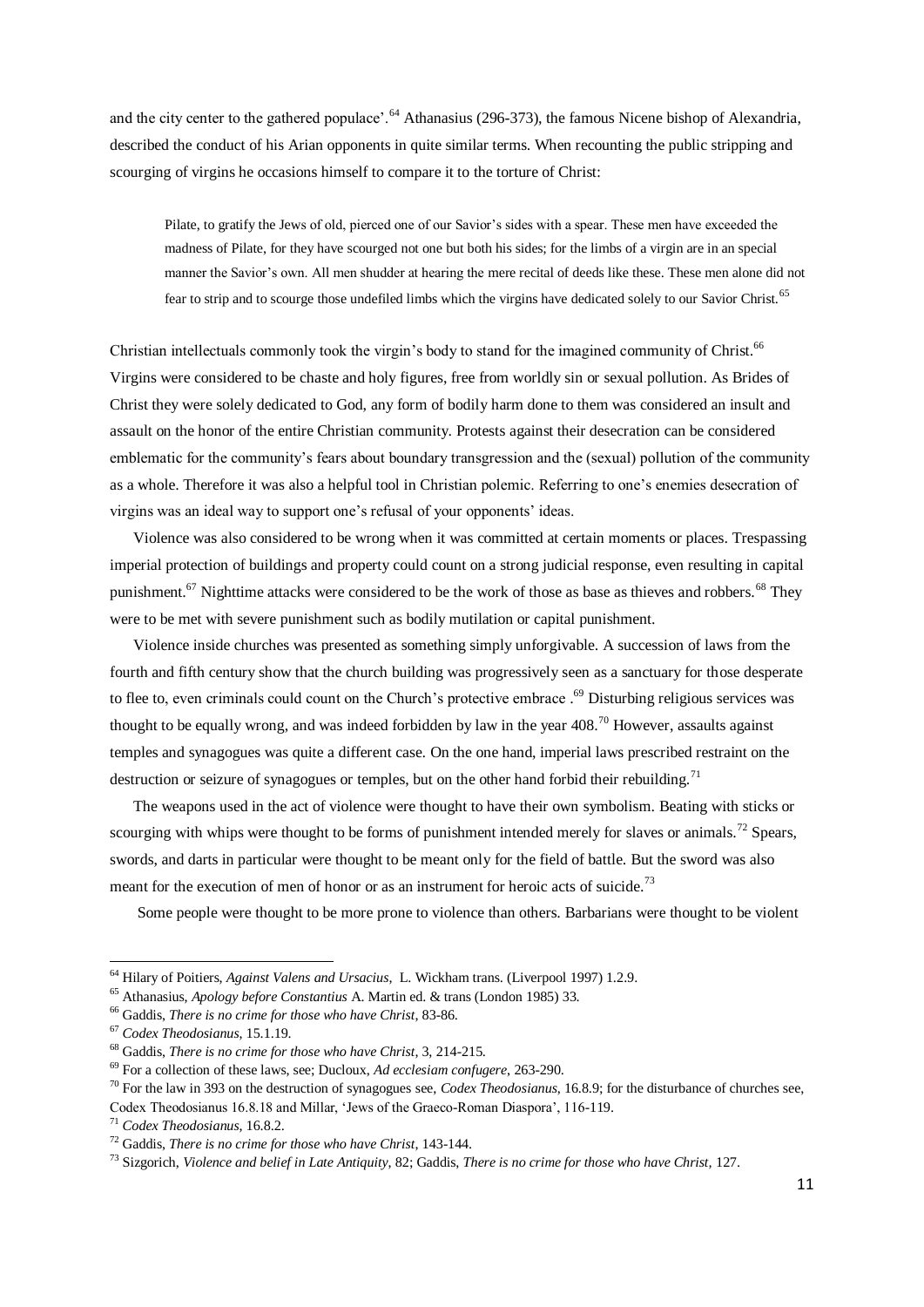and the city center to the gathered populace'.<sup>64</sup> Athanasius (296-373), the famous Nicene bishop of Alexandria. described the conduct of his Arian opponents in quite similar terms. When recounting the public stripping and scourging of virgins he occasions himself to compare it to the torture of Christ:

Pilate, to gratify the Jews of old, pierced one of our Savior's sides with a spear. These men have exceeded the madness of Pilate, for they have scourged not one but both his sides; for the limbs of a virgin are in an special manner the Savior's own. All men shudder at hearing the mere recital of deeds like these. These men alone did not fear to strip and to scourge those undefiled limbs which the virgins have dedicated solely to our Savior Christ.<sup>65</sup>

Christian intellectuals commonly took the virgin's body to stand for the imagined community of Christ.<sup>66</sup> Virgins were considered to be chaste and holy figures, free from worldly sin or sexual pollution. As Brides of Christ they were solely dedicated to God, any form of bodily harm done to them was considered an insult and assault on the honor of the entire Christian community. Protests against their desecration can be considered emblematic for the community's fears about boundary transgression and the (sexual) pollution of the community as a whole. Therefore it was also a helpful tool in Christian polemic. Referring to one's enemies desecration of virgins was an ideal way to support one's refusal of your opponents' ideas.

 Violence was also considered to be wrong when it was committed at certain moments or places. Trespassing imperial protection of buildings and property could count on a strong judicial response, even resulting in capital punishment.<sup>67</sup> Nighttime attacks were considered to be the work of those as base as thieves and robbers.<sup>68</sup> They were to be met with severe punishment such as bodily mutilation or capital punishment.

 Violence inside churches was presented as something simply unforgivable. A succession of laws from the fourth and fifth century show that the church building was progressively seen as a sanctuary for those desperate to flee to, even criminals could count on the Church's protective embrace . <sup>69</sup> Disturbing religious services was thought to be equally wrong, and was indeed forbidden by law in the year  $408$ <sup>70</sup> However, assaults against temples and synagogues was quite a different case. On the one hand, imperial laws prescribed restraint on the destruction or seizure of synagogues or temples, but on the other hand forbid their rebuilding.<sup>71</sup>

 The weapons used in the act of violence were thought to have their own symbolism. Beating with sticks or scourging with whips were thought to be forms of punishment intended merely for slaves or animals.<sup>72</sup> Spears, swords, and darts in particular were thought to be meant only for the field of battle. But the sword was also meant for the execution of men of honor or as an instrument for heroic acts of suicide.<sup>73</sup>

Some people were thought to be more prone to violence than others. Barbarians were thought to be violent

<sup>64</sup> Hilary of Poitiers, *Against Valens and Ursacius*, L. Wickham trans. (Liverpool 1997) 1.2.9.

<sup>65</sup> Athanasius, *Apology before Constantius* A. Martin ed. & trans (London 1985) 33.

<sup>66</sup> Gaddis, *There is no crime for those who have Christ*, 83-86.

<sup>67</sup> *Codex Theodosianus*, 15.1.19.

<sup>68</sup> Gaddis, *There is no crime for those who have Christ*, 3, 214-215.

<sup>69</sup> For a collection of these laws, see; Ducloux, *Ad ecclesiam confugere*, 263-290.

<sup>70</sup> For the law in 393 on the destruction of synagogues see, *Codex Theodosianus*, 16.8.9; for the disturbance of churches see, Codex Theodosianus 16.8.18 and Millar, 'Jews of the Graeco-Roman Diaspora', 116-119.

<sup>71</sup> *Codex Theodosianus*, 16.8.2.

<sup>72</sup> Gaddis, *There is no crime for those who have Christ*, 143-144.

<sup>73</sup> Sizgorich, *Violence and belief in Late Antiquity*, 82; Gaddis, *There is no crime for those who have Christ,* 127.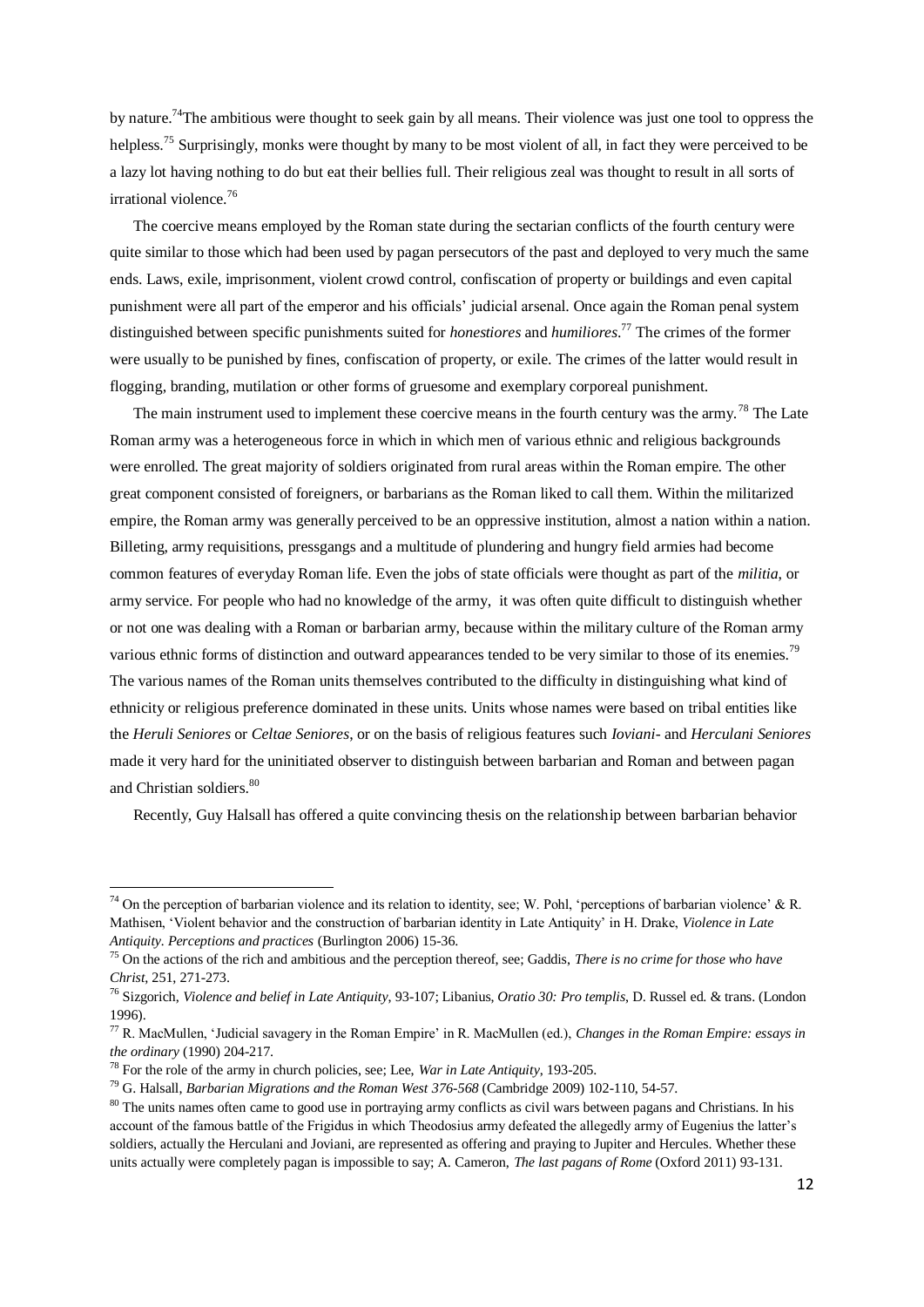by nature.<sup>74</sup>The ambitious were thought to seek gain by all means. Their violence was just one tool to oppress the helpless.<sup>75</sup> Surprisingly, monks were thought by many to be most violent of all, in fact they were perceived to be a lazy lot having nothing to do but eat their bellies full. Their religious zeal was thought to result in all sorts of irrational violence.<sup>76</sup>

 The coercive means employed by the Roman state during the sectarian conflicts of the fourth century were quite similar to those which had been used by pagan persecutors of the past and deployed to very much the same ends. Laws, exile, imprisonment, violent crowd control, confiscation of property or buildings and even capital punishment were all part of the emperor and his officials' judicial arsenal. Once again the Roman penal system distinguished between specific punishments suited for *honestiores* and *humiliores*. <sup>77</sup> The crimes of the former were usually to be punished by fines, confiscation of property, or exile. The crimes of the latter would result in flogging, branding, mutilation or other forms of gruesome and exemplary corporeal punishment.

The main instrument used to implement these coercive means in the fourth century was the army.<sup>78</sup> The Late Roman army was a heterogeneous force in which in which men of various ethnic and religious backgrounds were enrolled. The great majority of soldiers originated from rural areas within the Roman empire. The other great component consisted of foreigners, or barbarians as the Roman liked to call them. Within the militarized empire, the Roman army was generally perceived to be an oppressive institution, almost a nation within a nation. Billeting, army requisitions, pressgangs and a multitude of plundering and hungry field armies had become common features of everyday Roman life. Even the jobs of state officials were thought as part of the *militia*, or army service. For people who had no knowledge of the army, it was often quite difficult to distinguish whether or not one was dealing with a Roman or barbarian army, because within the military culture of the Roman army various ethnic forms of distinction and outward appearances tended to be very similar to those of its enemies.<sup>79</sup> The various names of the Roman units themselves contributed to the difficulty in distinguishing what kind of ethnicity or religious preference dominated in these units. Units whose names were based on tribal entities like the *Heruli Seniores* or *Celtae Seniores*, or on the basis of religious features such *Ioviani*- and *Herculani Seniores* made it very hard for the uninitiated observer to distinguish between barbarian and Roman and between pagan and Christian soldiers.<sup>80</sup>

Recently, Guy Halsall has offered a quite convincing thesis on the relationship between barbarian behavior

1

<sup>79</sup> G. Halsall, *Barbarian Migrations and the Roman West 376-568* (Cambridge 2009) 102-110, 54-57.

<sup>&</sup>lt;sup>74</sup> On the perception of barbarian violence and its relation to identity, see; W. Pohl, 'perceptions of barbarian violence' & R. Mathisen, 'Violent behavior and the construction of barbarian identity in Late Antiquity' in H. Drake, *Violence in Late Antiquity. Perceptions and practices* (Burlington 2006) 15-36.

<sup>75</sup> On the actions of the rich and ambitious and the perception thereof, see; Gaddis, *There is no crime for those who have Christ*, 251, 271-273.

<sup>76</sup> Sizgorich, *Violence and belief in Late Antiquity*, 93-107; Libanius, *Oratio 30: Pro templis*, D. Russel ed. & trans. (London 1996).

<sup>77</sup> R. MacMullen, 'Judicial savagery in the Roman Empire' in R. MacMullen (ed.), *Changes in the Roman Empire: essays in the ordinary* (1990) 204-217.

<sup>78</sup> For the role of the army in church policies, see; Lee, *War in Late Antiquity*, 193-205.

<sup>&</sup>lt;sup>80</sup> The units names often came to good use in portraying army conflicts as civil wars between pagans and Christians. In his account of the famous battle of the Frigidus in which Theodosius army defeated the allegedly army of Eugenius the latter's soldiers, actually the Herculani and Joviani, are represented as offering and praying to Jupiter and Hercules. Whether these units actually were completely pagan is impossible to say; A. Cameron, *The last pagans of Rome* (Oxford 2011) 93-131.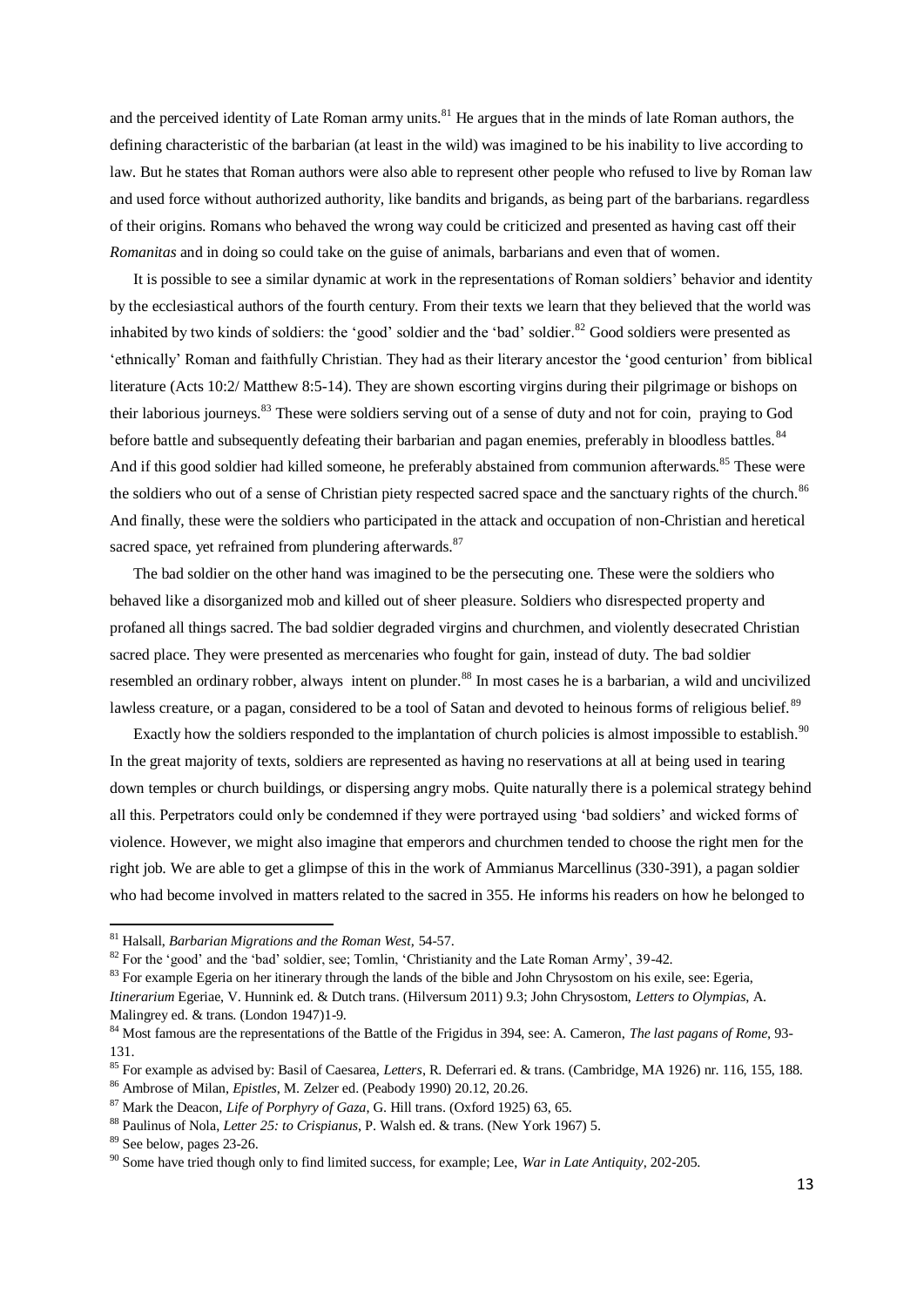and the perceived identity of Late Roman army units.<sup>81</sup> He argues that in the minds of late Roman authors, the defining characteristic of the barbarian (at least in the wild) was imagined to be his inability to live according to law. But he states that Roman authors were also able to represent other people who refused to live by Roman law and used force without authorized authority, like bandits and brigands, as being part of the barbarians. regardless of their origins. Romans who behaved the wrong way could be criticized and presented as having cast off their *Romanitas* and in doing so could take on the guise of animals, barbarians and even that of women.

 It is possible to see a similar dynamic at work in the representations of Roman soldiers' behavior and identity by the ecclesiastical authors of the fourth century. From their texts we learn that they believed that the world was inhabited by two kinds of soldiers: the 'good' soldier and the 'bad' soldier.<sup>82</sup> Good soldiers were presented as 'ethnically' Roman and faithfully Christian. They had as their literary ancestor the 'good centurion' from biblical literature (Acts 10:2/ Matthew 8:5-14). They are shown escorting virgins during their pilgrimage or bishops on their laborious journeys.<sup>83</sup> These were soldiers serving out of a sense of duty and not for coin, praying to God before battle and subsequently defeating their barbarian and pagan enemies, preferably in bloodless battles.<sup>84</sup> And if this good soldier had killed someone, he preferably abstained from communion afterwards.<sup>85</sup> These were the soldiers who out of a sense of Christian piety respected sacred space and the sanctuary rights of the church.<sup>86</sup> And finally, these were the soldiers who participated in the attack and occupation of non-Christian and heretical sacred space, yet refrained from plundering afterwards.<sup>87</sup>

 The bad soldier on the other hand was imagined to be the persecuting one. These were the soldiers who behaved like a disorganized mob and killed out of sheer pleasure. Soldiers who disrespected property and profaned all things sacred. The bad soldier degraded virgins and churchmen, and violently desecrated Christian sacred place. They were presented as mercenaries who fought for gain, instead of duty. The bad soldier resembled an ordinary robber, always intent on plunder.<sup>88</sup> In most cases he is a barbarian, a wild and uncivilized lawless creature, or a pagan, considered to be a tool of Satan and devoted to heinous forms of religious belief.<sup>89</sup>

Exactly how the soldiers responded to the implantation of church policies is almost impossible to establish.<sup>90</sup> In the great majority of texts, soldiers are represented as having no reservations at all at being used in tearing down temples or church buildings, or dispersing angry mobs. Quite naturally there is a polemical strategy behind all this. Perpetrators could only be condemned if they were portrayed using 'bad soldiers' and wicked forms of violence. However, we might also imagine that emperors and churchmen tended to choose the right men for the right job. We are able to get a glimpse of this in the work of Ammianus Marcellinus (330-391), a pagan soldier who had become involved in matters related to the sacred in 355. He informs his readers on how he belonged to

<sup>81</sup> Halsall, *Barbarian Migrations and the Roman West,* 54-57.

<sup>&</sup>lt;sup>82</sup> For the 'good' and the 'bad' soldier, see; Tomlin, 'Christianity and the Late Roman Army', 39-42.

 $83$  For example Egeria on her itinerary through the lands of the bible and John Chrysostom on his exile, see: Egeria, *Itinerarium* Egeriae, V. Hunnink ed. & Dutch trans. (Hilversum 2011) 9.3; John Chrysostom, *Letters to Olympias*, A. Malingrey ed. & trans. (London 1947)1-9.

<sup>84</sup> Most famous are the representations of the Battle of the Frigidus in 394, see: A. Cameron, *The last pagans of Rome,* 93- 131.

<sup>85</sup> For example as advised by: Basil of Caesarea, *Letters*, R. Deferrari ed. & trans. (Cambridge, MA 1926) nr. 116, 155, 188.

<sup>86</sup> Ambrose of Milan, *Epistles*, M. Zelzer ed. (Peabody 1990) 20.12, 20.26.

<sup>87</sup> Mark the Deacon, *Life of Porphyry of Gaza*, G. Hill trans. (Oxford 1925) 63, 65.

<sup>88</sup> Paulinus of Nola, *Letter 25: to Crispianus*, P. Walsh ed. & trans. (New York 1967) 5.

<sup>89</sup> See below, pages 23-26.

<sup>90</sup> Some have tried though only to find limited success, for example; Lee, *War in Late Antiquity*, 202-205.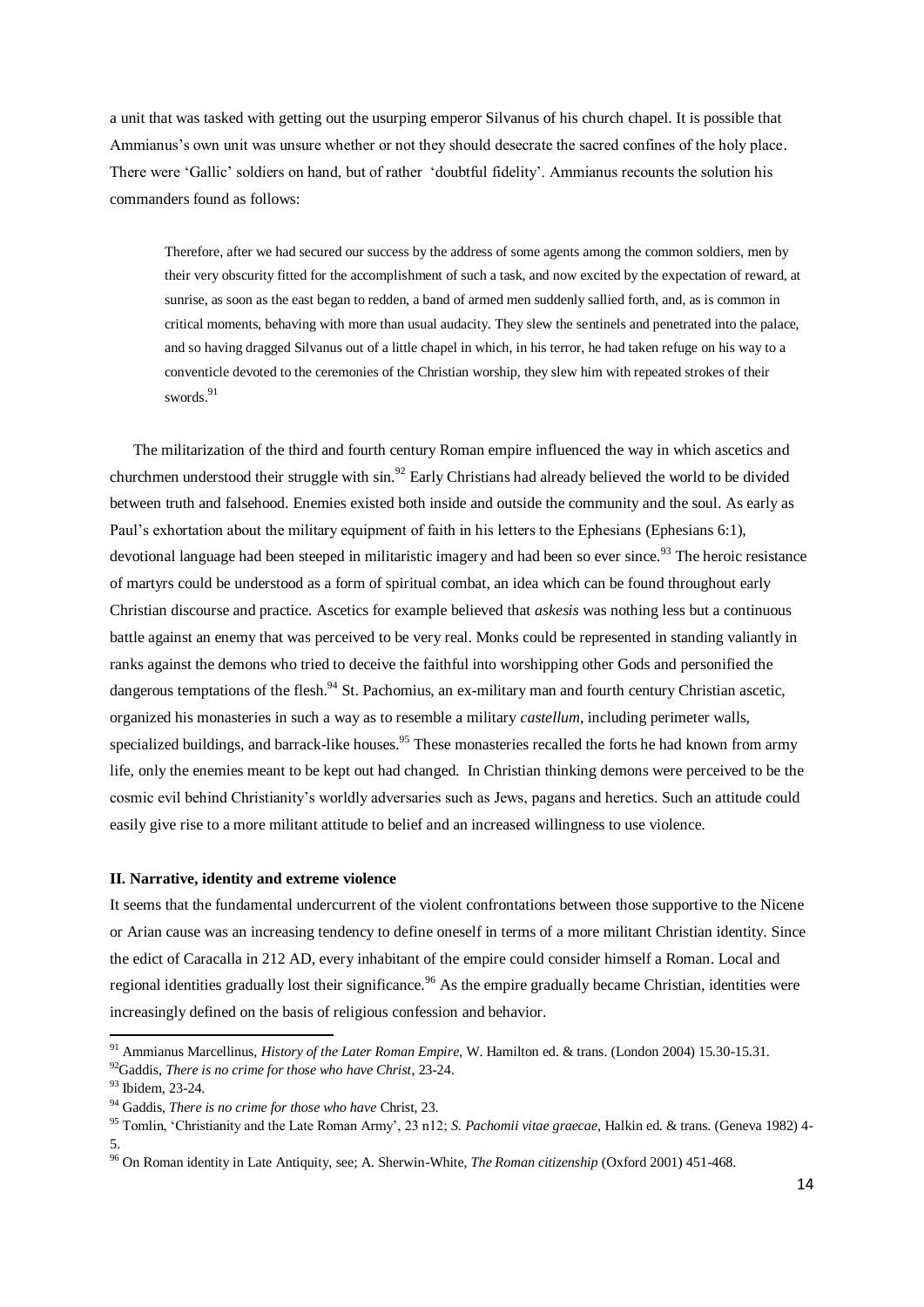a unit that was tasked with getting out the usurping emperor Silvanus of his church chapel. It is possible that Ammianus's own unit was unsure whether or not they should desecrate the sacred confines of the holy place. There were 'Gallic' soldiers on hand, but of rather 'doubtful fidelity'. Ammianus recounts the solution his commanders found as follows:

Therefore, after we had secured our success by the address of some agents among the common soldiers, men by their very obscurity fitted for the accomplishment of such a task, and now excited by the expectation of reward, at sunrise, as soon as the east began to redden, a band of armed men suddenly sallied forth, and, as is common in critical moments, behaving with more than usual audacity. They slew the sentinels and penetrated into the palace, and so having dragged Silvanus out of a little chapel in which, in his terror, he had taken refuge on his way to a conventicle devoted to the ceremonies of the Christian worship, they slew him with repeated strokes of their swords.<sup>91</sup>

 The militarization of the third and fourth century Roman empire influenced the way in which ascetics and churchmen understood their struggle with sin.<sup>92</sup> Early Christians had already believed the world to be divided between truth and falsehood. Enemies existed both inside and outside the community and the soul. As early as Paul's exhortation about the military equipment of faith in his letters to the Ephesians (Ephesians 6:1), devotional language had been steeped in militaristic imagery and had been so ever since.<sup>93</sup> The heroic resistance of martyrs could be understood as a form of spiritual combat, an idea which can be found throughout early Christian discourse and practice. Ascetics for example believed that *askesis* was nothing less but a continuous battle against an enemy that was perceived to be very real. Monks could be represented in standing valiantly in ranks against the demons who tried to deceive the faithful into worshipping other Gods and personified the dangerous temptations of the flesh.<sup>94</sup> St. Pachomius, an ex-military man and fourth century Christian ascetic, organized his monasteries in such a way as to resemble a military *castellum*, including perimeter walls, specialized buildings, and barrack-like houses.<sup>95</sup> These monasteries recalled the forts he had known from army life, only the enemies meant to be kept out had changed. In Christian thinking demons were perceived to be the cosmic evil behind Christianity's worldly adversaries such as Jews, pagans and heretics. Such an attitude could easily give rise to a more militant attitude to belief and an increased willingness to use violence.

## **II. Narrative, identity and extreme violence**

It seems that the fundamental undercurrent of the violent confrontations between those supportive to the Nicene or Arian cause was an increasing tendency to define oneself in terms of a more militant Christian identity. Since the edict of Caracalla in 212 AD, every inhabitant of the empire could consider himself a Roman. Local and regional identities gradually lost their significance.<sup>96</sup> As the empire gradually became Christian, identities were increasingly defined on the basis of religious confession and behavior.

<sup>91</sup> Ammianus Marcellinus, *History of the Later Roman Empire*, W. Hamilton ed. & trans. (London 2004) 15.30-15.31. <sup>92</sup>Gaddis, *There is no crime for those who have Christ*, 23-24.

<sup>93</sup> Ibidem, 23-24.

<sup>94</sup> Gaddis, *There is no crime for those who have* Christ, 23.

<sup>95</sup> Tomlin, 'Christianity and the Late Roman Army', 23 n12; *S. Pachomii vitae graecae*, Halkin ed. & trans. (Geneva 1982) 4- 5.

<sup>96</sup> On Roman identity in Late Antiquity, see; A. Sherwin-White, *The Roman citizenship* (Oxford 2001) 451-468.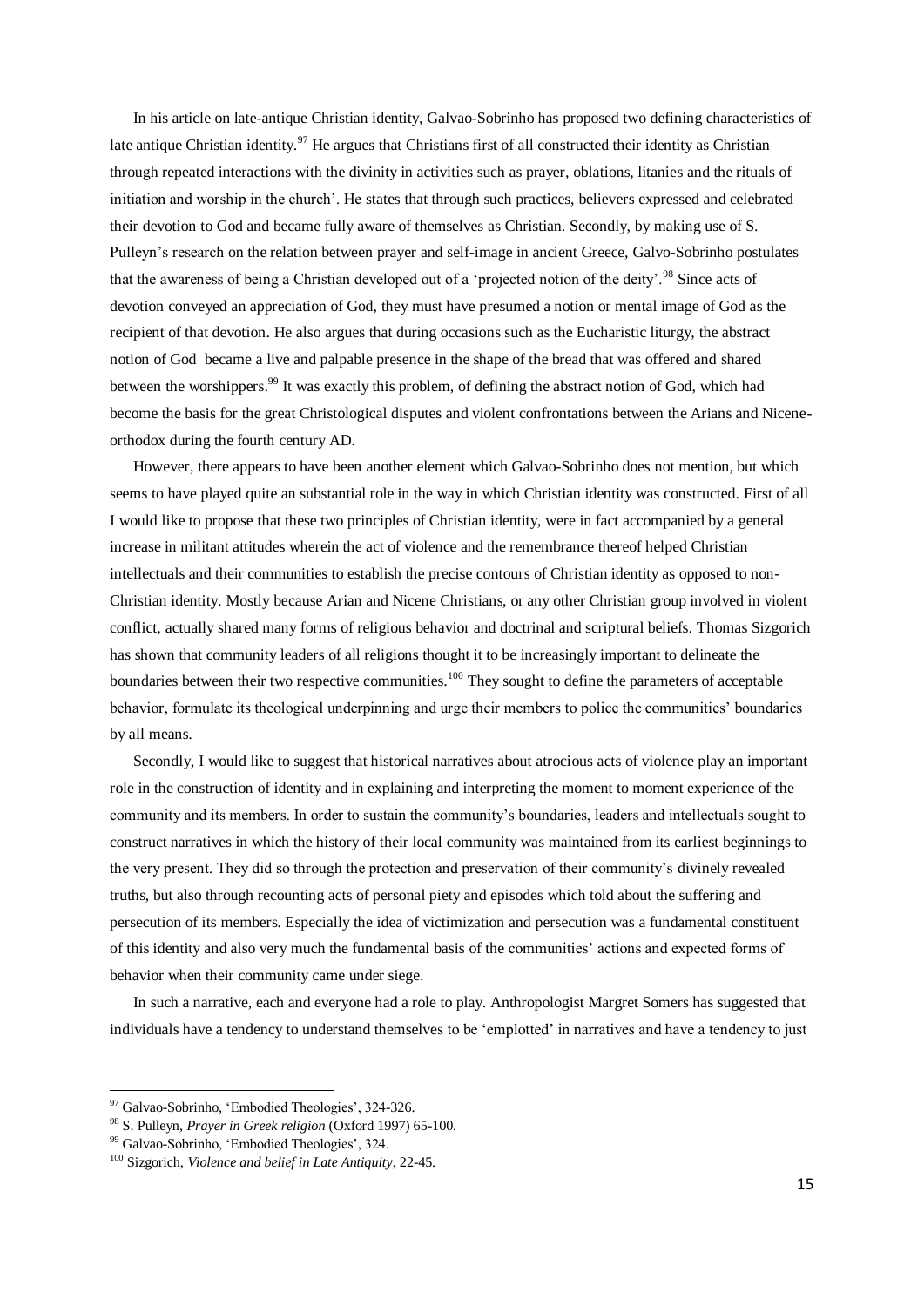In his article on late-antique Christian identity, Galvao-Sobrinho has proposed two defining characteristics of late antique Christian identity.<sup>97</sup> He argues that Christians first of all constructed their identity as Christian through repeated interactions with the divinity in activities such as prayer, oblations, litanies and the rituals of initiation and worship in the church'. He states that through such practices, believers expressed and celebrated their devotion to God and became fully aware of themselves as Christian. Secondly, by making use of S. Pulleyn's research on the relation between prayer and self-image in ancient Greece, Galvo-Sobrinho postulates that the awareness of being a Christian developed out of a 'projected notion of the deity'.<sup>98</sup> Since acts of devotion conveyed an appreciation of God, they must have presumed a notion or mental image of God as the recipient of that devotion. He also argues that during occasions such as the Eucharistic liturgy, the abstract notion of God became a live and palpable presence in the shape of the bread that was offered and shared between the worshippers.<sup>99</sup> It was exactly this problem, of defining the abstract notion of God, which had become the basis for the great Christological disputes and violent confrontations between the Arians and Niceneorthodox during the fourth century AD.

 However, there appears to have been another element which Galvao-Sobrinho does not mention, but which seems to have played quite an substantial role in the way in which Christian identity was constructed. First of all I would like to propose that these two principles of Christian identity, were in fact accompanied by a general increase in militant attitudes wherein the act of violence and the remembrance thereof helped Christian intellectuals and their communities to establish the precise contours of Christian identity as opposed to non-Christian identity. Mostly because Arian and Nicene Christians, or any other Christian group involved in violent conflict, actually shared many forms of religious behavior and doctrinal and scriptural beliefs. Thomas Sizgorich has shown that community leaders of all religions thought it to be increasingly important to delineate the boundaries between their two respective communities.<sup>100</sup> They sought to define the parameters of acceptable behavior, formulate its theological underpinning and urge their members to police the communities' boundaries by all means.

 Secondly, I would like to suggest that historical narratives about atrocious acts of violence play an important role in the construction of identity and in explaining and interpreting the moment to moment experience of the community and its members. In order to sustain the community's boundaries, leaders and intellectuals sought to construct narratives in which the history of their local community was maintained from its earliest beginnings to the very present. They did so through the protection and preservation of their community's divinely revealed truths, but also through recounting acts of personal piety and episodes which told about the suffering and persecution of its members. Especially the idea of victimization and persecution was a fundamental constituent of this identity and also very much the fundamental basis of the communities' actions and expected forms of behavior when their community came under siege.

 In such a narrative, each and everyone had a role to play. Anthropologist Margret Somers has suggested that individuals have a tendency to understand themselves to be 'emplotted' in narratives and have a tendency to just

<sup>&</sup>lt;sup>97</sup> Galvao-Sobrinho, 'Embodied Theologies', 324-326.

<sup>98</sup> S. Pulleyn, *Prayer in Greek religion* (Oxford 1997) 65-100.

<sup>99</sup> Galvao-Sobrinho, 'Embodied Theologies', 324.

<sup>100</sup> Sizgorich, *Violence and belief in Late Antiquity*, 22-45.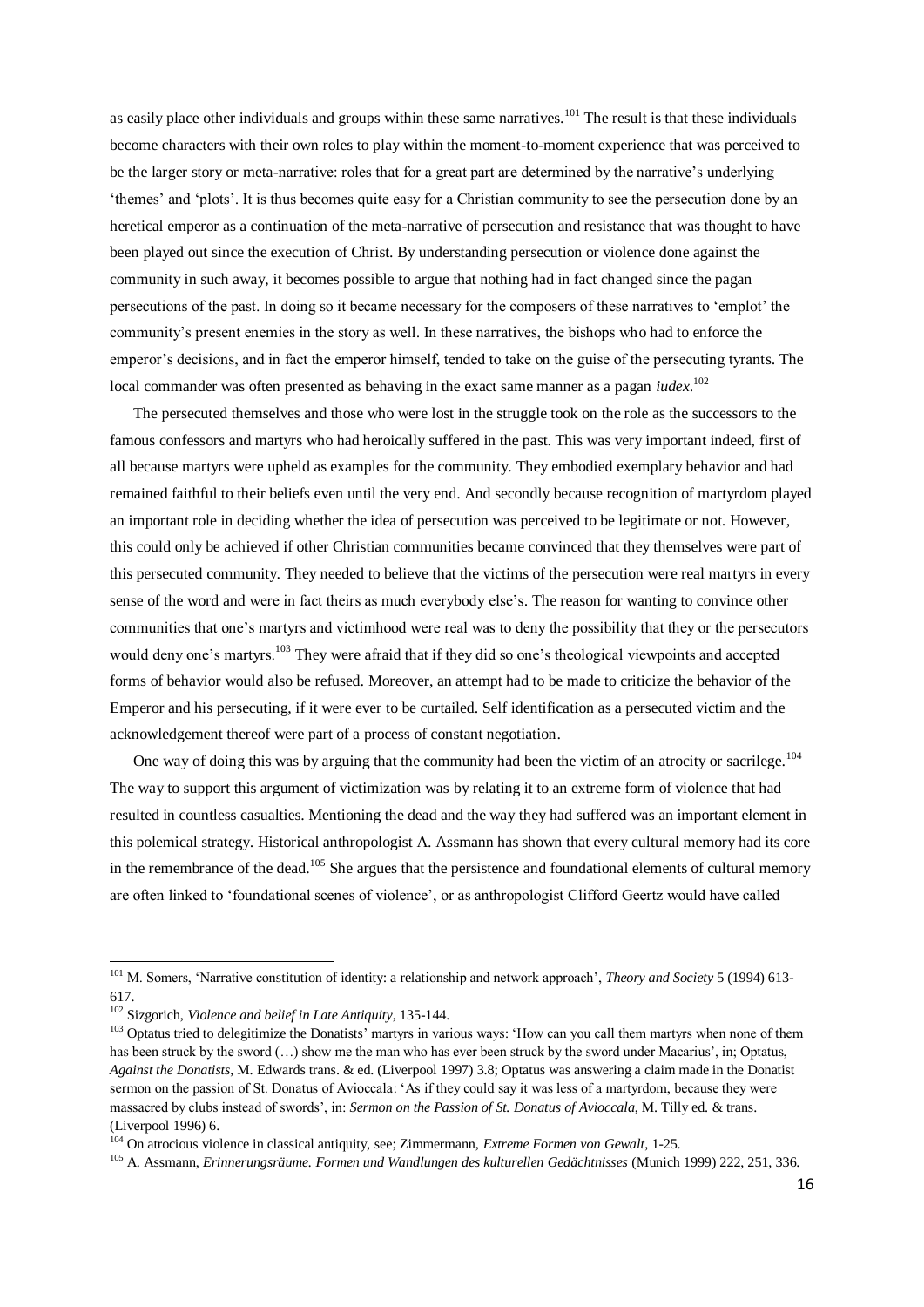as easily place other individuals and groups within these same narratives.<sup>101</sup> The result is that these individuals become characters with their own roles to play within the moment-to-moment experience that was perceived to be the larger story or meta-narrative: roles that for a great part are determined by the narrative's underlying 'themes' and 'plots'. It is thus becomes quite easy for a Christian community to see the persecution done by an heretical emperor as a continuation of the meta-narrative of persecution and resistance that was thought to have been played out since the execution of Christ. By understanding persecution or violence done against the community in such away, it becomes possible to argue that nothing had in fact changed since the pagan persecutions of the past. In doing so it became necessary for the composers of these narratives to 'emplot' the community's present enemies in the story as well. In these narratives, the bishops who had to enforce the emperor's decisions, and in fact the emperor himself, tended to take on the guise of the persecuting tyrants. The local commander was often presented as behaving in the exact same manner as a pagan *iudex*. 102

 The persecuted themselves and those who were lost in the struggle took on the role as the successors to the famous confessors and martyrs who had heroically suffered in the past. This was very important indeed, first of all because martyrs were upheld as examples for the community. They embodied exemplary behavior and had remained faithful to their beliefs even until the very end. And secondly because recognition of martyrdom played an important role in deciding whether the idea of persecution was perceived to be legitimate or not. However, this could only be achieved if other Christian communities became convinced that they themselves were part of this persecuted community. They needed to believe that the victims of the persecution were real martyrs in every sense of the word and were in fact theirs as much everybody else's. The reason for wanting to convince other communities that one's martyrs and victimhood were real was to deny the possibility that they or the persecutors would deny one's martyrs.<sup>103</sup> They were afraid that if they did so one's theological viewpoints and accepted forms of behavior would also be refused. Moreover, an attempt had to be made to criticize the behavior of the Emperor and his persecuting, if it were ever to be curtailed. Self identification as a persecuted victim and the acknowledgement thereof were part of a process of constant negotiation.

One way of doing this was by arguing that the community had been the victim of an atrocity or sacrilege.<sup>104</sup> The way to support this argument of victimization was by relating it to an extreme form of violence that had resulted in countless casualties. Mentioning the dead and the way they had suffered was an important element in this polemical strategy. Historical anthropologist A. Assmann has shown that every cultural memory had its core in the remembrance of the dead.<sup>105</sup> She argues that the persistence and foundational elements of cultural memory are often linked to 'foundational scenes of violence', or as anthropologist Clifford Geertz would have called

<sup>101</sup> M. Somers, 'Narrative constitution of identity: a relationship and network approach', *Theory and Society* 5 (1994) 613- 617.

<sup>102</sup> Sizgorich, *Violence and belief in Late Antiquity*, 135-144.

<sup>&</sup>lt;sup>103</sup> Optatus tried to delegitimize the Donatists' martyrs in various ways: 'How can you call them martyrs when none of them has been struck by the sword (...) show me the man who has ever been struck by the sword under Macarius', in; Optatus, *Against the Donatists*, M. Edwards trans. & ed. (Liverpool 1997) 3.8; Optatus was answering a claim made in the Donatist sermon on the passion of St. Donatus of Avioccala: 'As if they could say it was less of a martyrdom, because they were massacred by clubs instead of swords', in: *Sermon on the Passion of St. Donatus of Avioccala*, M. Tilly ed. & trans. (Liverpool 1996) 6.

<sup>104</sup> On atrocious violence in classical antiquity, see; Zimmermann, *Extreme Formen von Gewalt*, 1-25.

<sup>105</sup> A. Assmann, *Erinnerungsräume. Formen und Wandlungen des kulturellen Gedächtnisses* (Munich 1999) 222, 251, 336.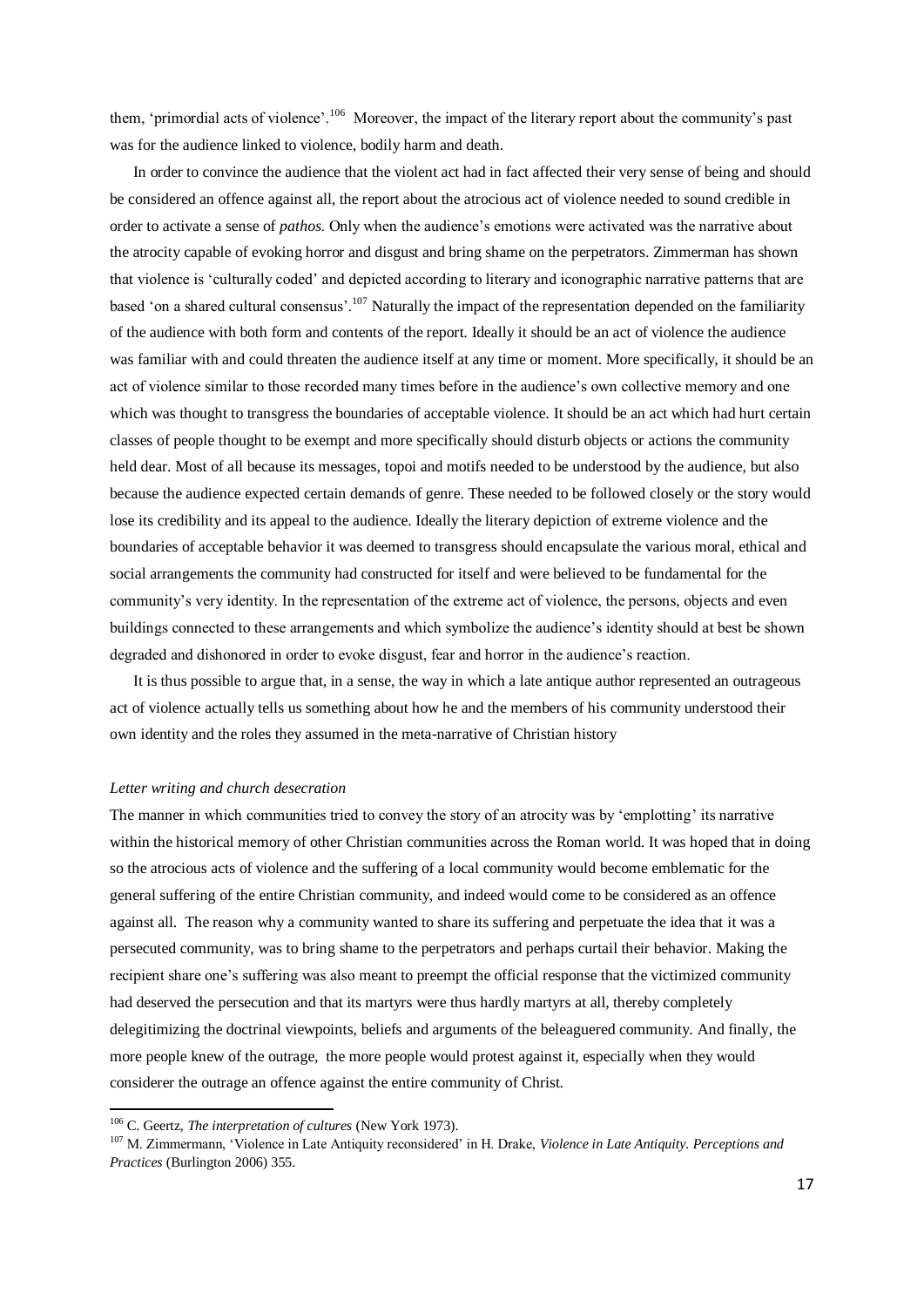them, 'primordial acts of violence'.<sup>106</sup> Moreover, the impact of the literary report about the community's past was for the audience linked to violence, bodily harm and death.

 In order to convince the audience that the violent act had in fact affected their very sense of being and should be considered an offence against all, the report about the atrocious act of violence needed to sound credible in order to activate a sense of *pathos*. Only when the audience's emotions were activated was the narrative about the atrocity capable of evoking horror and disgust and bring shame on the perpetrators. Zimmerman has shown that violence is 'culturally coded' and depicted according to literary and iconographic narrative patterns that are based 'on a shared cultural consensus'.<sup>107</sup> Naturally the impact of the representation depended on the familiarity of the audience with both form and contents of the report. Ideally it should be an act of violence the audience was familiar with and could threaten the audience itself at any time or moment. More specifically, it should be an act of violence similar to those recorded many times before in the audience's own collective memory and one which was thought to transgress the boundaries of acceptable violence. It should be an act which had hurt certain classes of people thought to be exempt and more specifically should disturb objects or actions the community held dear. Most of all because its messages, topoi and motifs needed to be understood by the audience, but also because the audience expected certain demands of genre. These needed to be followed closely or the story would lose its credibility and its appeal to the audience. Ideally the literary depiction of extreme violence and the boundaries of acceptable behavior it was deemed to transgress should encapsulate the various moral, ethical and social arrangements the community had constructed for itself and were believed to be fundamental for the community's very identity. In the representation of the extreme act of violence, the persons, objects and even buildings connected to these arrangements and which symbolize the audience's identity should at best be shown degraded and dishonored in order to evoke disgust, fear and horror in the audience's reaction.

 It is thus possible to argue that, in a sense, the way in which a late antique author represented an outrageous act of violence actually tells us something about how he and the members of his community understood their own identity and the roles they assumed in the meta-narrative of Christian history

## *Letter writing and church desecration*

The manner in which communities tried to convey the story of an atrocity was by 'emplotting' its narrative within the historical memory of other Christian communities across the Roman world. It was hoped that in doing so the atrocious acts of violence and the suffering of a local community would become emblematic for the general suffering of the entire Christian community, and indeed would come to be considered as an offence against all. The reason why a community wanted to share its suffering and perpetuate the idea that it was a persecuted community, was to bring shame to the perpetrators and perhaps curtail their behavior. Making the recipient share one's suffering was also meant to preempt the official response that the victimized community had deserved the persecution and that its martyrs were thus hardly martyrs at all, thereby completely delegitimizing the doctrinal viewpoints, beliefs and arguments of the beleaguered community. And finally, the more people knew of the outrage, the more people would protest against it, especially when they would considerer the outrage an offence against the entire community of Christ.

<sup>106</sup> C. Geertz, *The interpretation of cultures* (New York 1973).

<sup>107</sup> M. Zimmermann, 'Violence in Late Antiquity reconsidered' in H. Drake, *Violence in Late Antiquity. Perceptions and Practices* (Burlington 2006) 355.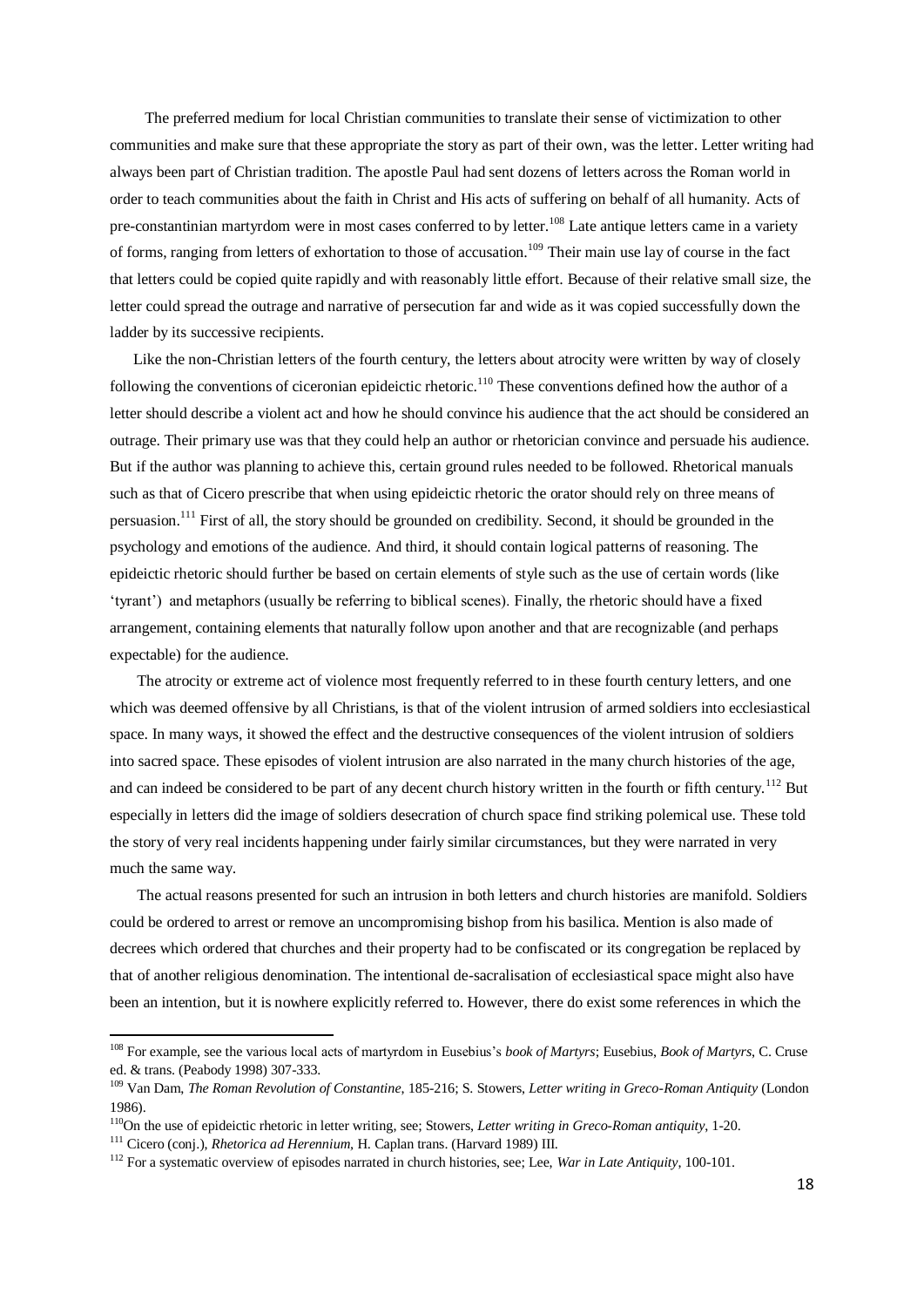The preferred medium for local Christian communities to translate their sense of victimization to other communities and make sure that these appropriate the story as part of their own, was the letter. Letter writing had always been part of Christian tradition. The apostle Paul had sent dozens of letters across the Roman world in order to teach communities about the faith in Christ and His acts of suffering on behalf of all humanity. Acts of pre-constantinian martyrdom were in most cases conferred to by letter.<sup>108</sup> Late antique letters came in a variety of forms, ranging from letters of exhortation to those of accusation.<sup>109</sup> Their main use lay of course in the fact that letters could be copied quite rapidly and with reasonably little effort. Because of their relative small size, the letter could spread the outrage and narrative of persecution far and wide as it was copied successfully down the ladder by its successive recipients.

 Like the non-Christian letters of the fourth century, the letters about atrocity were written by way of closely following the conventions of ciceronian epideictic rhetoric.<sup>110</sup> These conventions defined how the author of a letter should describe a violent act and how he should convince his audience that the act should be considered an outrage. Their primary use was that they could help an author or rhetorician convince and persuade his audience. But if the author was planning to achieve this, certain ground rules needed to be followed. Rhetorical manuals such as that of Cicero prescribe that when using epideictic rhetoric the orator should rely on three means of persuasion.<sup>111</sup> First of all, the story should be grounded on credibility. Second, it should be grounded in the psychology and emotions of the audience. And third, it should contain logical patterns of reasoning. The epideictic rhetoric should further be based on certain elements of style such as the use of certain words (like 'tyrant') and metaphors (usually be referring to biblical scenes). Finally, the rhetoric should have a fixed arrangement, containing elements that naturally follow upon another and that are recognizable (and perhaps expectable) for the audience.

 The atrocity or extreme act of violence most frequently referred to in these fourth century letters, and one which was deemed offensive by all Christians, is that of the violent intrusion of armed soldiers into ecclesiastical space. In many ways, it showed the effect and the destructive consequences of the violent intrusion of soldiers into sacred space. These episodes of violent intrusion are also narrated in the many church histories of the age, and can indeed be considered to be part of any decent church history written in the fourth or fifth century.<sup>112</sup> But especially in letters did the image of soldiers desecration of church space find striking polemical use. These told the story of very real incidents happening under fairly similar circumstances, but they were narrated in very much the same way.

 The actual reasons presented for such an intrusion in both letters and church histories are manifold. Soldiers could be ordered to arrest or remove an uncompromising bishop from his basilica. Mention is also made of decrees which ordered that churches and their property had to be confiscated or its congregation be replaced by that of another religious denomination. The intentional de-sacralisation of ecclesiastical space might also have been an intention, but it is nowhere explicitly referred to. However, there do exist some references in which the

<sup>108</sup> For example, see the various local acts of martyrdom in Eusebius's *book of Martyrs*; Eusebius, *Book of Martyrs*, C. Cruse ed. & trans. (Peabody 1998) 307-333.

<sup>109</sup> Van Dam, *The Roman Revolution of Constantine*, 185-216; S. Stowers, *Letter writing in Greco-Roman Antiquity* (London 1986).

<sup>110</sup>On the use of epideictic rhetoric in letter writing, see; Stowers, *Letter writing in Greco-Roman antiquity*, 1-20.

<sup>111</sup> Cicero (conj.), *Rhetorica ad Herennium,* H. Caplan trans. (Harvard 1989) III.

<sup>112</sup> For a systematic overview of episodes narrated in church histories, see; Lee, *War in Late Antiquity*, 100-101.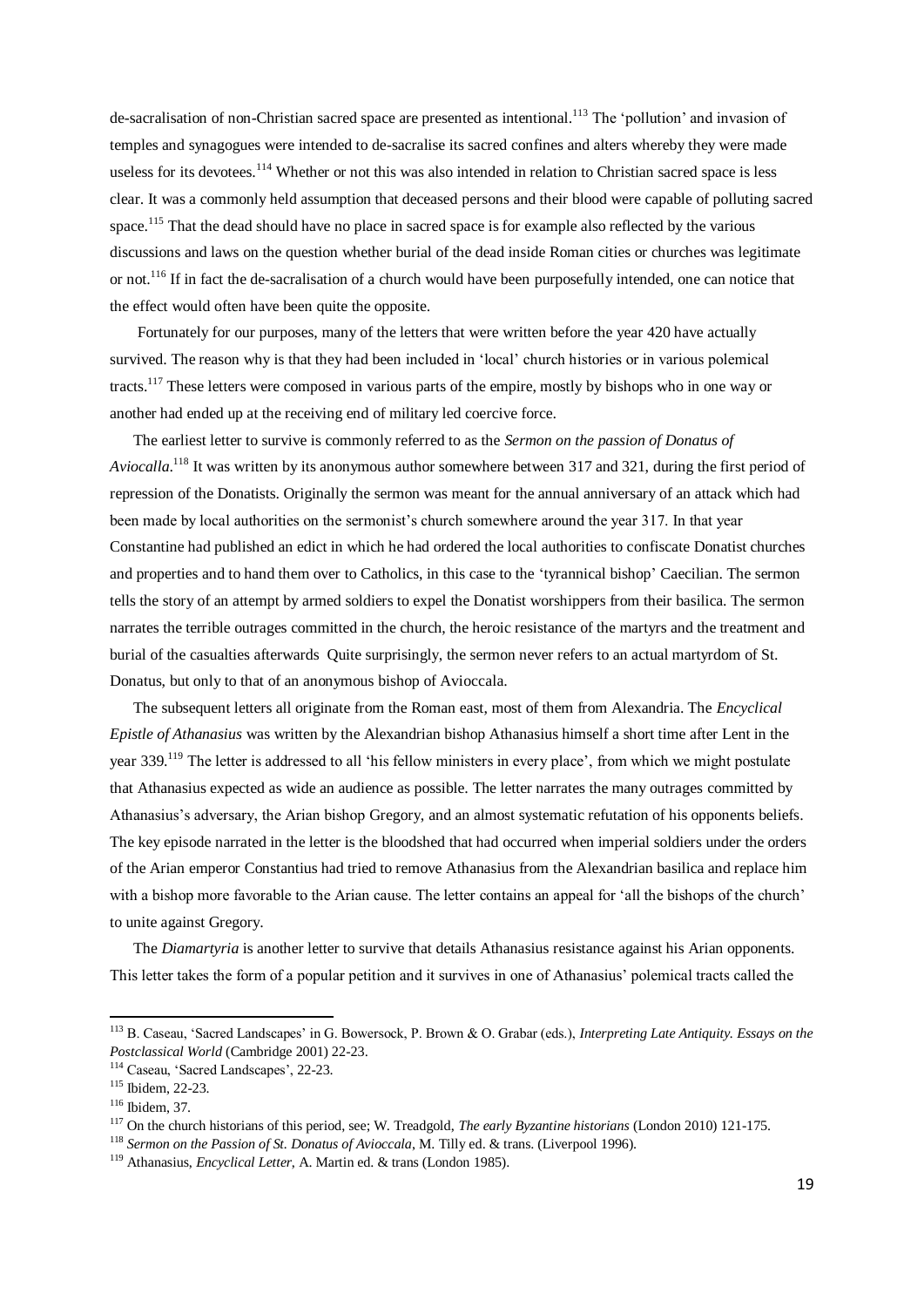de-sacralisation of non-Christian sacred space are presented as intentional.<sup>113</sup> The 'pollution' and invasion of temples and synagogues were intended to de-sacralise its sacred confines and alters whereby they were made useless for its devotees.<sup>114</sup> Whether or not this was also intended in relation to Christian sacred space is less clear. It was a commonly held assumption that deceased persons and their blood were capable of polluting sacred space.<sup>115</sup> That the dead should have no place in sacred space is for example also reflected by the various discussions and laws on the question whether burial of the dead inside Roman cities or churches was legitimate or not.<sup>116</sup> If in fact the de-sacralisation of a church would have been purposefully intended, one can notice that the effect would often have been quite the opposite.

 Fortunately for our purposes, many of the letters that were written before the year 420 have actually survived. The reason why is that they had been included in 'local' church histories or in various polemical tracts.<sup>117</sup> These letters were composed in various parts of the empire, mostly by bishops who in one way or another had ended up at the receiving end of military led coercive force.

 The earliest letter to survive is commonly referred to as the *Sermon on the passion of Donatus of Aviocalla*. <sup>118</sup> It was written by its anonymous author somewhere between 317 and 321, during the first period of repression of the Donatists. Originally the sermon was meant for the annual anniversary of an attack which had been made by local authorities on the sermonist's church somewhere around the year 317. In that year Constantine had published an edict in which he had ordered the local authorities to confiscate Donatist churches and properties and to hand them over to Catholics, in this case to the 'tyrannical bishop' Caecilian. The sermon tells the story of an attempt by armed soldiers to expel the Donatist worshippers from their basilica. The sermon narrates the terrible outrages committed in the church, the heroic resistance of the martyrs and the treatment and burial of the casualties afterwards Quite surprisingly, the sermon never refers to an actual martyrdom of St. Donatus, but only to that of an anonymous bishop of Avioccala.

 The subsequent letters all originate from the Roman east, most of them from Alexandria. The *Encyclical Epistle of Athanasius* was written by the Alexandrian bishop Athanasius himself a short time after Lent in the year 339.<sup>119</sup> The letter is addressed to all 'his fellow ministers in every place', from which we might postulate that Athanasius expected as wide an audience as possible. The letter narrates the many outrages committed by Athanasius's adversary, the Arian bishop Gregory, and an almost systematic refutation of his opponents beliefs. The key episode narrated in the letter is the bloodshed that had occurred when imperial soldiers under the orders of the Arian emperor Constantius had tried to remove Athanasius from the Alexandrian basilica and replace him with a bishop more favorable to the Arian cause. The letter contains an appeal for 'all the bishops of the church' to unite against Gregory.

 The *Diamartyria* is another letter to survive that details Athanasius resistance against his Arian opponents. This letter takes the form of a popular petition and it survives in one of Athanasius' polemical tracts called the

-

<sup>113</sup> B. Caseau, 'Sacred Landscapes' in G. Bowersock, P. Brown & O. Grabar (eds.), *Interpreting Late Antiquity. Essays on the Postclassical World* (Cambridge 2001) 22-23.

<sup>114</sup> Caseau, 'Sacred Landscapes', 22-23.

<sup>115</sup> Ibidem, 22-23.

<sup>116</sup> Ibidem, 37.

<sup>117</sup> On the church historians of this period, see; W. Treadgold, *The early Byzantine historians* (London 2010) 121-175.

<sup>&</sup>lt;sup>118</sup> Sermon on the Passion of St. Donatus of Avioccala, M. Tilly ed. & trans. (Liverpool 1996).

<sup>119</sup> Athanasius, *Encyclical Letter*, A. Martin ed. & trans (London 1985).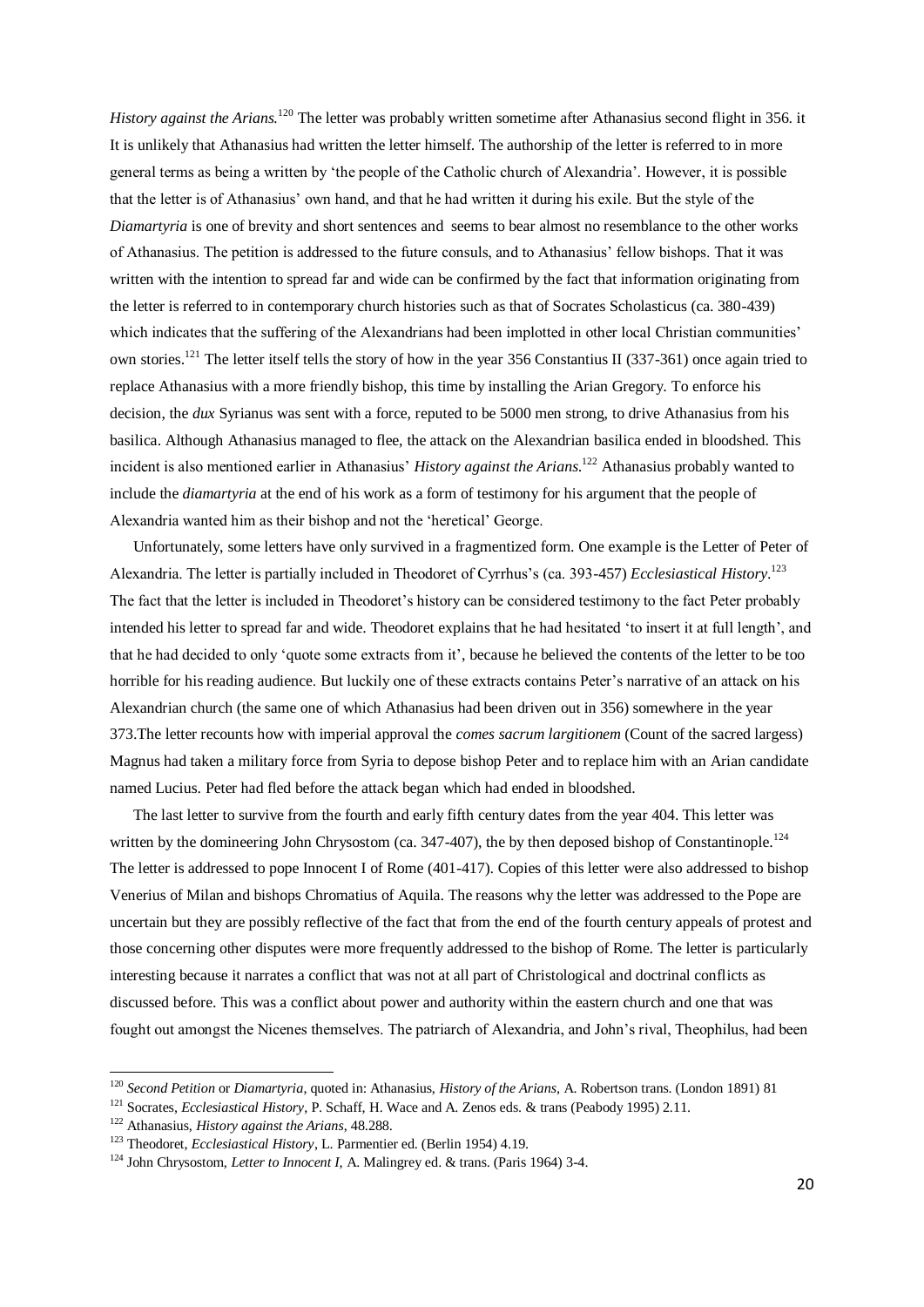*History against the Arians.*<sup>120</sup> The letter was probably written sometime after Athanasius second flight in 356. it It is unlikely that Athanasius had written the letter himself. The authorship of the letter is referred to in more general terms as being a written by 'the people of the Catholic church of Alexandria'. However, it is possible that the letter is of Athanasius' own hand, and that he had written it during his exile. But the style of the *Diamartyria* is one of brevity and short sentences and seems to bear almost no resemblance to the other works of Athanasius. The petition is addressed to the future consuls, and to Athanasius' fellow bishops. That it was written with the intention to spread far and wide can be confirmed by the fact that information originating from the letter is referred to in contemporary church histories such as that of Socrates Scholasticus (ca. 380-439) which indicates that the suffering of the Alexandrians had been implotted in other local Christian communities' own stories.<sup>121</sup> The letter itself tells the story of how in the year 356 Constantius II (337-361) once again tried to replace Athanasius with a more friendly bishop, this time by installing the Arian Gregory. To enforce his decision, the *dux* Syrianus was sent with a force, reputed to be 5000 men strong, to drive Athanasius from his basilica. Although Athanasius managed to flee, the attack on the Alexandrian basilica ended in bloodshed. This incident is also mentioned earlier in Athanasius' *History against the Arians*. <sup>122</sup> Athanasius probably wanted to include the *diamartyria* at the end of his work as a form of testimony for his argument that the people of Alexandria wanted him as their bishop and not the 'heretical' George.

 Unfortunately, some letters have only survived in a fragmentized form. One example is the Letter of Peter of Alexandria. The letter is partially included in Theodoret of Cyrrhus's (ca. 393-457) *Ecclesiastical History*. 123 The fact that the letter is included in Theodoret's history can be considered testimony to the fact Peter probably intended his letter to spread far and wide. Theodoret explains that he had hesitated 'to insert it at full length', and that he had decided to only 'quote some extracts from it', because he believed the contents of the letter to be too horrible for his reading audience. But luckily one of these extracts contains Peter's narrative of an attack on his Alexandrian church (the same one of which Athanasius had been driven out in 356) somewhere in the year 373.The letter recounts how with imperial approval the *comes sacrum largitionem* (Count of the sacred largess) Magnus had taken a military force from Syria to depose bishop Peter and to replace him with an Arian candidate named Lucius. Peter had fled before the attack began which had ended in bloodshed.

 The last letter to survive from the fourth and early fifth century dates from the year 404. This letter was written by the domineering John Chrysostom (ca. 347-407), the by then deposed bishop of Constantinople.<sup>124</sup> The letter is addressed to pope Innocent I of Rome (401-417). Copies of this letter were also addressed to bishop Venerius of Milan and bishops Chromatius of Aquila. The reasons why the letter was addressed to the Pope are uncertain but they are possibly reflective of the fact that from the end of the fourth century appeals of protest and those concerning other disputes were more frequently addressed to the bishop of Rome. The letter is particularly interesting because it narrates a conflict that was not at all part of Christological and doctrinal conflicts as discussed before. This was a conflict about power and authority within the eastern church and one that was fought out amongst the Nicenes themselves. The patriarch of Alexandria, and John's rival, Theophilus, had been

<sup>120</sup> *Second Petition* or *Diamartyria*, quoted in: Athanasius, *History of the Arians*, A. Robertson trans. (London 1891) 81

<sup>121</sup> Socrates, *Ecclesiastical History*, P. Schaff, H. Wace and A. Zenos eds. & trans (Peabody 1995) 2.11.

<sup>122</sup> Athanasius, *History against the Arians*, 48.288.

<sup>123</sup> Theodoret, *Ecclesiastical History*, L. Parmentier ed. (Berlin 1954) 4.19.

<sup>124</sup> John Chrysostom, *Letter to Innocent I*, A. Malingrey ed. & trans. (Paris 1964) 3-4.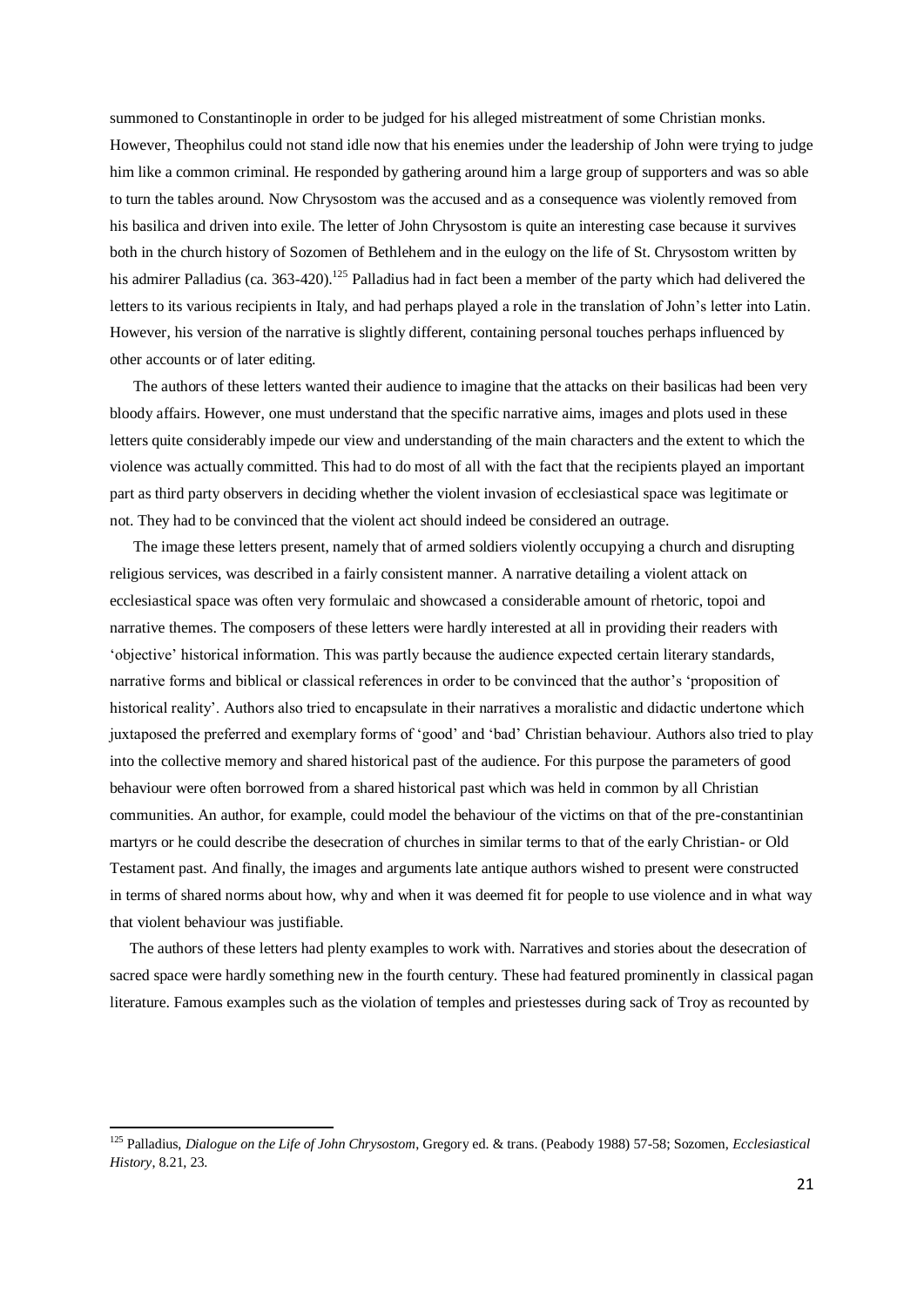summoned to Constantinople in order to be judged for his alleged mistreatment of some Christian monks. However, Theophilus could not stand idle now that his enemies under the leadership of John were trying to judge him like a common criminal. He responded by gathering around him a large group of supporters and was so able to turn the tables around. Now Chrysostom was the accused and as a consequence was violently removed from his basilica and driven into exile. The letter of John Chrysostom is quite an interesting case because it survives both in the church history of Sozomen of Bethlehem and in the eulogy on the life of St. Chrysostom written by his admirer Palladius (ca. 363-420).<sup>125</sup> Palladius had in fact been a member of the party which had delivered the letters to its various recipients in Italy, and had perhaps played a role in the translation of John's letter into Latin. However, his version of the narrative is slightly different, containing personal touches perhaps influenced by other accounts or of later editing.

 The authors of these letters wanted their audience to imagine that the attacks on their basilicas had been very bloody affairs. However, one must understand that the specific narrative aims, images and plots used in these letters quite considerably impede our view and understanding of the main characters and the extent to which the violence was actually committed. This had to do most of all with the fact that the recipients played an important part as third party observers in deciding whether the violent invasion of ecclesiastical space was legitimate or not. They had to be convinced that the violent act should indeed be considered an outrage.

 The image these letters present, namely that of armed soldiers violently occupying a church and disrupting religious services, was described in a fairly consistent manner. A narrative detailing a violent attack on ecclesiastical space was often very formulaic and showcased a considerable amount of rhetoric, topoi and narrative themes. The composers of these letters were hardly interested at all in providing their readers with 'objective' historical information. This was partly because the audience expected certain literary standards, narrative forms and biblical or classical references in order to be convinced that the author's 'proposition of historical reality'. Authors also tried to encapsulate in their narratives a moralistic and didactic undertone which juxtaposed the preferred and exemplary forms of 'good' and 'bad' Christian behaviour. Authors also tried to play into the collective memory and shared historical past of the audience. For this purpose the parameters of good behaviour were often borrowed from a shared historical past which was held in common by all Christian communities. An author, for example, could model the behaviour of the victims on that of the pre-constantinian martyrs or he could describe the desecration of churches in similar terms to that of the early Christian- or Old Testament past. And finally, the images and arguments late antique authors wished to present were constructed in terms of shared norms about how, why and when it was deemed fit for people to use violence and in what way that violent behaviour was justifiable.

 The authors of these letters had plenty examples to work with. Narratives and stories about the desecration of sacred space were hardly something new in the fourth century. These had featured prominently in classical pagan literature. Famous examples such as the violation of temples and priestesses during sack of Troy as recounted by

<sup>125</sup> Palladius, *Dialogue on the Life of John Chrysostom*, Gregory ed. & trans. (Peabody 1988) 57-58; Sozomen, *Ecclesiastical History*, 8.21, 23.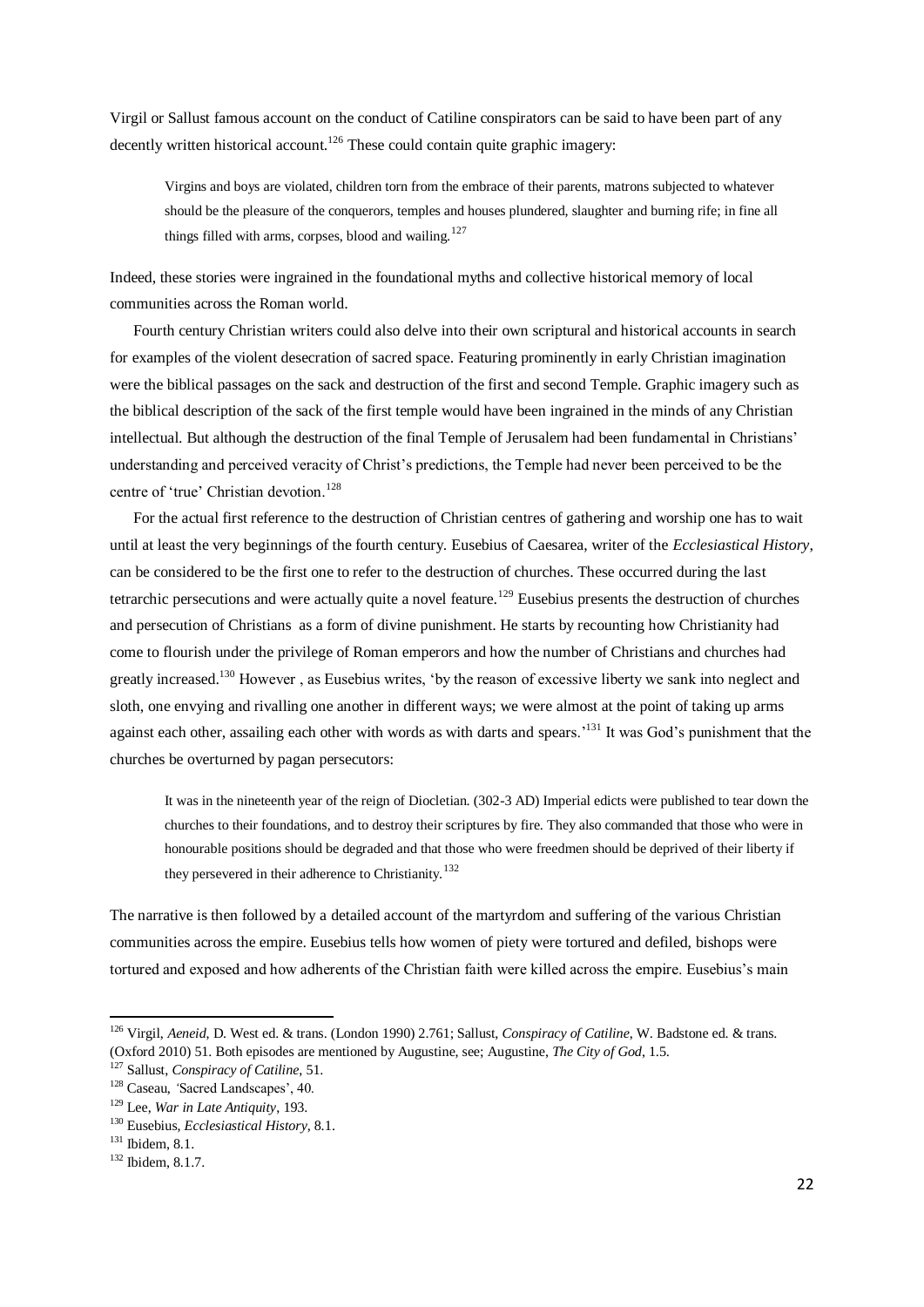Virgil or Sallust famous account on the conduct of Catiline conspirators can be said to have been part of any decently written historical account.<sup>126</sup> These could contain quite graphic imagery:

Virgins and boys are violated, children torn from the embrace of their parents, matrons subjected to whatever should be the pleasure of the conquerors, temples and houses plundered, slaughter and burning rife; in fine all things filled with arms, corpses, blood and wailing.<sup>127</sup>

Indeed, these stories were ingrained in the foundational myths and collective historical memory of local communities across the Roman world.

 Fourth century Christian writers could also delve into their own scriptural and historical accounts in search for examples of the violent desecration of sacred space. Featuring prominently in early Christian imagination were the biblical passages on the sack and destruction of the first and second Temple. Graphic imagery such as the biblical description of the sack of the first temple would have been ingrained in the minds of any Christian intellectual. But although the destruction of the final Temple of Jerusalem had been fundamental in Christians' understanding and perceived veracity of Christ's predictions, the Temple had never been perceived to be the centre of 'true' Christian devotion.<sup>128</sup>

 For the actual first reference to the destruction of Christian centres of gathering and worship one has to wait until at least the very beginnings of the fourth century. Eusebius of Caesarea, writer of the *Ecclesiastical History*, can be considered to be the first one to refer to the destruction of churches. These occurred during the last tetrarchic persecutions and were actually quite a novel feature.<sup>129</sup> Eusebius presents the destruction of churches and persecution of Christians as a form of divine punishment. He starts by recounting how Christianity had come to flourish under the privilege of Roman emperors and how the number of Christians and churches had greatly increased.<sup>130</sup> However , as Eusebius writes, 'by the reason of excessive liberty we sank into neglect and sloth, one envying and rivalling one another in different ways; we were almost at the point of taking up arms against each other, assailing each other with words as with darts and spears.<sup>131</sup> It was God's punishment that the churches be overturned by pagan persecutors:

It was in the nineteenth year of the reign of Diocletian. (302-3 AD) Imperial edicts were published to tear down the churches to their foundations, and to destroy their scriptures by fire. They also commanded that those who were in honourable positions should be degraded and that those who were freedmen should be deprived of their liberty if they persevered in their adherence to Christianity.<sup>132</sup>

The narrative is then followed by a detailed account of the martyrdom and suffering of the various Christian communities across the empire. Eusebius tells how women of piety were tortured and defiled, bishops were tortured and exposed and how adherents of the Christian faith were killed across the empire. Eusebius's main

-

<sup>126</sup> Virgil, *Aeneid*, D. West ed. & trans. (London 1990) 2.761; Sallust, *Conspiracy of Catiline*, W. Badstone ed. & trans. (Oxford 2010) 51. Both episodes are mentioned by Augustine, see; Augustine, *The City of God*, 1.5.

<sup>127</sup> Sallust, *Conspiracy of Catiline*, 51.

<sup>128</sup> Caseau, *'*Sacred Landscapes', 40.

<sup>129</sup> Lee, *War in Late Antiquity*, 193.

<sup>130</sup> Eusebius, *Ecclesiastical History*, 8.1.

<sup>131</sup> Ibidem, 8.1.

<sup>132</sup> Ibidem, 8.1.7.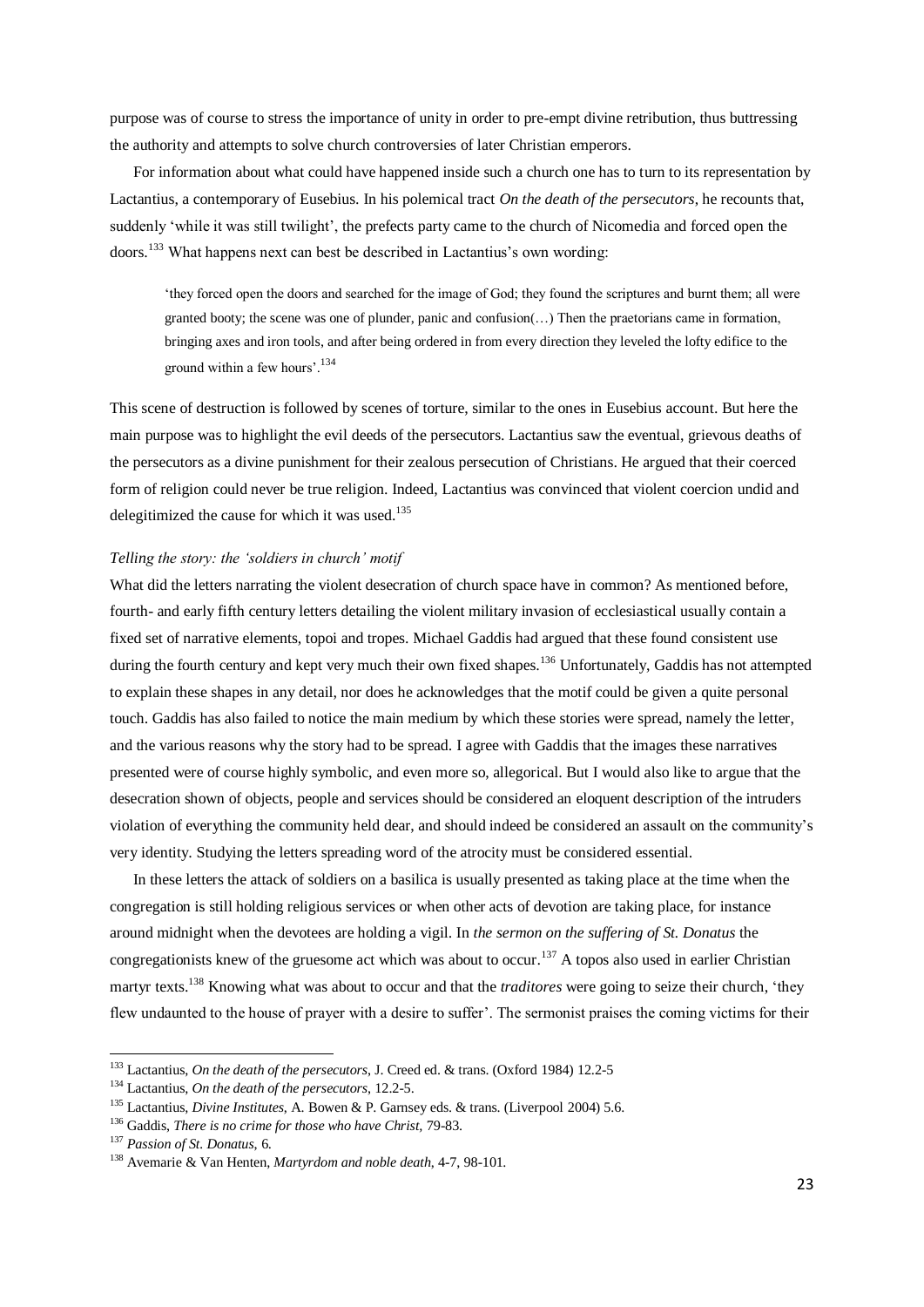purpose was of course to stress the importance of unity in order to pre-empt divine retribution, thus buttressing the authority and attempts to solve church controversies of later Christian emperors.

 For information about what could have happened inside such a church one has to turn to its representation by Lactantius, a contemporary of Eusebius. In his polemical tract *On the death of the persecutors*, he recounts that, suddenly 'while it was still twilight', the prefects party came to the church of Nicomedia and forced open the doors.<sup>133</sup> What happens next can best be described in Lactantius's own wording:

'they forced open the doors and searched for the image of God; they found the scriptures and burnt them; all were granted booty; the scene was one of plunder, panic and confusion(…) Then the praetorians came in formation, bringing axes and iron tools, and after being ordered in from every direction they leveled the lofty edifice to the ground within a few hours'.<sup>134</sup>

This scene of destruction is followed by scenes of torture, similar to the ones in Eusebius account. But here the main purpose was to highlight the evil deeds of the persecutors. Lactantius saw the eventual, grievous deaths of the persecutors as a divine punishment for their zealous persecution of Christians. He argued that their coerced form of religion could never be true religion. Indeed, Lactantius was convinced that violent coercion undid and delegitimized the cause for which it was used. $135$ 

# *Telling the story: the 'soldiers in church' motif*

What did the letters narrating the violent desecration of church space have in common? As mentioned before, fourth- and early fifth century letters detailing the violent military invasion of ecclesiastical usually contain a fixed set of narrative elements, topoi and tropes. Michael Gaddis had argued that these found consistent use during the fourth century and kept very much their own fixed shapes.<sup>136</sup> Unfortunately, Gaddis has not attempted to explain these shapes in any detail, nor does he acknowledges that the motif could be given a quite personal touch. Gaddis has also failed to notice the main medium by which these stories were spread, namely the letter, and the various reasons why the story had to be spread. I agree with Gaddis that the images these narratives presented were of course highly symbolic, and even more so, allegorical. But I would also like to argue that the desecration shown of objects, people and services should be considered an eloquent description of the intruders violation of everything the community held dear, and should indeed be considered an assault on the community's very identity. Studying the letters spreading word of the atrocity must be considered essential.

 In these letters the attack of soldiers on a basilica is usually presented as taking place at the time when the congregation is still holding religious services or when other acts of devotion are taking place, for instance around midnight when the devotees are holding a vigil. In *the sermon on the suffering of St. Donatus* the congregationists knew of the gruesome act which was about to occur.<sup>137</sup> A topos also used in earlier Christian martyr texts.<sup>138</sup> Knowing what was about to occur and that the *traditores* were going to seize their church, 'they flew undaunted to the house of prayer with a desire to suffer'. The sermonist praises the coming victims for their

<sup>133</sup> Lactantius, *On the death of the persecutors*, J. Creed ed. & trans. (Oxford 1984) 12.2-5

<sup>134</sup> Lactantius, *On the death of the persecutors*, 12.2-5.

<sup>135</sup> Lactantius, *Divine Institutes*, A. Bowen & P. Garnsey eds. & trans. (Liverpool 2004) 5.6.

<sup>136</sup> Gaddis, *There is no crime for those who have Christ,* 79-83.

<sup>137</sup> *Passion of St. Donatus*, 6.

<sup>138</sup> Avemarie & Van Henten, *Martyrdom and noble death*, 4-7, 98-101.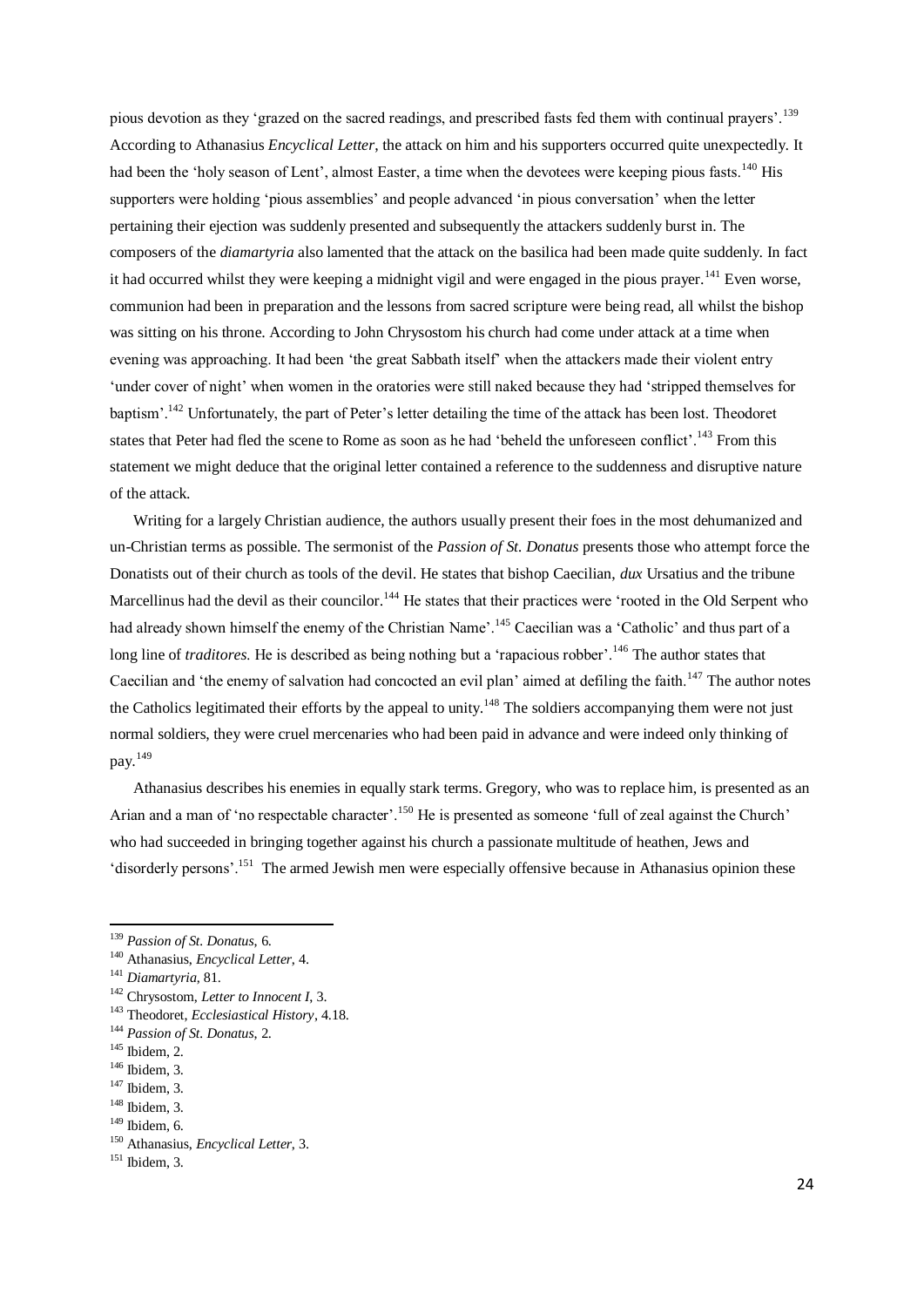pious devotion as they 'grazed on the sacred readings, and prescribed fasts fed them with continual prayers'.<sup>139</sup> According to Athanasius *Encyclical Letter*, the attack on him and his supporters occurred quite unexpectedly. It had been the 'holy season of Lent', almost Easter, a time when the devotees were keeping pious fasts.<sup>140</sup> His supporters were holding 'pious assemblies' and people advanced 'in pious conversation' when the letter pertaining their ejection was suddenly presented and subsequently the attackers suddenly burst in. The composers of the *diamartyria* also lamented that the attack on the basilica had been made quite suddenly. In fact it had occurred whilst they were keeping a midnight vigil and were engaged in the pious prayer.<sup>141</sup> Even worse, communion had been in preparation and the lessons from sacred scripture were being read, all whilst the bishop was sitting on his throne. According to John Chrysostom his church had come under attack at a time when evening was approaching. It had been 'the great Sabbath itself' when the attackers made their violent entry 'under cover of night' when women in the oratories were still naked because they had 'stripped themselves for baptism'.<sup>142</sup> Unfortunately, the part of Peter's letter detailing the time of the attack has been lost. Theodoret states that Peter had fled the scene to Rome as soon as he had 'beheld the unforeseen conflict'.<sup>143</sup> From this statement we might deduce that the original letter contained a reference to the suddenness and disruptive nature of the attack.

 Writing for a largely Christian audience, the authors usually present their foes in the most dehumanized and un-Christian terms as possible. The sermonist of the *Passion of St. Donatus* presents those who attempt force the Donatists out of their church as tools of the devil. He states that bishop Caecilian, *dux* Ursatius and the tribune Marcellinus had the devil as their councilor.<sup>144</sup> He states that their practices were 'rooted in the Old Serpent who had already shown himself the enemy of the Christian Name'.<sup>145</sup> Caecilian was a 'Catholic' and thus part of a long line of *traditores*. He is described as being nothing but a 'rapacious robber'.<sup>146</sup> The author states that Caecilian and 'the enemy of salvation had concocted an evil plan' aimed at defiling the faith.<sup>147</sup> The author notes the Catholics legitimated their efforts by the appeal to unity.<sup>148</sup> The soldiers accompanying them were not just normal soldiers, they were cruel mercenaries who had been paid in advance and were indeed only thinking of pay.<sup>149</sup>

 Athanasius describes his enemies in equally stark terms. Gregory, who was to replace him, is presented as an Arian and a man of 'no respectable character'.<sup>150</sup> He is presented as someone 'full of zeal against the Church' who had succeeded in bringing together against his church a passionate multitude of heathen, Jews and 'disorderly persons'.<sup>151</sup> The armed Jewish men were especially offensive because in Athanasius opinion these

<sup>139</sup> *Passion of St. Donatus*, 6.

<sup>140</sup> Athanasius, *Encyclical Letter*, 4.

<sup>141</sup> *Diamartyria*, 81.

<sup>142</sup> Chrysostom, *Letter to Innocent I*, 3.

<sup>143</sup> Theodoret, *Ecclesiastical History*, 4.18.

<sup>144</sup> *Passion of St. Donatus*, 2.

<sup>145</sup> Ibidem, 2.

<sup>&</sup>lt;sup>146</sup> Ibidem, 3.

<sup>147</sup> Ibidem, 3.

<sup>148</sup> Ibidem, 3.

 $149$  Ibidem, 6.

<sup>150</sup> Athanasius, *Encyclical Letter*, 3.

 $151$  Ibidem, 3.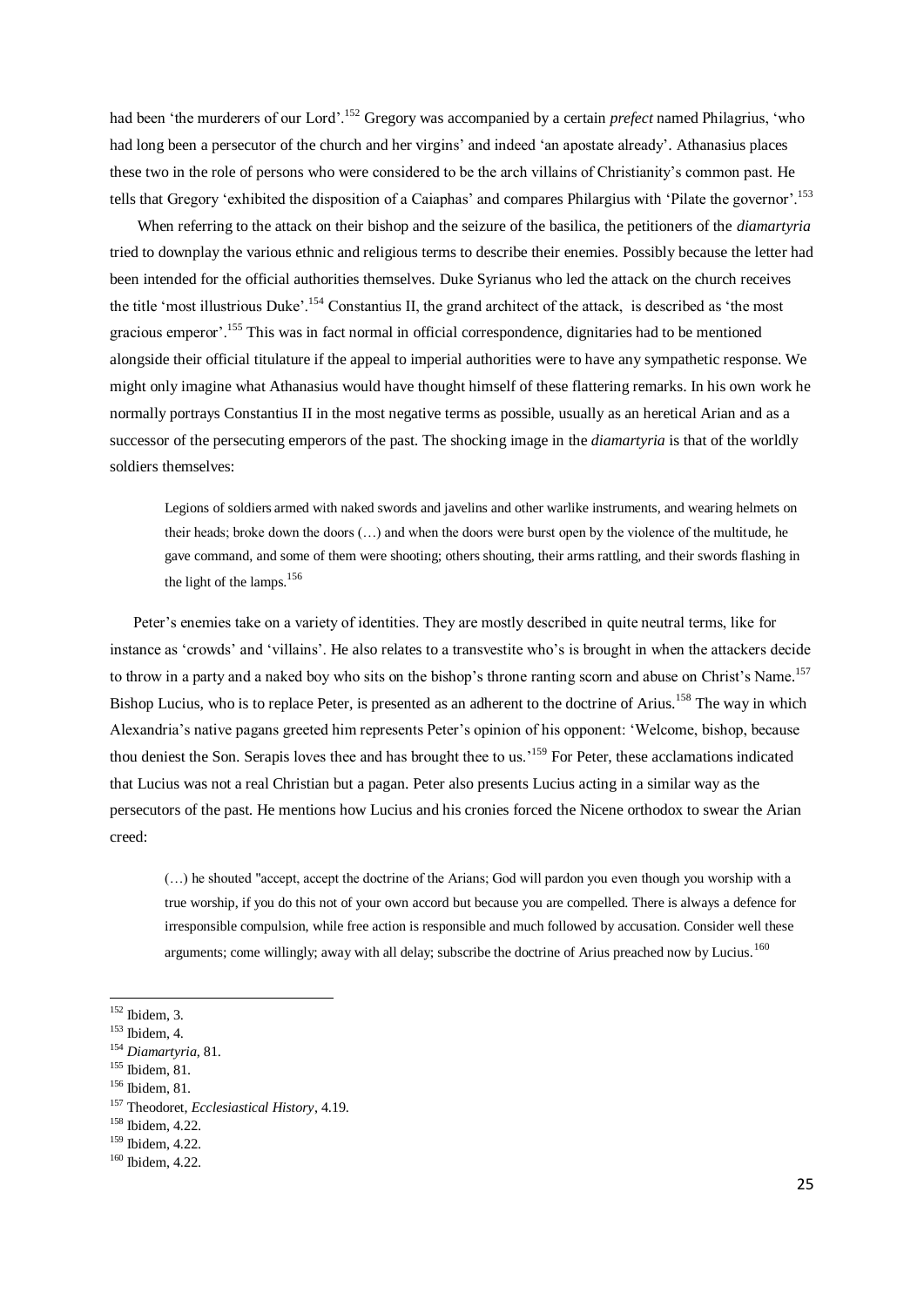had been 'the murderers of our Lord'.<sup>152</sup> Gregory was accompanied by a certain *prefect* named Philagrius, 'who had long been a persecutor of the church and her virgins' and indeed 'an apostate already'. Athanasius places these two in the role of persons who were considered to be the arch villains of Christianity's common past. He tells that Gregory 'exhibited the disposition of a Caiaphas' and compares Philargius with 'Pilate the governor'.<sup>153</sup>

 When referring to the attack on their bishop and the seizure of the basilica, the petitioners of the *diamartyria* tried to downplay the various ethnic and religious terms to describe their enemies. Possibly because the letter had been intended for the official authorities themselves. Duke Syrianus who led the attack on the church receives the title 'most illustrious Duke'.<sup>154</sup> Constantius II, the grand architect of the attack, is described as 'the most gracious emperor'.<sup>155</sup> This was in fact normal in official correspondence, dignitaries had to be mentioned alongside their official titulature if the appeal to imperial authorities were to have any sympathetic response. We might only imagine what Athanasius would have thought himself of these flattering remarks. In his own work he normally portrays Constantius II in the most negative terms as possible, usually as an heretical Arian and as a successor of the persecuting emperors of the past. The shocking image in the *diamartyria* is that of the worldly soldiers themselves:

Legions of soldiers armed with naked swords and javelins and other warlike instruments, and wearing helmets on their heads; broke down the doors (…) and when the doors were burst open by the violence of the multitude, he gave command, and some of them were shooting; others shouting, their arms rattling, and their swords flashing in the light of the lamps.<sup>156</sup>

 Peter's enemies take on a variety of identities. They are mostly described in quite neutral terms, like for instance as 'crowds' and 'villains'. He also relates to a transvestite who's is brought in when the attackers decide to throw in a party and a naked boy who sits on the bishop's throne ranting scorn and abuse on Christ's Name.<sup>157</sup> Bishop Lucius, who is to replace Peter, is presented as an adherent to the doctrine of Arius.<sup>158</sup> The way in which Alexandria's native pagans greeted him represents Peter's opinion of his opponent: 'Welcome, bishop, because thou deniest the Son. Serapis loves thee and has brought thee to us.<sup>159</sup> For Peter, these acclamations indicated that Lucius was not a real Christian but a pagan. Peter also presents Lucius acting in a similar way as the persecutors of the past. He mentions how Lucius and his cronies forced the Nicene orthodox to swear the Arian creed:

(…) he shouted "accept, accept the doctrine of the Arians; God will pardon you even though you worship with a true worship, if you do this not of your own accord but because you are compelled. There is always a defence for irresponsible compulsion, while free action is responsible and much followed by accusation. Consider well these arguments; come willingly; away with all delay; subscribe the doctrine of Arius preached now by Lucius.<sup>160</sup>

-

- <sup>155</sup> Ibidem, 81.
- <sup>156</sup> Ibidem, 81.

 $152$  Ibidem, 3.

 $153$  Ibidem, 4.

<sup>154</sup> *Diamartyria*, 81.

<sup>157</sup> Theodoret, *Ecclesiastical History*, 4.19.

<sup>158</sup> Ibidem, 4.22.

<sup>159</sup> Ibidem, 4.22.

<sup>160</sup> Ibidem, 4.22.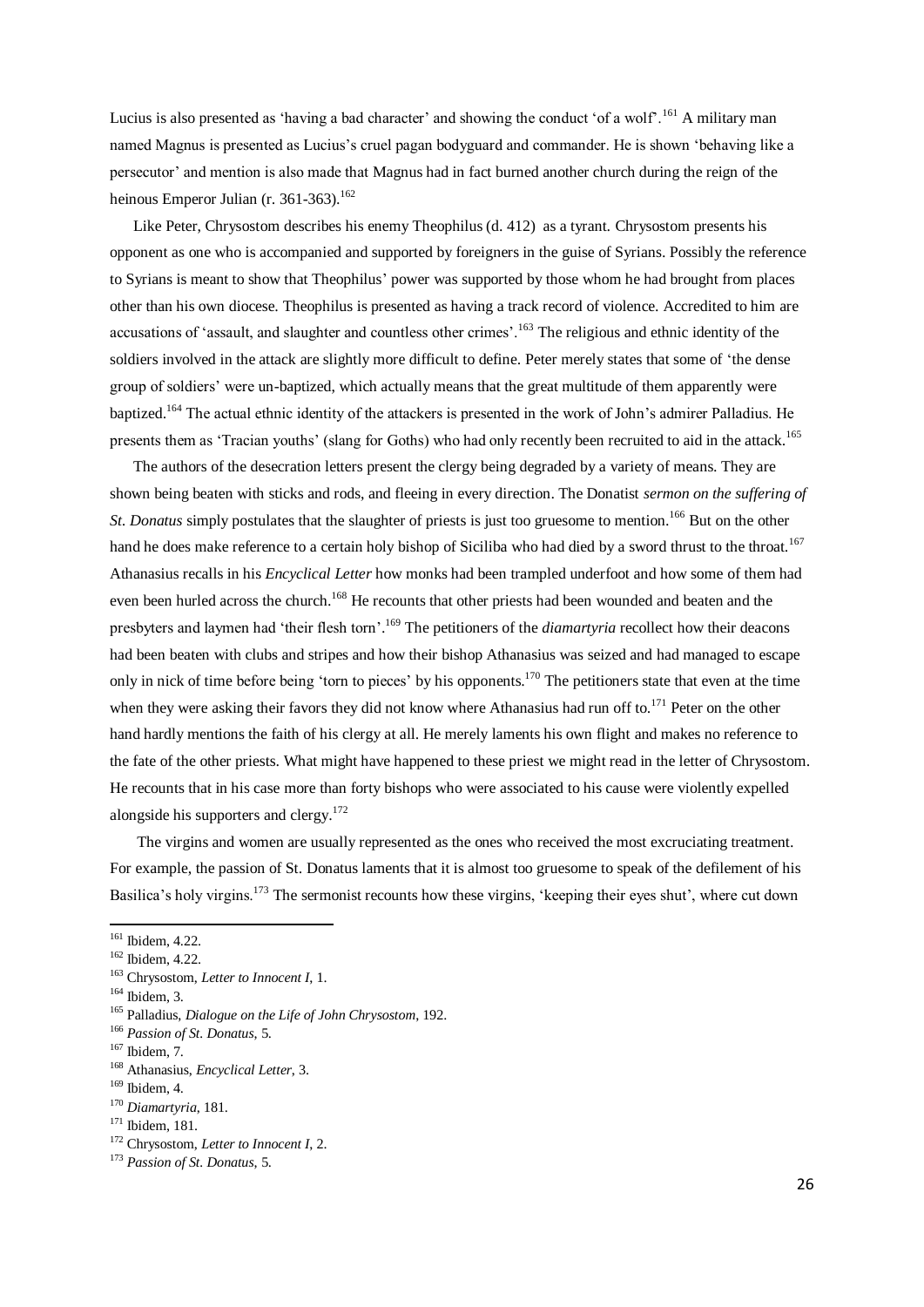Lucius is also presented as 'having a bad character' and showing the conduct 'of a wolf'.<sup>161</sup> A military man named Magnus is presented as Lucius's cruel pagan bodyguard and commander. He is shown 'behaving like a persecutor' and mention is also made that Magnus had in fact burned another church during the reign of the heinous Emperor Julian (r. 361-363).<sup>162</sup>

 Like Peter, Chrysostom describes his enemy Theophilus (d. 412) as a tyrant. Chrysostom presents his opponent as one who is accompanied and supported by foreigners in the guise of Syrians. Possibly the reference to Syrians is meant to show that Theophilus' power was supported by those whom he had brought from places other than his own diocese. Theophilus is presented as having a track record of violence. Accredited to him are accusations of 'assault, and slaughter and countless other crimes'.<sup>163</sup> The religious and ethnic identity of the soldiers involved in the attack are slightly more difficult to define. Peter merely states that some of 'the dense group of soldiers' were un-baptized, which actually means that the great multitude of them apparently were baptized.<sup>164</sup> The actual ethnic identity of the attackers is presented in the work of John's admirer Palladius. He presents them as 'Tracian youths' (slang for Goths) who had only recently been recruited to aid in the attack.<sup>165</sup>

 The authors of the desecration letters present the clergy being degraded by a variety of means. They are shown being beaten with sticks and rods, and fleeing in every direction. The Donatist *sermon on the suffering of St. Donatus* simply postulates that the slaughter of priests is just too gruesome to mention.<sup>166</sup> But on the other hand he does make reference to a certain holy bishop of Siciliba who had died by a sword thrust to the throat.<sup>167</sup> Athanasius recalls in his *Encyclical Letter* how monks had been trampled underfoot and how some of them had even been hurled across the church.<sup>168</sup> He recounts that other priests had been wounded and beaten and the presbyters and laymen had 'their flesh torn'. <sup>169</sup> The petitioners of the *diamartyria* recollect how their deacons had been beaten with clubs and stripes and how their bishop Athanasius was seized and had managed to escape only in nick of time before being 'torn to pieces' by his opponents.<sup>170</sup> The petitioners state that even at the time when they were asking their favors they did not know where Athanasius had run off to.<sup>171</sup> Peter on the other hand hardly mentions the faith of his clergy at all. He merely laments his own flight and makes no reference to the fate of the other priests. What might have happened to these priest we might read in the letter of Chrysostom. He recounts that in his case more than forty bishops who were associated to his cause were violently expelled alongside his supporters and clergy. $172$ 

 The virgins and women are usually represented as the ones who received the most excruciating treatment. For example, the passion of St. Donatus laments that it is almost too gruesome to speak of the defilement of his Basilica's holy virgins.<sup>173</sup> The sermonist recounts how these virgins, 'keeping their eyes shut', where cut down

<sup>161</sup> Ibidem, 4.22.

<sup>162</sup> Ibidem, 4.22.

<sup>163</sup> Chrysostom, *Letter to Innocent I*, 1.

 $164$  Ibidem, 3.

<sup>165</sup> Palladius, *Dialogue on the Life of John Chrysostom*, 192.

<sup>166</sup> *Passion of St. Donatus*, 5.

<sup>167</sup> Ibidem, 7.

<sup>168</sup> Athanasius, *Encyclical Letter*, 3.

<sup>169</sup> Ibidem, 4.

<sup>170</sup> *Diamartyria*, 181.

<sup>171</sup> Ibidem, 181.

<sup>172</sup> Chrysostom, *Letter to Innocent I*, 2.

<sup>173</sup> *Passion of St. Donatus*, 5.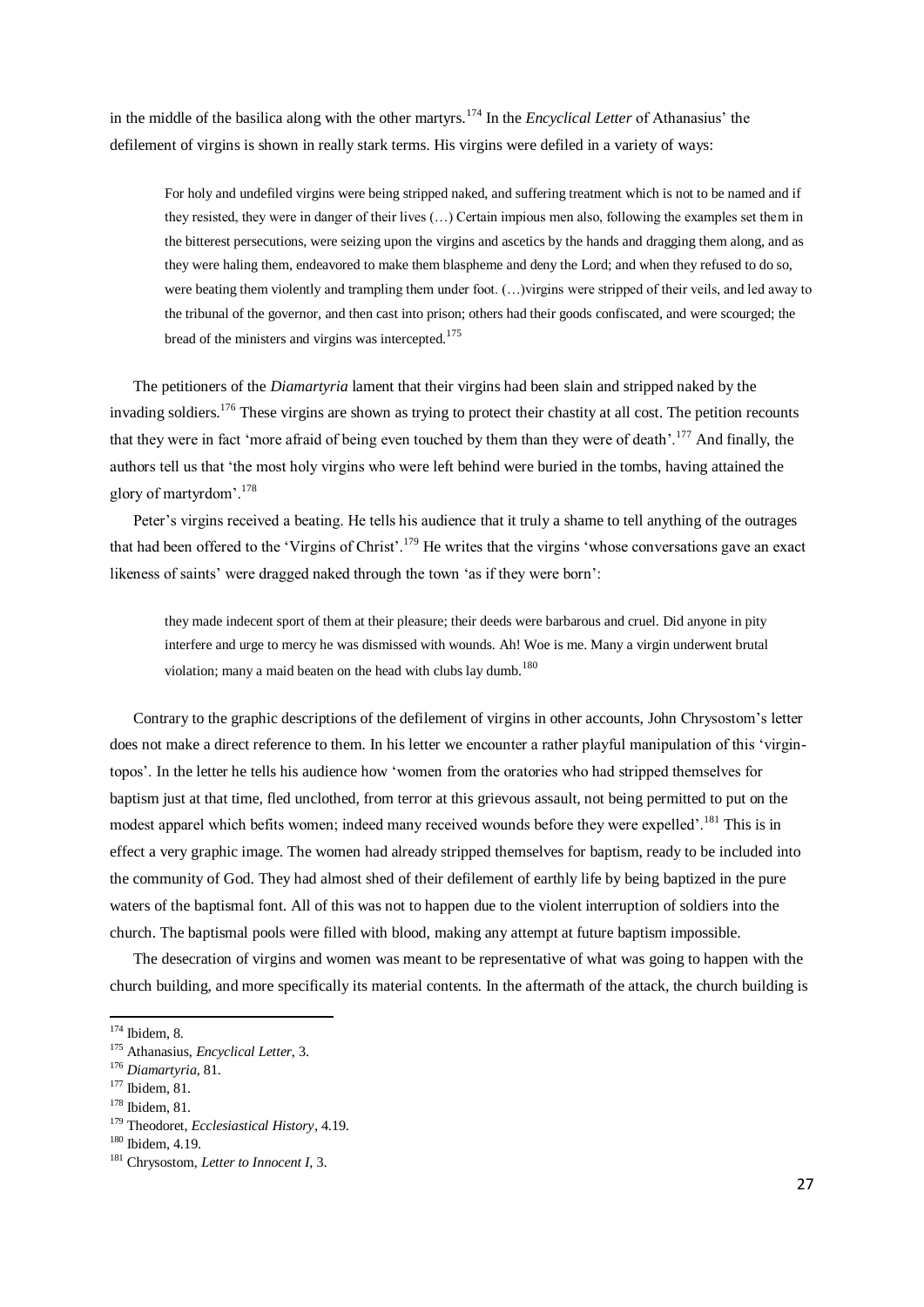in the middle of the basilica along with the other martyrs.<sup>174</sup> In the *Encyclical Letter* of Athanasius' the defilement of virgins is shown in really stark terms. His virgins were defiled in a variety of ways:

For holy and undefiled virgins were being stripped naked, and suffering treatment which is not to be named and if they resisted, they were in danger of their lives (…) Certain impious men also, following the examples set them in the bitterest persecutions, were seizing upon the virgins and ascetics by the hands and dragging them along, and as they were haling them, endeavored to make them blaspheme and deny the Lord; and when they refused to do so, were beating them violently and trampling them under foot. (…)virgins were stripped of their veils, and led away to the tribunal of the governor, and then cast into prison; others had their goods confiscated, and were scourged; the bread of the ministers and virgins was intercepted.<sup>175</sup>

 The petitioners of the *Diamartyria* lament that their virgins had been slain and stripped naked by the invading soldiers.<sup>176</sup> These virgins are shown as trying to protect their chastity at all cost. The petition recounts that they were in fact 'more afraid of being even touched by them than they were of death'.<sup>177</sup> And finally, the authors tell us that 'the most holy virgins who were left behind were buried in the tombs, having attained the glory of martyrdom'.<sup>178</sup>

 Peter's virgins received a beating. He tells his audience that it truly a shame to tell anything of the outrages that had been offered to the 'Virgins of Christ'.<sup>179</sup> He writes that the virgins 'whose conversations gave an exact likeness of saints' were dragged naked through the town 'as if they were born':

they made indecent sport of them at their pleasure; their deeds were barbarous and cruel. Did anyone in pity interfere and urge to mercy he was dismissed with wounds. Ah! Woe is me. Many a virgin underwent brutal violation; many a maid beaten on the head with clubs lay dumb.<sup>180</sup>

 Contrary to the graphic descriptions of the defilement of virgins in other accounts, John Chrysostom's letter does not make a direct reference to them. In his letter we encounter a rather playful manipulation of this 'virgintopos'. In the letter he tells his audience how 'women from the oratories who had stripped themselves for baptism just at that time, fled unclothed, from terror at this grievous assault, not being permitted to put on the modest apparel which befits women; indeed many received wounds before they were expelled'.<sup>181</sup> This is in effect a very graphic image. The women had already stripped themselves for baptism, ready to be included into the community of God. They had almost shed of their defilement of earthly life by being baptized in the pure waters of the baptismal font. All of this was not to happen due to the violent interruption of soldiers into the church. The baptismal pools were filled with blood, making any attempt at future baptism impossible.

 The desecration of virgins and women was meant to be representative of what was going to happen with the church building, and more specifically its material contents. In the aftermath of the attack, the church building is

-

 $174$  Ibidem, 8.

<sup>175</sup> Athanasius, *Encyclical Letter*, 3.

<sup>176</sup> *Diamartyria*, 81.

<sup>177</sup> Ibidem, 81.

<sup>178</sup> Ibidem, 81.

<sup>179</sup> Theodoret, *Ecclesiastical History*, 4.19.

<sup>180</sup> Ibidem, 4.19.

<sup>181</sup> Chrysostom, *Letter to Innocent I*, 3.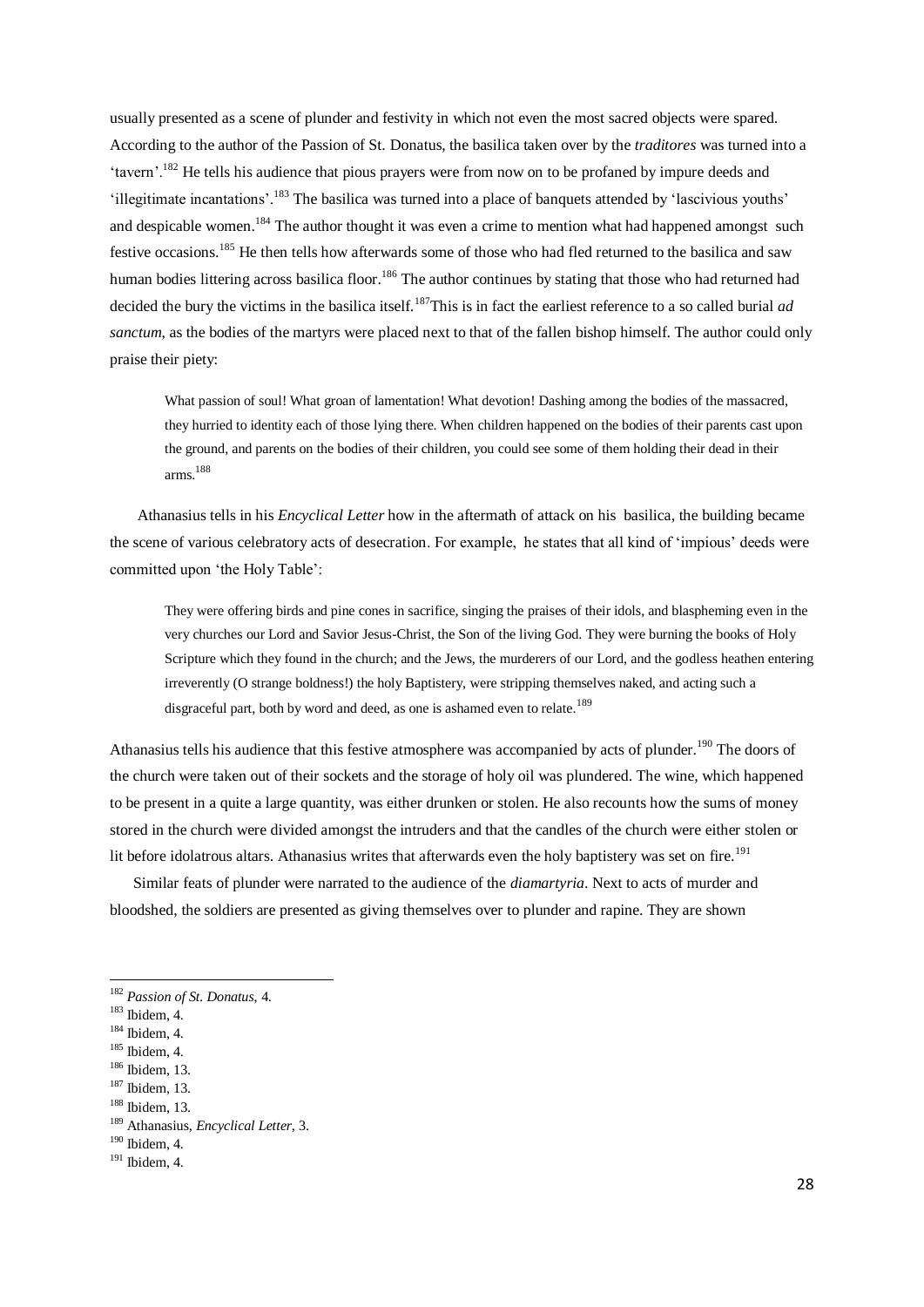usually presented as a scene of plunder and festivity in which not even the most sacred objects were spared. According to the author of the Passion of St. Donatus, the basilica taken over by the *traditores* was turned into a 'tavern'.<sup>182</sup> He tells his audience that pious prayers were from now on to be profaned by impure deeds and 'illegitimate incantations'.<sup>183</sup> The basilica was turned into a place of banquets attended by 'lascivious youths' and despicable women.<sup>184</sup> The author thought it was even a crime to mention what had happened amongst such festive occasions.<sup>185</sup> He then tells how afterwards some of those who had fled returned to the basilica and saw human bodies littering across basilica floor.<sup>186</sup> The author continues by stating that those who had returned had decided the bury the victims in the basilica itself.<sup>187</sup>This is in fact the earliest reference to a so called burial *ad sanctum*, as the bodies of the martyrs were placed next to that of the fallen bishop himself. The author could only praise their piety:

What passion of soul! What groan of lamentation! What devotion! Dashing among the bodies of the massacred, they hurried to identity each of those lying there. When children happened on the bodies of their parents cast upon the ground, and parents on the bodies of their children, you could see some of them holding their dead in their arms. 188

 Athanasius tells in his *Encyclical Letter* how in the aftermath of attack on his basilica, the building became the scene of various celebratory acts of desecration. For example, he states that all kind of 'impious' deeds were committed upon 'the Holy Table':

They were offering birds and pine cones in sacrifice, singing the praises of their idols, and blaspheming even in the very churches our Lord and Savior Jesus-Christ, the Son of the living God. They were burning the books of Holy Scripture which they found in the church; and the Jews, the murderers of our Lord, and the godless heathen entering irreverently (O strange boldness!) the holy Baptistery, were stripping themselves naked, and acting such a disgraceful part, both by word and deed, as one is ashamed even to relate.<sup>189</sup>

Athanasius tells his audience that this festive atmosphere was accompanied by acts of plunder.<sup>190</sup> The doors of the church were taken out of their sockets and the storage of holy oil was plundered. The wine, which happened to be present in a quite a large quantity, was either drunken or stolen. He also recounts how the sums of money stored in the church were divided amongst the intruders and that the candles of the church were either stolen or lit before idolatrous altars. Athanasius writes that afterwards even the holy baptistery was set on fire.<sup>191</sup>

 Similar feats of plunder were narrated to the audience of the *diamartyria*. Next to acts of murder and bloodshed, the soldiers are presented as giving themselves over to plunder and rapine. They are shown

<sup>182</sup> *Passion of St. Donatus*, 4.

<sup>183</sup> Ibidem, 4.

 $184$  Ibidem, 4.

 $185$  Ibidem, 4.

<sup>186</sup> Ibidem, 13.

<sup>187</sup> Ibidem, 13.

<sup>188</sup> Ibidem, 13.

<sup>189</sup> Athanasius, *Encyclical Letter*, 3.

<sup>190</sup> Ibidem, 4.

 $191$  Ibidem, 4.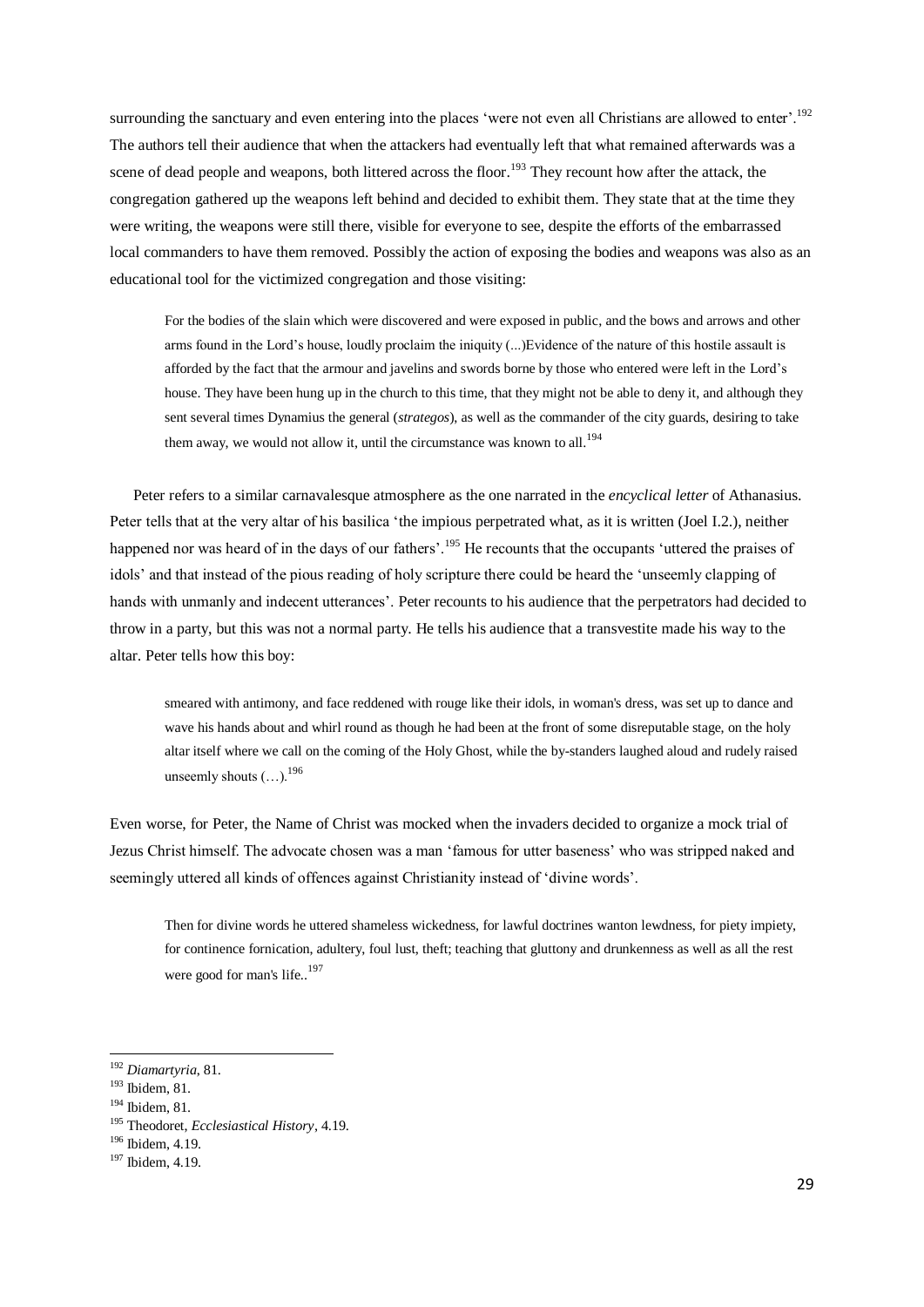surrounding the sanctuary and even entering into the places 'were not even all Christians are allowed to enter'.<sup>192</sup> The authors tell their audience that when the attackers had eventually left that what remained afterwards was a scene of dead people and weapons, both littered across the floor.<sup>193</sup> They recount how after the attack, the congregation gathered up the weapons left behind and decided to exhibit them. They state that at the time they were writing, the weapons were still there, visible for everyone to see, despite the efforts of the embarrassed local commanders to have them removed. Possibly the action of exposing the bodies and weapons was also as an educational tool for the victimized congregation and those visiting:

For the bodies of the slain which were discovered and were exposed in public, and the bows and arrows and other arms found in the Lord's house, loudly proclaim the iniquity (...)Evidence of the nature of this hostile assault is afforded by the fact that the armour and javelins and swords borne by those who entered were left in the Lord's house. They have been hung up in the church to this time, that they might not be able to deny it, and although they sent several times Dynamius the general (*strategos*), as well as the commander of the city guards, desiring to take them away, we would not allow it, until the circumstance was known to all.<sup>194</sup>

 Peter refers to a similar carnavalesque atmosphere as the one narrated in the *encyclical letter* of Athanasius. Peter tells that at the very altar of his basilica 'the impious perpetrated what, as it is written (Joel I.2.), neither happened nor was heard of in the days of our fathers'.<sup>195</sup> He recounts that the occupants 'uttered the praises of idols' and that instead of the pious reading of holy scripture there could be heard the 'unseemly clapping of hands with unmanly and indecent utterances'. Peter recounts to his audience that the perpetrators had decided to throw in a party, but this was not a normal party. He tells his audience that a transvestite made his way to the altar. Peter tells how this boy:

smeared with antimony, and face reddened with rouge like their idols, in woman's dress, was set up to dance and wave his hands about and whirl round as though he had been at the front of some disreputable stage, on the holy altar itself where we call on the coming of the Holy Ghost, while the by-standers laughed aloud and rudely raised unseemly shouts  $($   $)$ <sup>196</sup>

Even worse, for Peter, the Name of Christ was mocked when the invaders decided to organize a mock trial of Jezus Christ himself. The advocate chosen was a man 'famous for utter baseness' who was stripped naked and seemingly uttered all kinds of offences against Christianity instead of 'divine words'.

Then for divine words he uttered shameless wickedness, for lawful doctrines wanton lewdness, for piety impiety, for continence fornication, adultery, foul lust, theft; teaching that gluttony and drunkenness as well as all the rest were good for man's life..<sup>197</sup>

<sup>192</sup> *Diamartyria*, 81.

<sup>193</sup> Ibidem, 81.

<sup>194</sup> Ibidem, 81.

<sup>195</sup> Theodoret, *Ecclesiastical History*, 4.19.

<sup>196</sup> Ibidem, 4.19.

<sup>&</sup>lt;sup>197</sup> Ibidem, 4.19.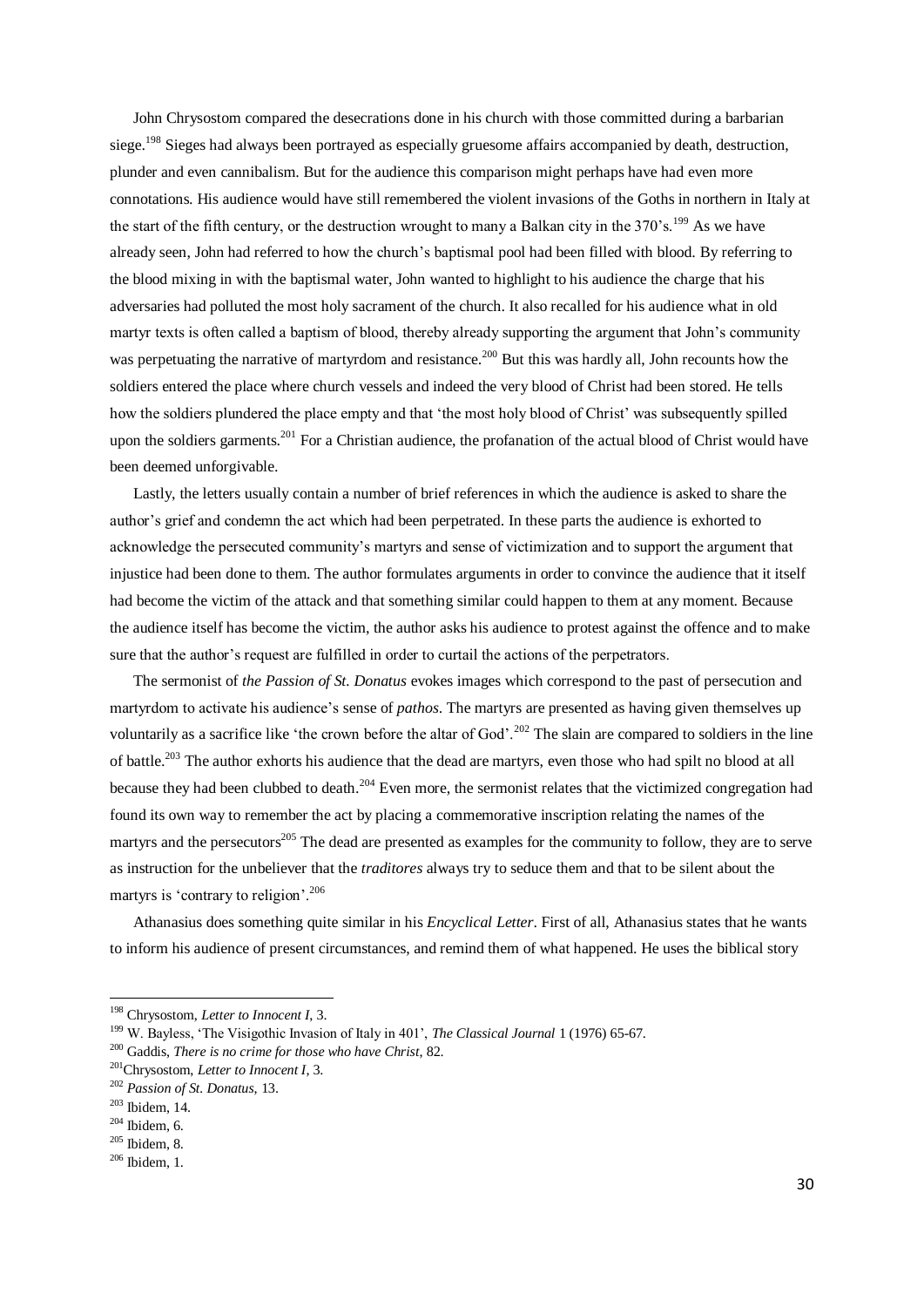John Chrysostom compared the desecrations done in his church with those committed during a barbarian siege.<sup>198</sup> Sieges had always been portrayed as especially gruesome affairs accompanied by death, destruction, plunder and even cannibalism. But for the audience this comparison might perhaps have had even more connotations. His audience would have still remembered the violent invasions of the Goths in northern in Italy at the start of the fifth century, or the destruction wrought to many a Balkan city in the 370's.<sup>199</sup> As we have already seen, John had referred to how the church's baptismal pool had been filled with blood. By referring to the blood mixing in with the baptismal water, John wanted to highlight to his audience the charge that his adversaries had polluted the most holy sacrament of the church. It also recalled for his audience what in old martyr texts is often called a baptism of blood, thereby already supporting the argument that John's community was perpetuating the narrative of martyrdom and resistance.<sup>200</sup> But this was hardly all, John recounts how the soldiers entered the place where church vessels and indeed the very blood of Christ had been stored. He tells how the soldiers plundered the place empty and that 'the most holy blood of Christ' was subsequently spilled upon the soldiers garments.<sup>201</sup> For a Christian audience, the profanation of the actual blood of Christ would have been deemed unforgivable.

 Lastly, the letters usually contain a number of brief references in which the audience is asked to share the author's grief and condemn the act which had been perpetrated. In these parts the audience is exhorted to acknowledge the persecuted community's martyrs and sense of victimization and to support the argument that injustice had been done to them. The author formulates arguments in order to convince the audience that it itself had become the victim of the attack and that something similar could happen to them at any moment. Because the audience itself has become the victim, the author asks his audience to protest against the offence and to make sure that the author's request are fulfilled in order to curtail the actions of the perpetrators.

 The sermonist of *the Passion of St. Donatus* evokes images which correspond to the past of persecution and martyrdom to activate his audience's sense of *pathos*. The martyrs are presented as having given themselves up voluntarily as a sacrifice like 'the crown before the altar of God'.<sup>202</sup> The slain are compared to soldiers in the line of battle.<sup>203</sup> The author exhorts his audience that the dead are martyrs, even those who had spilt no blood at all because they had been clubbed to death.<sup>204</sup> Even more, the sermonist relates that the victimized congregation had found its own way to remember the act by placing a commemorative inscription relating the names of the martyrs and the persecutors<sup>205</sup> The dead are presented as examples for the community to follow, they are to serve as instruction for the unbeliever that the *traditores* always try to seduce them and that to be silent about the martyrs is 'contrary to religion'.<sup>206</sup>

 Athanasius does something quite similar in his *Encyclical Letter*. First of all, Athanasius states that he wants to inform his audience of present circumstances, and remind them of what happened. He uses the biblical story

-

<sup>198</sup> Chrysostom, *Letter to Innocent I*, 3.

<sup>199</sup> W. Bayless, 'The Visigothic Invasion of Italy in 401', *The Classical Journal* 1 (1976) 65-67.

<sup>200</sup> Gaddis, *There is no crime for those who have Christ*, 82.

<sup>201</sup>Chrysostom, *Letter to Innocent I*, 3.

<sup>202</sup> *Passion of St. Donatus*, 13.

<sup>203</sup> Ibidem, 14.

 $204$  Ibidem, 6.

<sup>205</sup> Ibidem, 8.

<sup>206</sup> Ibidem, 1.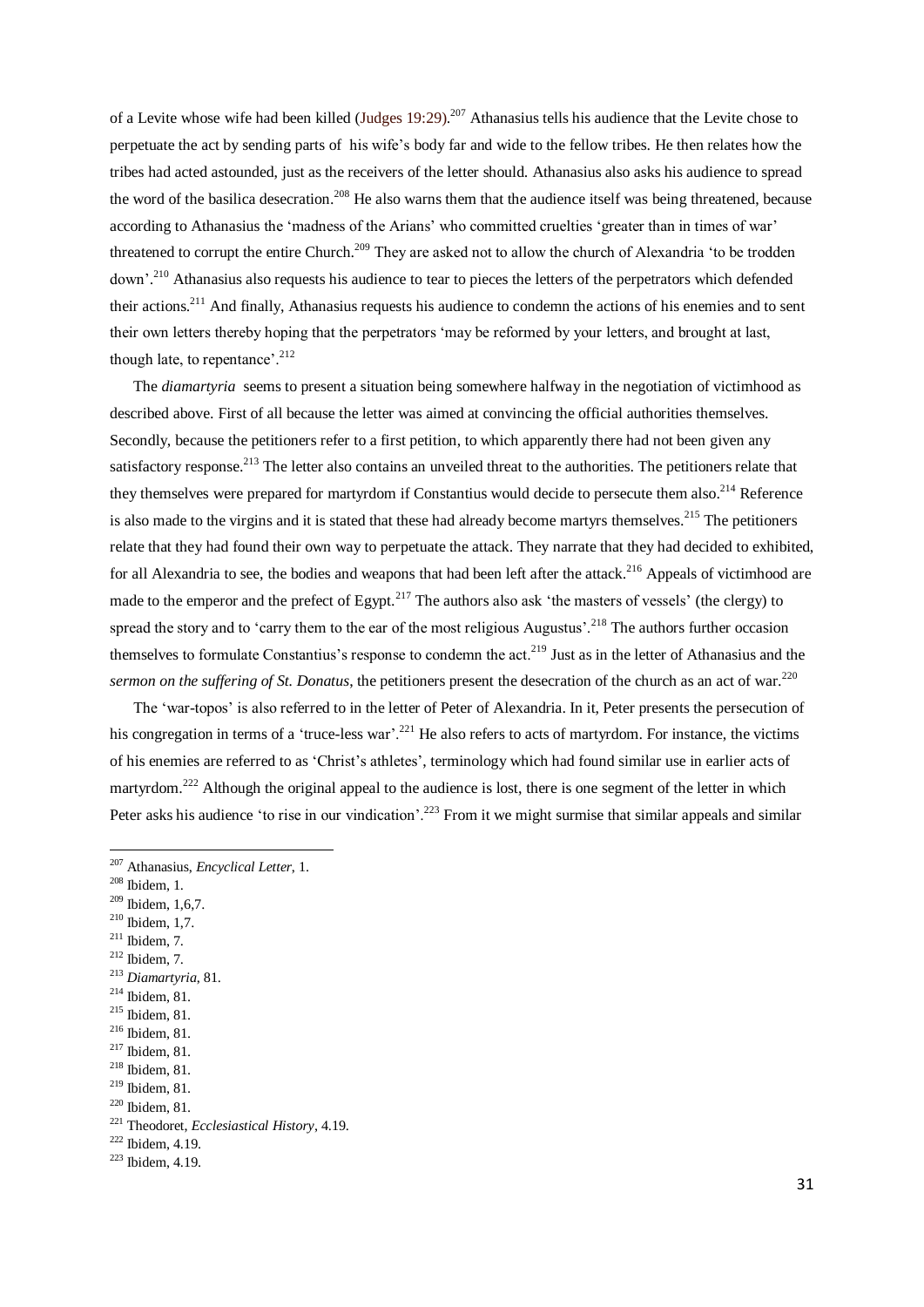of a Levite whose wife had been killed (Judges  $19:29$ ).<sup>207</sup> Athanasius tells his audience that the Levite chose to perpetuate the act by sending parts of his wife's body far and wide to the fellow tribes. He then relates how the tribes had acted astounded, just as the receivers of the letter should. Athanasius also asks his audience to spread the word of the basilica desecration.<sup>208</sup> He also warns them that the audience itself was being threatened, because according to Athanasius the 'madness of the Arians' who committed cruelties 'greater than in times of war' threatened to corrupt the entire Church.<sup>209</sup> They are asked not to allow the church of Alexandria 'to be trodden down'.<sup>210</sup> Athanasius also requests his audience to tear to pieces the letters of the perpetrators which defended their actions.<sup>211</sup> And finally, Athanasius requests his audience to condemn the actions of his enemies and to sent their own letters thereby hoping that the perpetrators 'may be reformed by your letters, and brought at last, though late, to repentance'.<sup>212</sup>

 The *diamartyria* seems to present a situation being somewhere halfway in the negotiation of victimhood as described above. First of all because the letter was aimed at convincing the official authorities themselves. Secondly, because the petitioners refer to a first petition, to which apparently there had not been given any satisfactory response.<sup>213</sup> The letter also contains an unveiled threat to the authorities. The petitioners relate that they themselves were prepared for martyrdom if Constantius would decide to persecute them also.<sup>214</sup> Reference is also made to the virgins and it is stated that these had already become martyrs themselves.<sup>215</sup> The petitioners relate that they had found their own way to perpetuate the attack. They narrate that they had decided to exhibited, for all Alexandria to see, the bodies and weapons that had been left after the attack.<sup>216</sup> Appeals of victimhood are made to the emperor and the prefect of Egypt.<sup>217</sup> The authors also ask 'the masters of vessels' (the clergy) to spread the story and to 'carry them to the ear of the most religious Augustus'.<sup>218</sup> The authors further occasion themselves to formulate Constantius's response to condemn the act.<sup>219</sup> Just as in the letter of Athanasius and the *sermon on the suffering of St. Donatus*, the petitioners present the desecration of the church as an act of war.<sup>220</sup>

 The 'war-topos' is also referred to in the letter of Peter of Alexandria. In it, Peter presents the persecution of his congregation in terms of a 'truce-less war'.<sup>221</sup> He also refers to acts of martyrdom. For instance, the victims of his enemies are referred to as 'Christ's athletes', terminology which had found similar use in earlier acts of martyrdom.<sup>222</sup> Although the original appeal to the audience is lost, there is one segment of the letter in which Peter asks his audience 'to rise in our vindication'.<sup>223</sup> From it we might surmise that similar appeals and similar

<sup>208</sup> Ibidem, 1.

- <sup>209</sup> Ibidem, 1,6,7.
- <sup>210</sup> Ibidem, 1,7.
- $211$  Ibidem, 7.
- $212$  Ibidem, 7.
- <sup>213</sup> *Diamartyria*, 81.
- <sup>214</sup> Ibidem, 81.
- <sup>215</sup> Ibidem, 81.
- <sup>216</sup> Ibidem, 81.
- <sup>217</sup> Ibidem, 81.
- <sup>218</sup> Ibidem, 81.
- <sup>219</sup> Ibidem, 81.

<sup>207</sup> Athanasius, *Encyclical Letter*, 1.

<sup>220</sup> Ibidem, 81.

<sup>221</sup> Theodoret, *Ecclesiastical History*, 4.19.

 $222$  Ibidem, 4.19.

 $223$  Ibidem, 4.19.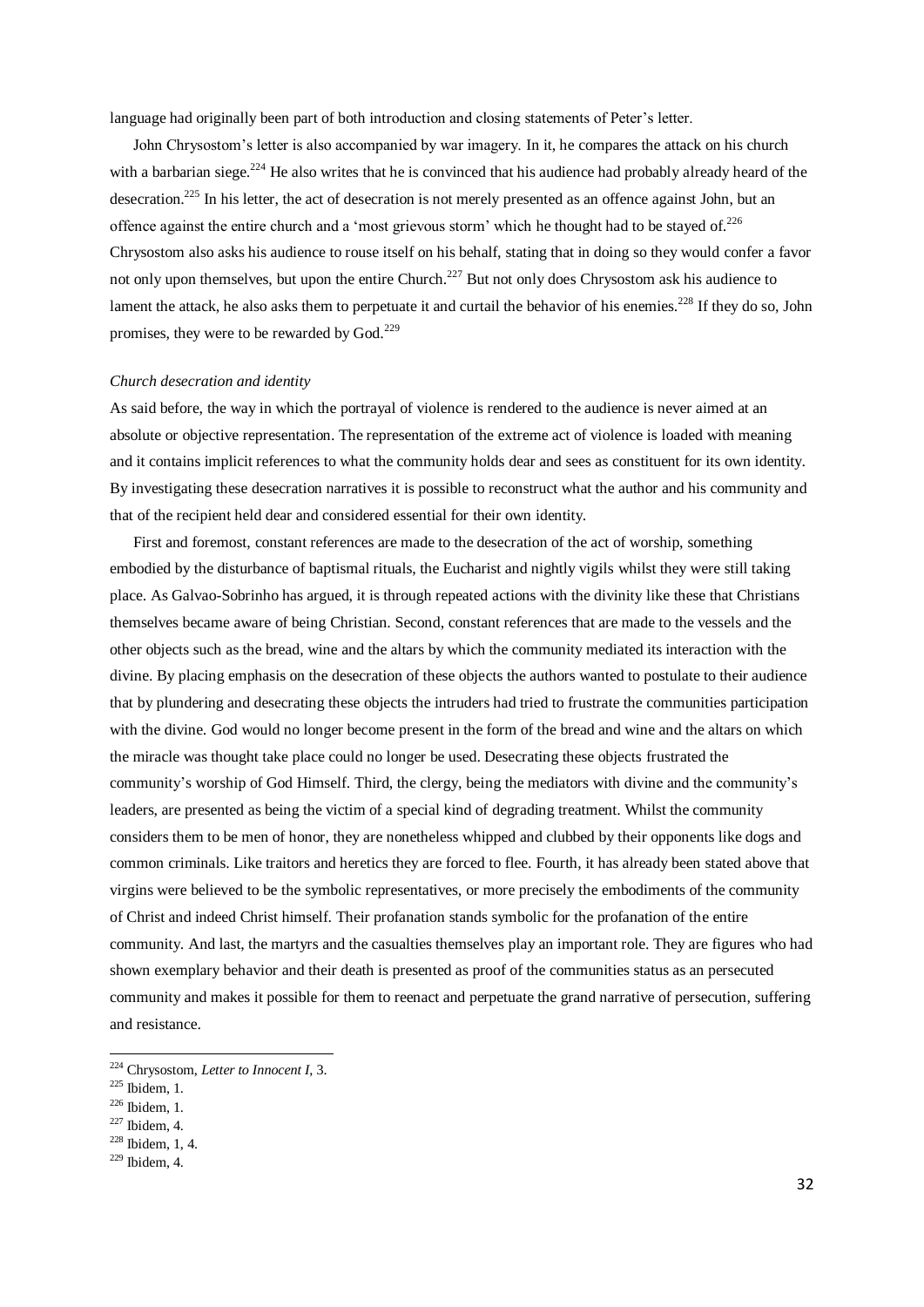language had originally been part of both introduction and closing statements of Peter's letter.

 John Chrysostom's letter is also accompanied by war imagery. In it, he compares the attack on his church with a barbarian siege.<sup>224</sup> He also writes that he is convinced that his audience had probably already heard of the desecration.<sup>225</sup> In his letter, the act of desecration is not merely presented as an offence against John, but an offence against the entire church and a 'most grievous storm' which he thought had to be stayed of.<sup>226</sup> Chrysostom also asks his audience to rouse itself on his behalf, stating that in doing so they would confer a favor not only upon themselves, but upon the entire Church.<sup>227</sup> But not only does Chrysostom ask his audience to lament the attack, he also asks them to perpetuate it and curtail the behavior of his enemies.<sup>228</sup> If they do so, John promises, they were to be rewarded by God.<sup>229</sup>

#### *Church desecration and identity*

As said before, the way in which the portrayal of violence is rendered to the audience is never aimed at an absolute or objective representation. The representation of the extreme act of violence is loaded with meaning and it contains implicit references to what the community holds dear and sees as constituent for its own identity. By investigating these desecration narratives it is possible to reconstruct what the author and his community and that of the recipient held dear and considered essential for their own identity.

 First and foremost, constant references are made to the desecration of the act of worship, something embodied by the disturbance of baptismal rituals, the Eucharist and nightly vigils whilst they were still taking place. As Galvao-Sobrinho has argued, it is through repeated actions with the divinity like these that Christians themselves became aware of being Christian. Second, constant references that are made to the vessels and the other objects such as the bread, wine and the altars by which the community mediated its interaction with the divine. By placing emphasis on the desecration of these objects the authors wanted to postulate to their audience that by plundering and desecrating these objects the intruders had tried to frustrate the communities participation with the divine. God would no longer become present in the form of the bread and wine and the altars on which the miracle was thought take place could no longer be used. Desecrating these objects frustrated the community's worship of God Himself. Third, the clergy, being the mediators with divine and the community's leaders, are presented as being the victim of a special kind of degrading treatment. Whilst the community considers them to be men of honor, they are nonetheless whipped and clubbed by their opponents like dogs and common criminals. Like traitors and heretics they are forced to flee. Fourth, it has already been stated above that virgins were believed to be the symbolic representatives, or more precisely the embodiments of the community of Christ and indeed Christ himself. Their profanation stands symbolic for the profanation of the entire community. And last, the martyrs and the casualties themselves play an important role. They are figures who had shown exemplary behavior and their death is presented as proof of the communities status as an persecuted community and makes it possible for them to reenact and perpetuate the grand narrative of persecution, suffering and resistance.

<sup>224</sup> Chrysostom, *Letter to Innocent I*, 3.

<sup>225</sup> Ibidem, 1.

<sup>226</sup> Ibidem, 1.

 $227$  Ibidem, 4.

<sup>228</sup> Ibidem, 1, 4.

 $229$  Ibidem, 4.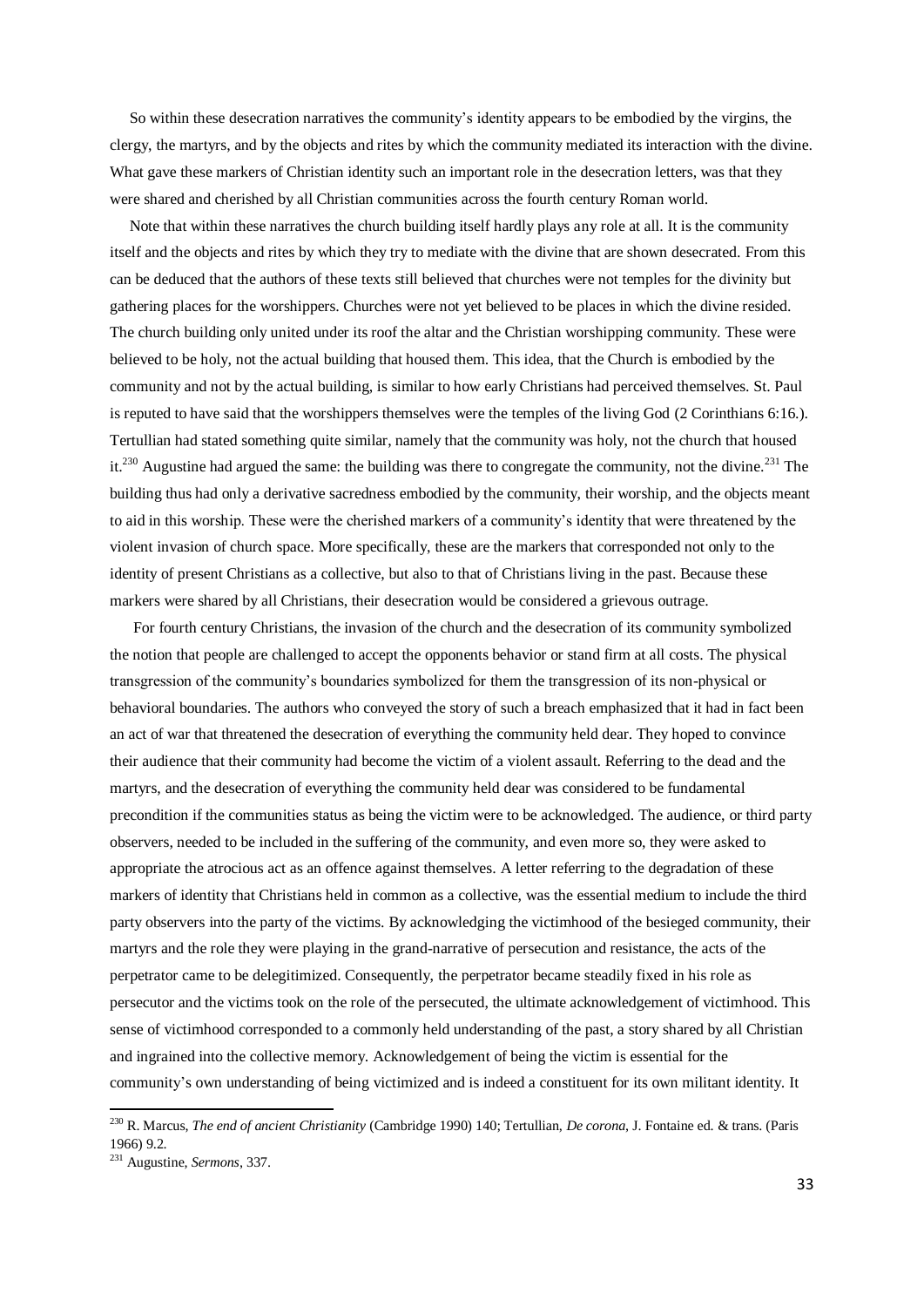So within these desecration narratives the community's identity appears to be embodied by the virgins, the clergy, the martyrs, and by the objects and rites by which the community mediated its interaction with the divine. What gave these markers of Christian identity such an important role in the desecration letters, was that they were shared and cherished by all Christian communities across the fourth century Roman world.

 Note that within these narratives the church building itself hardly plays any role at all. It is the community itself and the objects and rites by which they try to mediate with the divine that are shown desecrated. From this can be deduced that the authors of these texts still believed that churches were not temples for the divinity but gathering places for the worshippers. Churches were not yet believed to be places in which the divine resided. The church building only united under its roof the altar and the Christian worshipping community. These were believed to be holy, not the actual building that housed them. This idea, that the Church is embodied by the community and not by the actual building, is similar to how early Christians had perceived themselves. St. Paul is reputed to have said that the worshippers themselves were the temples of the living God (2 Corinthians 6:16.). Tertullian had stated something quite similar, namely that the community was holy, not the church that housed it.<sup>230</sup> Augustine had argued the same: the building was there to congregate the community, not the divine.<sup>231</sup> The building thus had only a derivative sacredness embodied by the community, their worship, and the objects meant to aid in this worship. These were the cherished markers of a community's identity that were threatened by the violent invasion of church space. More specifically, these are the markers that corresponded not only to the identity of present Christians as a collective, but also to that of Christians living in the past. Because these markers were shared by all Christians, their desecration would be considered a grievous outrage.

 For fourth century Christians, the invasion of the church and the desecration of its community symbolized the notion that people are challenged to accept the opponents behavior or stand firm at all costs. The physical transgression of the community's boundaries symbolized for them the transgression of its non-physical or behavioral boundaries. The authors who conveyed the story of such a breach emphasized that it had in fact been an act of war that threatened the desecration of everything the community held dear. They hoped to convince their audience that their community had become the victim of a violent assault. Referring to the dead and the martyrs, and the desecration of everything the community held dear was considered to be fundamental precondition if the communities status as being the victim were to be acknowledged. The audience, or third party observers, needed to be included in the suffering of the community, and even more so, they were asked to appropriate the atrocious act as an offence against themselves. A letter referring to the degradation of these markers of identity that Christians held in common as a collective, was the essential medium to include the third party observers into the party of the victims. By acknowledging the victimhood of the besieged community, their martyrs and the role they were playing in the grand-narrative of persecution and resistance, the acts of the perpetrator came to be delegitimized. Consequently, the perpetrator became steadily fixed in his role as persecutor and the victims took on the role of the persecuted, the ultimate acknowledgement of victimhood. This sense of victimhood corresponded to a commonly held understanding of the past, a story shared by all Christian and ingrained into the collective memory. Acknowledgement of being the victim is essential for the community's own understanding of being victimized and is indeed a constituent for its own militant identity. It

<sup>230</sup> R. Marcus, *The end of ancient Christianity* (Cambridge 1990) 140; Tertullian, *De corona*, J. Fontaine ed. & trans. (Paris 1966) 9.2.

<sup>231</sup> Augustine, *Sermons*, 337.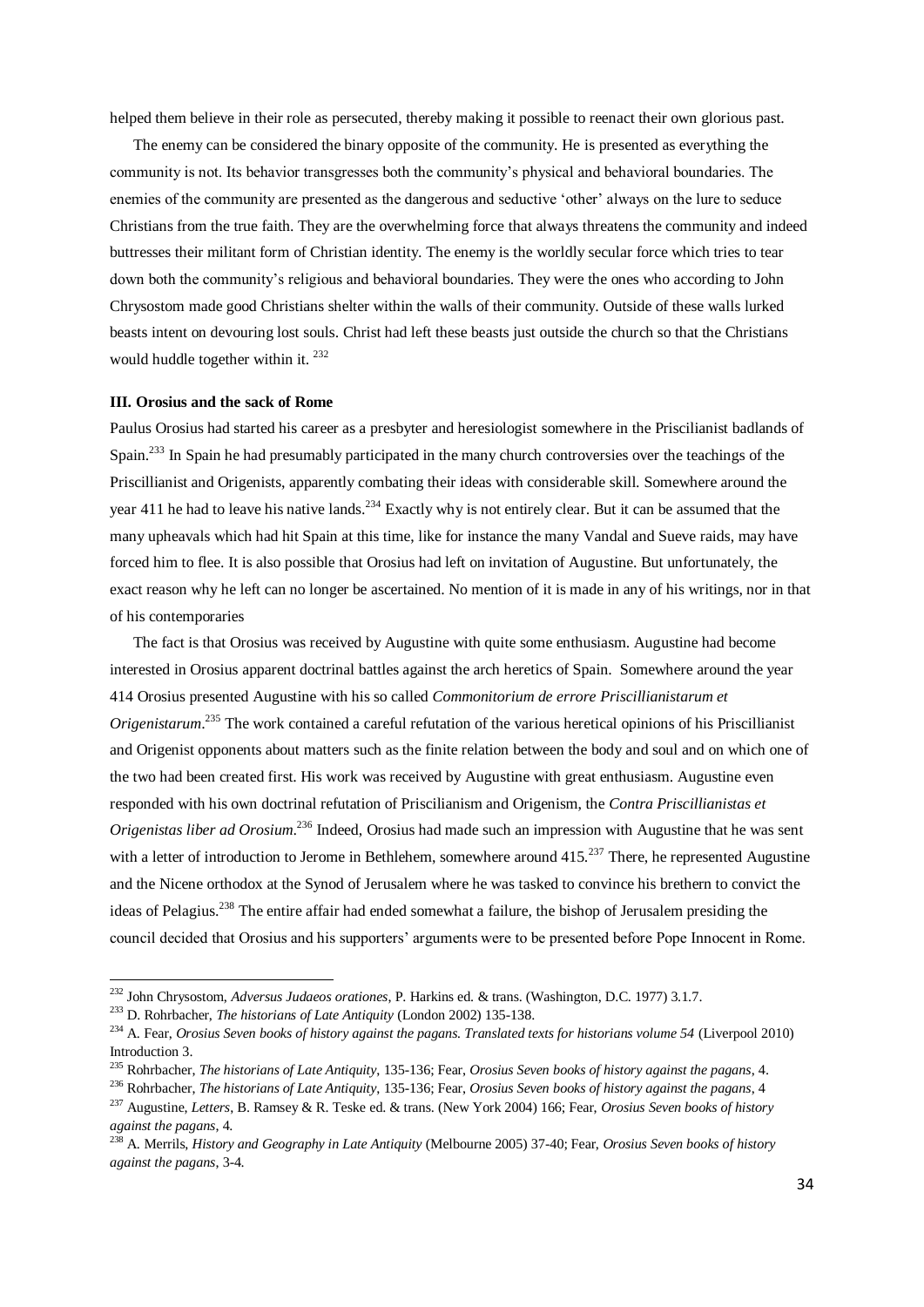helped them believe in their role as persecuted, thereby making it possible to reenact their own glorious past.

 The enemy can be considered the binary opposite of the community. He is presented as everything the community is not. Its behavior transgresses both the community's physical and behavioral boundaries. The enemies of the community are presented as the dangerous and seductive 'other' always on the lure to seduce Christians from the true faith. They are the overwhelming force that always threatens the community and indeed buttresses their militant form of Christian identity. The enemy is the worldly secular force which tries to tear down both the community's religious and behavioral boundaries. They were the ones who according to John Chrysostom made good Christians shelter within the walls of their community. Outside of these walls lurked beasts intent on devouring lost souls. Christ had left these beasts just outside the church so that the Christians would huddle together within it. <sup>232</sup>

## **III. Orosius and the sack of Rome**

Paulus Orosius had started his career as a presbyter and heresiologist somewhere in the Priscilianist badlands of Spain.<sup>233</sup> In Spain he had presumably participated in the many church controversies over the teachings of the Priscillianist and Origenists, apparently combating their ideas with considerable skill. Somewhere around the year 411 he had to leave his native lands.<sup>234</sup> Exactly why is not entirely clear. But it can be assumed that the many upheavals which had hit Spain at this time, like for instance the many Vandal and Sueve raids, may have forced him to flee. It is also possible that Orosius had left on invitation of Augustine. But unfortunately, the exact reason why he left can no longer be ascertained. No mention of it is made in any of his writings, nor in that of his contemporaries

 The fact is that Orosius was received by Augustine with quite some enthusiasm. Augustine had become interested in Orosius apparent doctrinal battles against the arch heretics of Spain. Somewhere around the year 414 Orosius presented Augustine with his so called *Commonitorium de errore Priscillianistarum et Origenistarum*. <sup>235</sup> The work contained a careful refutation of the various heretical opinions of his Priscillianist and Origenist opponents about matters such as the finite relation between the body and soul and on which one of the two had been created first. His work was received by Augustine with great enthusiasm. Augustine even responded with his own doctrinal refutation of Priscilianism and Origenism, the *Contra Priscillianistas et Origenistas liber ad Orosium*. <sup>236</sup> Indeed, Orosius had made such an impression with Augustine that he was sent with a letter of introduction to Jerome in Bethlehem, somewhere around 415.<sup>237</sup> There, he represented Augustine and the Nicene orthodox at the Synod of Jerusalem where he was tasked to convince his brethern to convict the ideas of Pelagius.<sup>238</sup> The entire affair had ended somewhat a failure, the bishop of Jerusalem presiding the council decided that Orosius and his supporters' arguments were to be presented before Pope Innocent in Rome.

<sup>232</sup> John Chrysostom, *Adversus Judaeos orationes*, P. Harkins ed. & trans. (Washington, D.C. 1977) 3.1.7.

<sup>233</sup> D. Rohrbacher, *The historians of Late Antiquity* (London 2002) 135-138.

<sup>&</sup>lt;sup>234</sup> A. Fear, *Orosius Seven books of history against the pagans. Translated texts for historians volume 54 (Liverpool 2010)* Introduction 3.

<sup>235</sup> Rohrbacher, *The historians of Late Antiquity*, 135-136; Fear, *Orosius Seven books of history against the pagans*, 4.

<sup>236</sup> Rohrbacher, *The historians of Late Antiquity*, 135-136; Fear, *Orosius Seven books of history against the pagans*, 4

<sup>237</sup> Augustine, *Letters*, B. Ramsey & R. Teske ed. & trans. (New York 2004) 166; Fear, *Orosius Seven books of history against the pagans*, 4.

<sup>238</sup> A. Merrils, *History and Geography in Late Antiquity* (Melbourne 2005) 37-40; Fear, *Orosius Seven books of history against the pagans*, 3-4.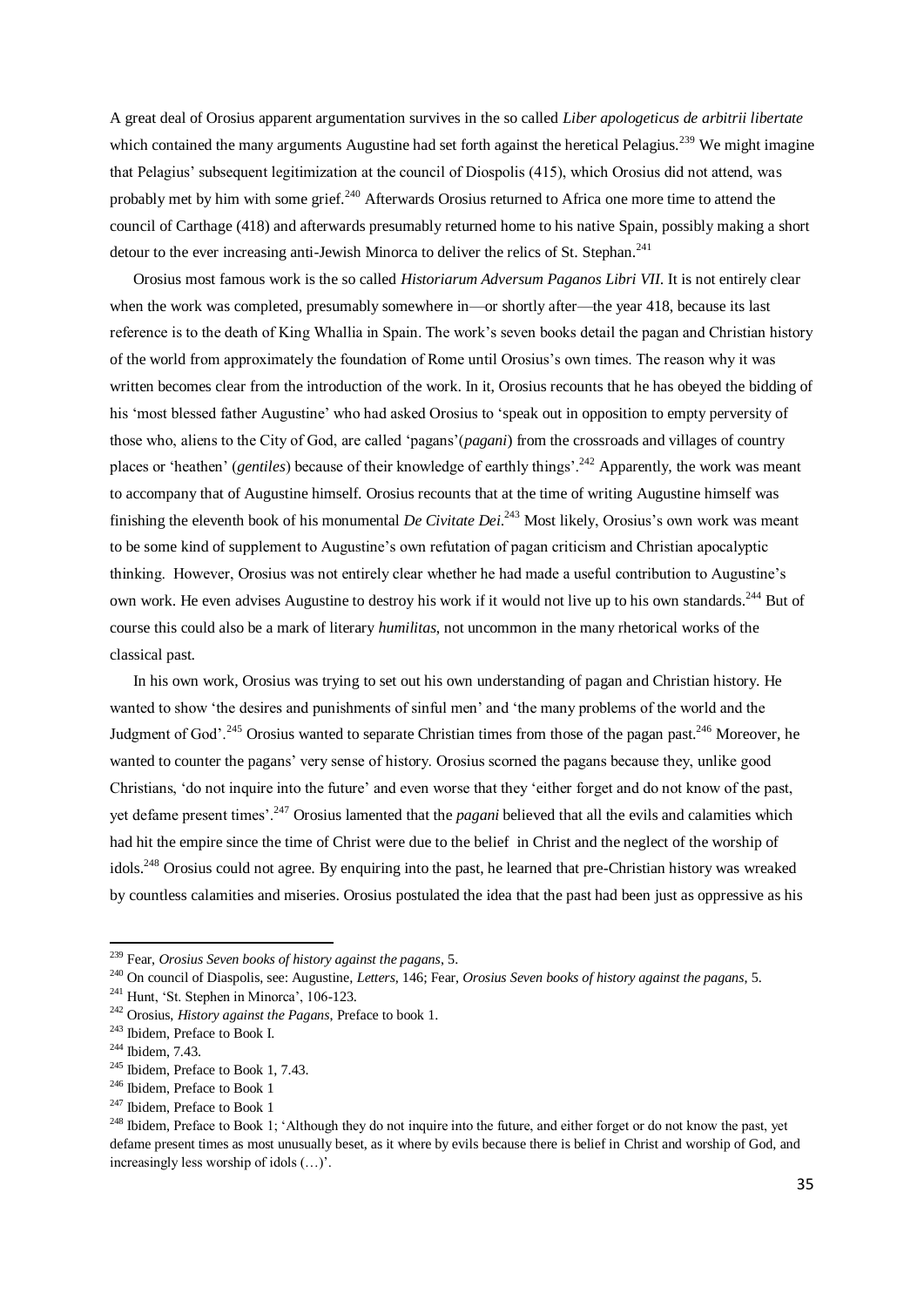A great deal of Orosius apparent argumentation survives in the so called *Liber apologeticus de arbitrii libertate* which contained the many arguments Augustine had set forth against the heretical Pelagius.<sup>239</sup> We might imagine that Pelagius' subsequent legitimization at the council of Diospolis (415), which Orosius did not attend, was probably met by him with some grief.<sup>240</sup> Afterwards Orosius returned to Africa one more time to attend the council of Carthage (418) and afterwards presumably returned home to his native Spain, possibly making a short detour to the ever increasing anti-Jewish Minorca to deliver the relics of St. Stephan.<sup>241</sup>

 Orosius most famous work is the so called *Historiarum Adversum Paganos Libri VII*. It is not entirely clear when the work was completed, presumably somewhere in—or shortly after—the year 418, because its last reference is to the death of King Whallia in Spain. The work's seven books detail the pagan and Christian history of the world from approximately the foundation of Rome until Orosius's own times. The reason why it was written becomes clear from the introduction of the work. In it, Orosius recounts that he has obeyed the bidding of his 'most blessed father Augustine' who had asked Orosius to 'speak out in opposition to empty perversity of those who, aliens to the City of God, are called 'pagans'(*pagani*) from the crossroads and villages of country places or 'heathen' (*gentiles*) because of their knowledge of earthly things'.<sup>242</sup> Apparently, the work was meant to accompany that of Augustine himself. Orosius recounts that at the time of writing Augustine himself was finishing the eleventh book of his monumental *De Civitate Dei*. <sup>243</sup> Most likely, Orosius's own work was meant to be some kind of supplement to Augustine's own refutation of pagan criticism and Christian apocalyptic thinking. However, Orosius was not entirely clear whether he had made a useful contribution to Augustine's own work. He even advises Augustine to destroy his work if it would not live up to his own standards.<sup>244</sup> But of course this could also be a mark of literary *humilitas*, not uncommon in the many rhetorical works of the classical past.

 In his own work, Orosius was trying to set out his own understanding of pagan and Christian history. He wanted to show 'the desires and punishments of sinful men' and 'the many problems of the world and the Judgment of God'.<sup>245</sup> Orosius wanted to separate Christian times from those of the pagan past.<sup>246</sup> Moreover, he wanted to counter the pagans' very sense of history. Orosius scorned the pagans because they, unlike good Christians, 'do not inquire into the future' and even worse that they 'either forget and do not know of the past, yet defame present times'.<sup>247</sup> Orosius lamented that the *pagani* believed that all the evils and calamities which had hit the empire since the time of Christ were due to the belief in Christ and the neglect of the worship of idols.<sup>248</sup> Orosius could not agree. By enquiring into the past, he learned that pre-Christian history was wreaked by countless calamities and miseries. Orosius postulated the idea that the past had been just as oppressive as his

<sup>239</sup> Fear, *Orosius Seven books of history against the pagans*, 5.

<sup>240</sup> On council of Diaspolis, see: Augustine*, Letters*, 146; Fear, *Orosius Seven books of history against the pagans*, 5.

 $241$  Hunt, 'St. Stephen in Minorca', 106-123.

<sup>242</sup> Orosius, *History against the Pagans*, Preface to book 1.

<sup>243</sup> Ibidem, Preface to Book I.

<sup>244</sup> Ibidem, 7.43.

<sup>245</sup> Ibidem, Preface to Book 1, 7.43.

<sup>246</sup> Ibidem, Preface to Book 1

<sup>&</sup>lt;sup>247</sup> Ibidem, Preface to Book 1

<sup>&</sup>lt;sup>248</sup> Ibidem, Preface to Book 1; 'Although they do not inquire into the future, and either forget or do not know the past, yet defame present times as most unusually beset, as it where by evils because there is belief in Christ and worship of God, and increasingly less worship of idols (…)'.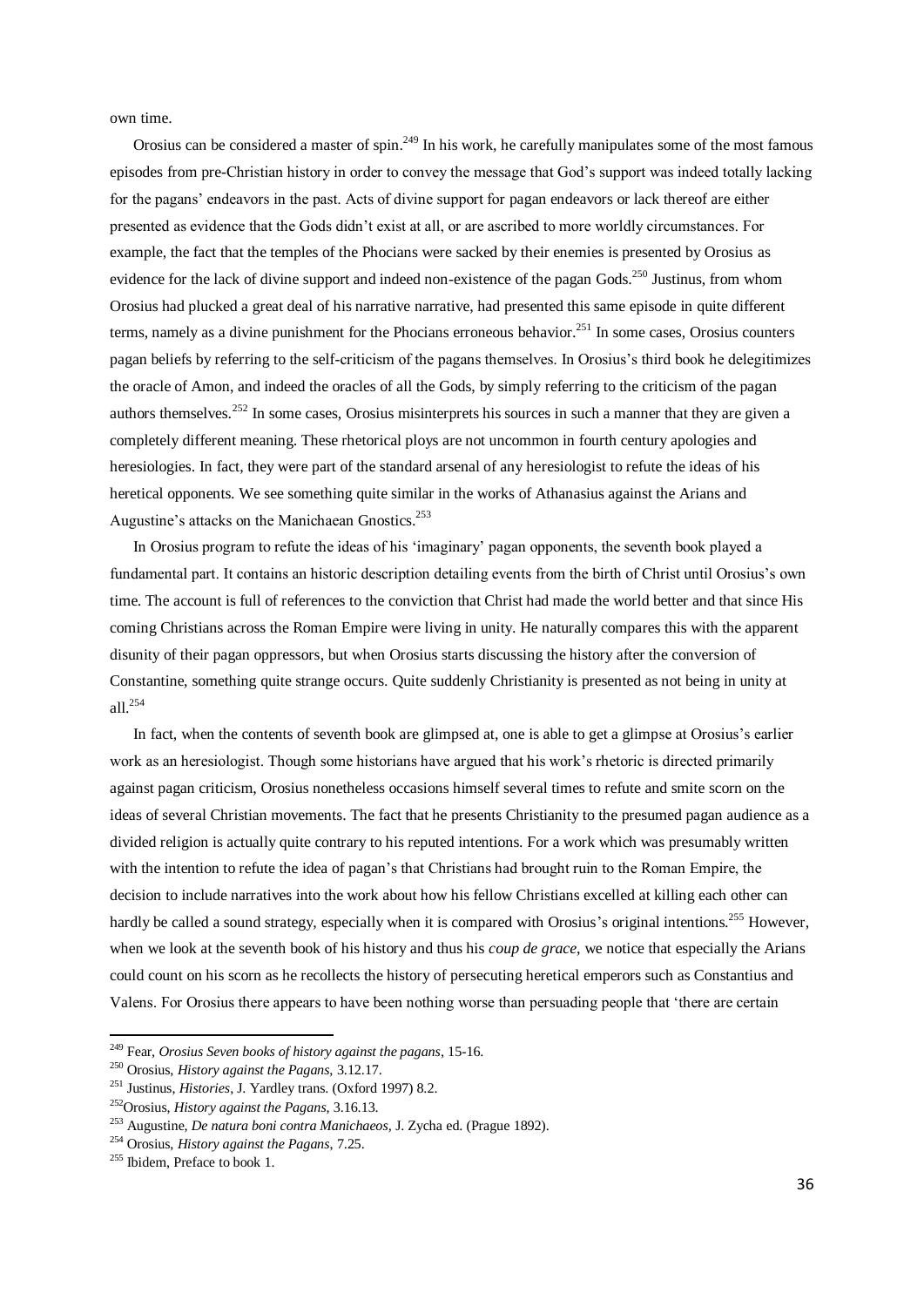own time.

Orosius can be considered a master of spin.<sup>249</sup> In his work, he carefully manipulates some of the most famous episodes from pre-Christian history in order to convey the message that God's support was indeed totally lacking for the pagans' endeavors in the past. Acts of divine support for pagan endeavors or lack thereof are either presented as evidence that the Gods didn't exist at all, or are ascribed to more worldly circumstances. For example, the fact that the temples of the Phocians were sacked by their enemies is presented by Orosius as evidence for the lack of divine support and indeed non-existence of the pagan Gods.<sup>250</sup> Justinus, from whom Orosius had plucked a great deal of his narrative narrative, had presented this same episode in quite different terms, namely as a divine punishment for the Phocians erroneous behavior.<sup>251</sup> In some cases, Orosius counters pagan beliefs by referring to the self-criticism of the pagans themselves. In Orosius's third book he delegitimizes the oracle of Amon, and indeed the oracles of all the Gods, by simply referring to the criticism of the pagan authors themselves.<sup>252</sup> In some cases, Orosius misinterprets his sources in such a manner that they are given a completely different meaning. These rhetorical ploys are not uncommon in fourth century apologies and heresiologies. In fact, they were part of the standard arsenal of any heresiologist to refute the ideas of his heretical opponents. We see something quite similar in the works of Athanasius against the Arians and Augustine's attacks on the Manichaean Gnostics.<sup>253</sup>

 In Orosius program to refute the ideas of his 'imaginary' pagan opponents, the seventh book played a fundamental part. It contains an historic description detailing events from the birth of Christ until Orosius's own time. The account is full of references to the conviction that Christ had made the world better and that since His coming Christians across the Roman Empire were living in unity. He naturally compares this with the apparent disunity of their pagan oppressors, but when Orosius starts discussing the history after the conversion of Constantine, something quite strange occurs. Quite suddenly Christianity is presented as not being in unity at all. $^{254}$ 

 In fact, when the contents of seventh book are glimpsed at, one is able to get a glimpse at Orosius's earlier work as an heresiologist. Though some historians have argued that his work's rhetoric is directed primarily against pagan criticism, Orosius nonetheless occasions himself several times to refute and smite scorn on the ideas of several Christian movements. The fact that he presents Christianity to the presumed pagan audience as a divided religion is actually quite contrary to his reputed intentions. For a work which was presumably written with the intention to refute the idea of pagan's that Christians had brought ruin to the Roman Empire, the decision to include narratives into the work about how his fellow Christians excelled at killing each other can hardly be called a sound strategy, especially when it is compared with Orosius's original intentions.<sup>255</sup> However, when we look at the seventh book of his history and thus his *coup de grace*, we notice that especially the Arians could count on his scorn as he recollects the history of persecuting heretical emperors such as Constantius and Valens. For Orosius there appears to have been nothing worse than persuading people that 'there are certain

<sup>249</sup> Fear, *Orosius Seven books of history against the pagans*, 15-16.

<sup>250</sup> Orosius, *History against the Pagans,* 3.12.17.

<sup>251</sup> Justinus, *Histories*, J. Yardley trans. (Oxford 1997) 8.2.

<sup>252</sup>Orosius, *History against the Pagans*, 3.16.13.

<sup>253</sup> Augustine, *De natura boni contra Manichaeos,* J. Zycha ed. (Prague 1892).

<sup>254</sup> Orosius, *History against the Pagans*, 7.25.

<sup>&</sup>lt;sup>255</sup> Ibidem, Preface to book 1.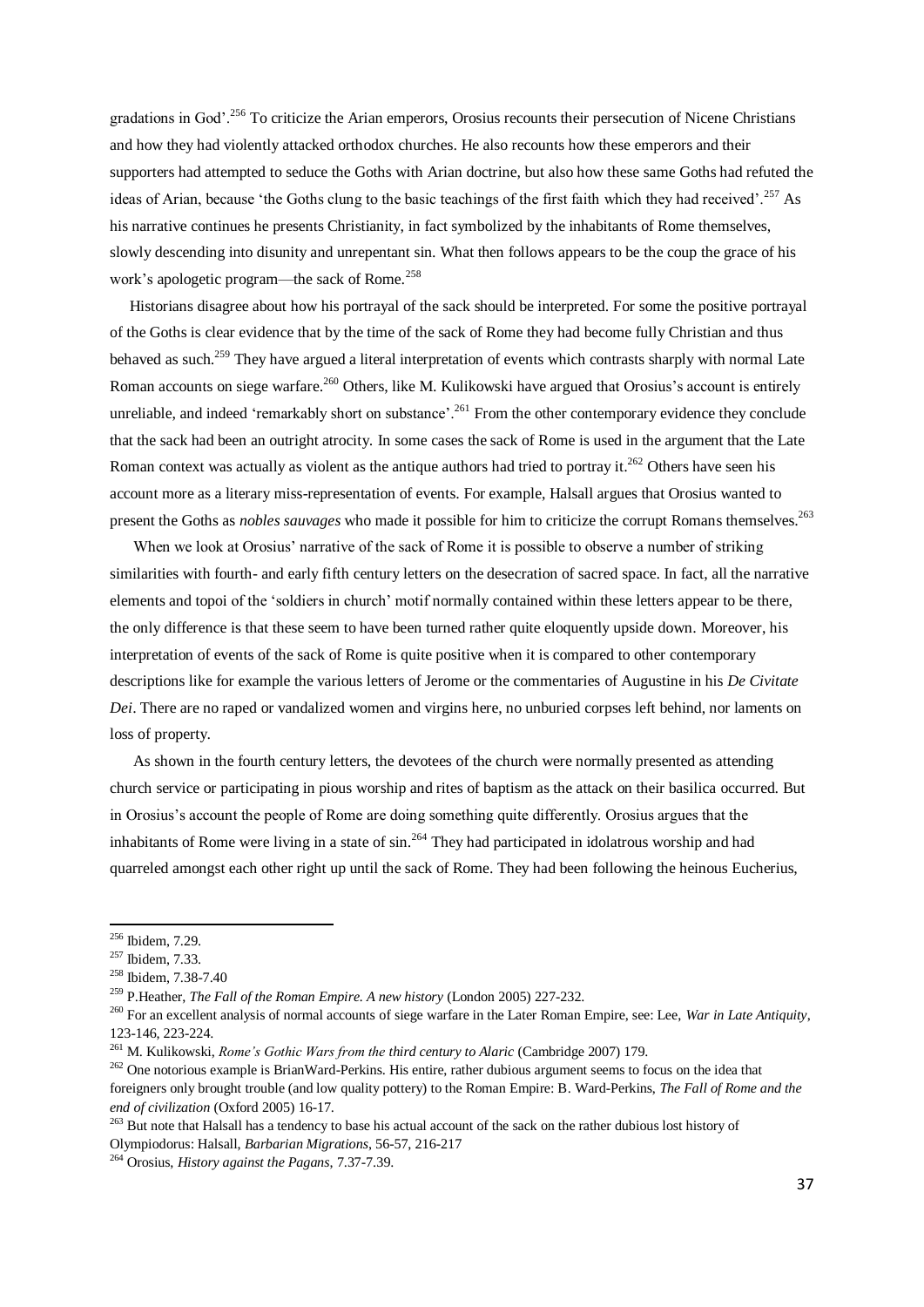gradations in God'.<sup>256</sup> To criticize the Arian emperors, Orosius recounts their persecution of Nicene Christians and how they had violently attacked orthodox churches. He also recounts how these emperors and their supporters had attempted to seduce the Goths with Arian doctrine, but also how these same Goths had refuted the ideas of Arian, because 'the Goths clung to the basic teachings of the first faith which they had received'.<sup>257</sup> As his narrative continues he presents Christianity, in fact symbolized by the inhabitants of Rome themselves, slowly descending into disunity and unrepentant sin. What then follows appears to be the coup the grace of his work's apologetic program—the sack of Rome.<sup>258</sup>

 Historians disagree about how his portrayal of the sack should be interpreted. For some the positive portrayal of the Goths is clear evidence that by the time of the sack of Rome they had become fully Christian and thus behaved as such.<sup>259</sup> They have argued a literal interpretation of events which contrasts sharply with normal Late Roman accounts on siege warfare.<sup>260</sup> Others, like M. Kulikowski have argued that Orosius's account is entirely unreliable, and indeed 'remarkably short on substance'.<sup>261</sup> From the other contemporary evidence they conclude that the sack had been an outright atrocity. In some cases the sack of Rome is used in the argument that the Late Roman context was actually as violent as the antique authors had tried to portray it.<sup>262</sup> Others have seen his account more as a literary miss-representation of events. For example, Halsall argues that Orosius wanted to present the Goths as *nobles sauvages* who made it possible for him to criticize the corrupt Romans themselves.<sup>263</sup>

 When we look at Orosius' narrative of the sack of Rome it is possible to observe a number of striking similarities with fourth- and early fifth century letters on the desecration of sacred space. In fact, all the narrative elements and topoi of the 'soldiers in church' motif normally contained within these letters appear to be there, the only difference is that these seem to have been turned rather quite eloquently upside down. Moreover, his interpretation of events of the sack of Rome is quite positive when it is compared to other contemporary descriptions like for example the various letters of Jerome or the commentaries of Augustine in his *De Civitate Dei*. There are no raped or vandalized women and virgins here, no unburied corpses left behind, nor laments on loss of property.

 As shown in the fourth century letters, the devotees of the church were normally presented as attending church service or participating in pious worship and rites of baptism as the attack on their basilica occurred. But in Orosius's account the people of Rome are doing something quite differently. Orosius argues that the inhabitants of Rome were living in a state of  $\sin^{264}$  They had participated in idolatrous worship and had quarreled amongst each other right up until the sack of Rome. They had been following the heinous Eucherius,

**.** 

<sup>263</sup> But note that Halsall has a tendency to base his actual account of the sack on the rather dubious lost history of Olympiodorus: Halsall, *Barbarian Migrations*, 56-57, 216-217

 $256$  Ibidem, 7.29.

<sup>257</sup> Ibidem, 7.33.

<sup>258</sup> Ibidem, 7.38-7.40

<sup>259</sup> P.Heather, *The Fall of the Roman Empire. A new history* (London 2005) 227-232.

<sup>260</sup> For an excellent analysis of normal accounts of siege warfare in the Later Roman Empire, see: Lee, *War in Late Antiquity*, 123-146, 223-224.

<sup>261</sup> M. Kulikowski, *Rome's Gothic Wars from the third century to Alaric* (Cambridge 2007) 179.

<sup>&</sup>lt;sup>262</sup> One notorious example is BrianWard-Perkins. His entire, rather dubious argument seems to focus on the idea that foreigners only brought trouble (and low quality pottery) to the Roman Empire: B. Ward-Perkins, *The Fall of Rome and the end of civilization* (Oxford 2005) 16-17.

<sup>264</sup> Orosius, *History against the Pagans*, 7.37-7.39.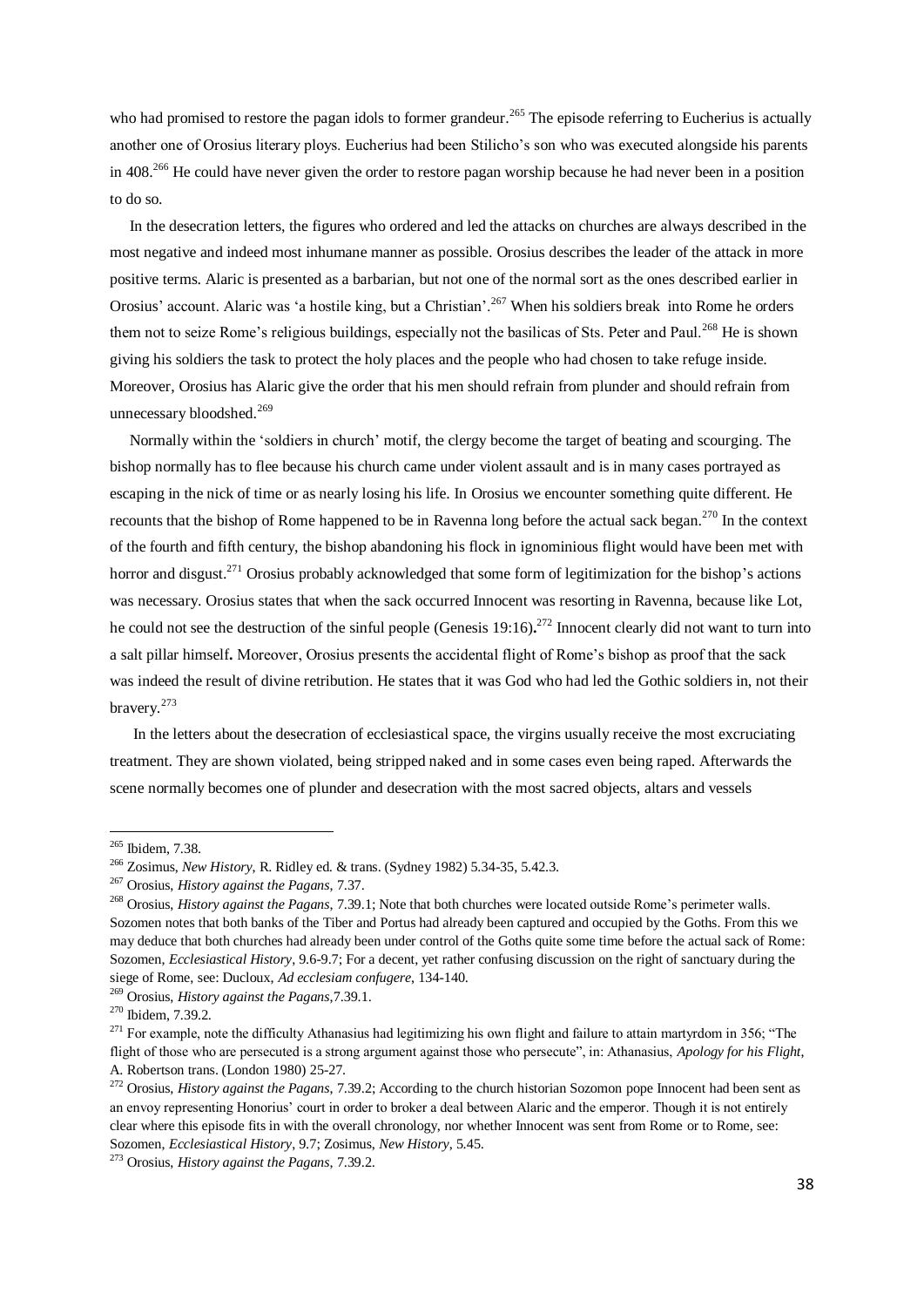who had promised to restore the pagan idols to former grandeur.<sup>265</sup> The episode referring to Eucherius is actually another one of Orosius literary ploys. Eucherius had been Stilicho's son who was executed alongside his parents in 408<sup>266</sup> He could have never given the order to restore pagan worship because he had never been in a position to do so.

 In the desecration letters, the figures who ordered and led the attacks on churches are always described in the most negative and indeed most inhumane manner as possible. Orosius describes the leader of the attack in more positive terms. Alaric is presented as a barbarian, but not one of the normal sort as the ones described earlier in Orosius' account. Alaric was 'a hostile king, but a Christian'.<sup>267</sup> When his soldiers break into Rome he orders them not to seize Rome's religious buildings, especially not the basilicas of Sts. Peter and Paul.<sup>268</sup> He is shown giving his soldiers the task to protect the holy places and the people who had chosen to take refuge inside. Moreover, Orosius has Alaric give the order that his men should refrain from plunder and should refrain from unnecessary bloodshed.<sup>269</sup>

 Normally within the 'soldiers in church' motif, the clergy become the target of beating and scourging. The bishop normally has to flee because his church came under violent assault and is in many cases portrayed as escaping in the nick of time or as nearly losing his life. In Orosius we encounter something quite different. He recounts that the bishop of Rome happened to be in Ravenna long before the actual sack began.<sup>270</sup> In the context of the fourth and fifth century, the bishop abandoning his flock in ignominious flight would have been met with horror and disgust.<sup>271</sup> Orosius probably acknowledged that some form of legitimization for the bishop's actions was necessary. Orosius states that when the sack occurred Innocent was resorting in Ravenna, because like Lot, he could not see the destruction of the sinful people (Genesis 19:16)**.** <sup>272</sup> Innocent clearly did not want to turn into a salt pillar himself**.** Moreover, Orosius presents the accidental flight of Rome's bishop as proof that the sack was indeed the result of divine retribution. He states that it was God who had led the Gothic soldiers in, not their bravery.<sup>273</sup>

 In the letters about the desecration of ecclesiastical space, the virgins usually receive the most excruciating treatment. They are shown violated, being stripped naked and in some cases even being raped. Afterwards the scene normally becomes one of plunder and desecration with the most sacred objects, altars and vessels

<sup>&</sup>lt;sup>265</sup> Ibidem, 7.38.

<sup>266</sup> Zosimus, *New History*, R. Ridley ed. & trans. (Sydney 1982) 5.34-35, 5.42.3.

<sup>267</sup> Orosius, *History against the Pagans*, 7.37.

<sup>268</sup> Orosius, *History against the Pagans*, 7.39.1; Note that both churches were located outside Rome's perimeter walls. Sozomen notes that both banks of the Tiber and Portus had already been captured and occupied by the Goths. From this we may deduce that both churches had already been under control of the Goths quite some time before the actual sack of Rome: Sozomen, *Ecclesiastical History*, 9.6-9.7; For a decent, yet rather confusing discussion on the right of sanctuary during the siege of Rome, see: Ducloux, *Ad ecclesiam confugere*, 134-140.

<sup>269</sup> Orosius, *History against the Pagans*,7.39.1.

<sup>270</sup> Ibidem, 7.39.2.

 $^{271}$  For example, note the difficulty Athanasius had legitimizing his own flight and failure to attain martyrdom in 356; "The flight of those who are persecuted is a strong argument against those who persecute", in: Athanasius, *Apology for his Flight*, A. Robertson trans. (London 1980) 25-27.

<sup>272</sup> Orosius, *History against the Pagans*, 7.39.2; According to the church historian Sozomon pope Innocent had been sent as an envoy representing Honorius' court in order to broker a deal between Alaric and the emperor. Though it is not entirely clear where this episode fits in with the overall chronology, nor whether Innocent was sent from Rome or to Rome, see: Sozomen, *Ecclesiastical History*, 9.7; Zosimus, *New History*, 5.45.

<sup>273</sup> Orosius, *History against the Pagans*, 7.39.2.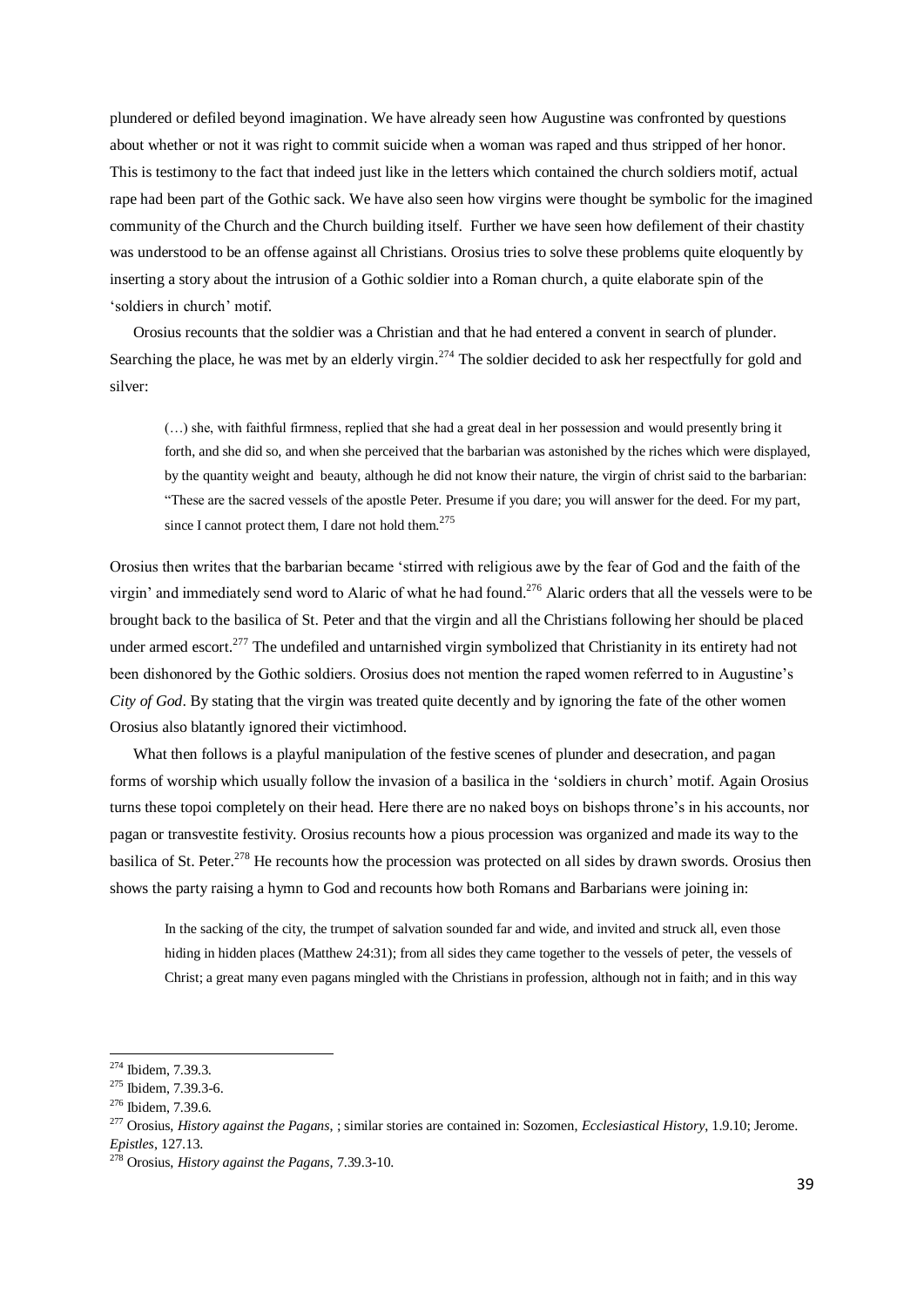plundered or defiled beyond imagination. We have already seen how Augustine was confronted by questions about whether or not it was right to commit suicide when a woman was raped and thus stripped of her honor. This is testimony to the fact that indeed just like in the letters which contained the church soldiers motif, actual rape had been part of the Gothic sack. We have also seen how virgins were thought be symbolic for the imagined community of the Church and the Church building itself. Further we have seen how defilement of their chastity was understood to be an offense against all Christians. Orosius tries to solve these problems quite eloquently by inserting a story about the intrusion of a Gothic soldier into a Roman church, a quite elaborate spin of the 'soldiers in church' motif.

 Orosius recounts that the soldier was a Christian and that he had entered a convent in search of plunder. Searching the place, he was met by an elderly virgin.<sup>274</sup> The soldier decided to ask her respectfully for gold and silver:

(…) she, with faithful firmness, replied that she had a great deal in her possession and would presently bring it forth, and she did so, and when she perceived that the barbarian was astonished by the riches which were displayed, by the quantity weight and beauty, although he did not know their nature, the virgin of christ said to the barbarian: "These are the sacred vessels of the apostle Peter. Presume if you dare; you will answer for the deed. For my part, since I cannot protect them, I dare not hold them.<sup>275</sup>

Orosius then writes that the barbarian became 'stirred with religious awe by the fear of God and the faith of the virgin' and immediately send word to Alaric of what he had found.<sup>276</sup> Alaric orders that all the vessels were to be brought back to the basilica of St. Peter and that the virgin and all the Christians following her should be placed under armed escort.<sup>277</sup> The undefiled and untarnished virgin symbolized that Christianity in its entirety had not been dishonored by the Gothic soldiers. Orosius does not mention the raped women referred to in Augustine's *City of God*. By stating that the virgin was treated quite decently and by ignoring the fate of the other women Orosius also blatantly ignored their victimhood.

 What then follows is a playful manipulation of the festive scenes of plunder and desecration, and pagan forms of worship which usually follow the invasion of a basilica in the 'soldiers in church' motif. Again Orosius turns these topoi completely on their head. Here there are no naked boys on bishops throne's in his accounts, nor pagan or transvestite festivity. Orosius recounts how a pious procession was organized and made its way to the basilica of St. Peter.<sup>278</sup> He recounts how the procession was protected on all sides by drawn swords. Orosius then shows the party raising a hymn to God and recounts how both Romans and Barbarians were joining in:

In the sacking of the city, the trumpet of salvation sounded far and wide, and invited and struck all, even those hiding in hidden places (Matthew 24:31); from all sides they came together to the vessels of peter, the vessels of Christ; a great many even pagans mingled with the Christians in profession, although not in faith; and in this way

 $274$  Ibidem, 7.39.3.

<sup>275</sup> Ibidem, 7.39.3-6.

<sup>276</sup> Ibidem, 7.39.6.

<sup>277</sup> Orosius, *History against the Pagans*, ; similar stories are contained in: Sozomen, *Ecclesiastical History*, 1.9.10; Jerome. *Epistles*, 127.13.

<sup>278</sup> Orosius, *History against the Pagans*, 7.39.3-10.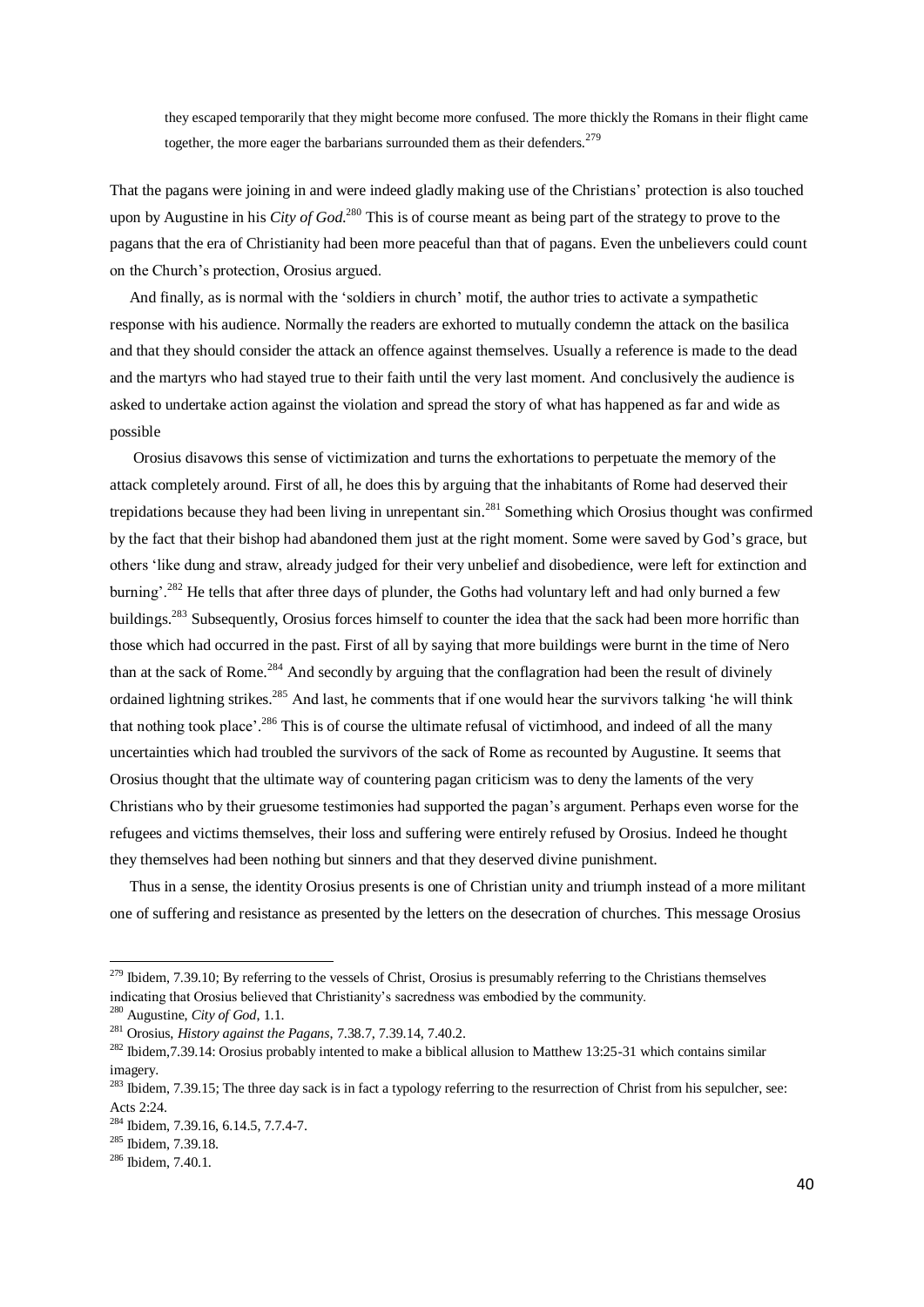they escaped temporarily that they might become more confused. The more thickly the Romans in their flight came together, the more eager the barbarians surrounded them as their defenders.<sup>279</sup>

That the pagans were joining in and were indeed gladly making use of the Christians' protection is also touched upon by Augustine in his *City of God*. <sup>280</sup> This is of course meant as being part of the strategy to prove to the pagans that the era of Christianity had been more peaceful than that of pagans. Even the unbelievers could count on the Church's protection, Orosius argued.

 And finally, as is normal with the 'soldiers in church' motif, the author tries to activate a sympathetic response with his audience. Normally the readers are exhorted to mutually condemn the attack on the basilica and that they should consider the attack an offence against themselves. Usually a reference is made to the dead and the martyrs who had stayed true to their faith until the very last moment. And conclusively the audience is asked to undertake action against the violation and spread the story of what has happened as far and wide as possible

 Orosius disavows this sense of victimization and turns the exhortations to perpetuate the memory of the attack completely around. First of all, he does this by arguing that the inhabitants of Rome had deserved their trepidations because they had been living in unrepentant  $\sin^{281}$  Something which Orosius thought was confirmed by the fact that their bishop had abandoned them just at the right moment. Some were saved by God's grace, but others 'like dung and straw, already judged for their very unbelief and disobedience, were left for extinction and burning'.<sup>282</sup> He tells that after three days of plunder, the Goths had voluntary left and had only burned a few buildings.<sup>283</sup> Subsequently, Orosius forces himself to counter the idea that the sack had been more horrific than those which had occurred in the past. First of all by saying that more buildings were burnt in the time of Nero than at the sack of Rome.<sup>284</sup> And secondly by arguing that the conflagration had been the result of divinely ordained lightning strikes.<sup>285</sup> And last, he comments that if one would hear the survivors talking 'he will think that nothing took place'.<sup>286</sup> This is of course the ultimate refusal of victimhood, and indeed of all the many uncertainties which had troubled the survivors of the sack of Rome as recounted by Augustine. It seems that Orosius thought that the ultimate way of countering pagan criticism was to deny the laments of the very Christians who by their gruesome testimonies had supported the pagan's argument. Perhaps even worse for the refugees and victims themselves, their loss and suffering were entirely refused by Orosius. Indeed he thought they themselves had been nothing but sinners and that they deserved divine punishment.

 Thus in a sense, the identity Orosius presents is one of Christian unity and triumph instead of a more militant one of suffering and resistance as presented by the letters on the desecration of churches. This message Orosius

 $279$  Ibidem, 7.39.10; By referring to the vessels of Christ, Orosius is presumably referring to the Christians themselves indicating that Orosius believed that Christianity's sacredness was embodied by the community.

<sup>280</sup> Augustine, *City of God*, 1.1.

<sup>281</sup> Orosius, *History against the Pagans*, 7.38.7, 7.39.14, 7.40.2.

 $282$  Ibidem, 7.39.14: Orosius probably intented to make a biblical allusion to Matthew 13:25-31 which contains similar imagery.

<sup>&</sup>lt;sup>283</sup> Ibidem, 7.39.15; The three day sack is in fact a typology referring to the resurrection of Christ from his sepulcher, see: Acts 2:24.

<sup>284</sup> Ibidem, 7.39.16, 6.14.5, 7.7.4-7.

<sup>285</sup> Ibidem, 7.39.18.

<sup>&</sup>lt;sup>286</sup> Ibidem, 7.40.1.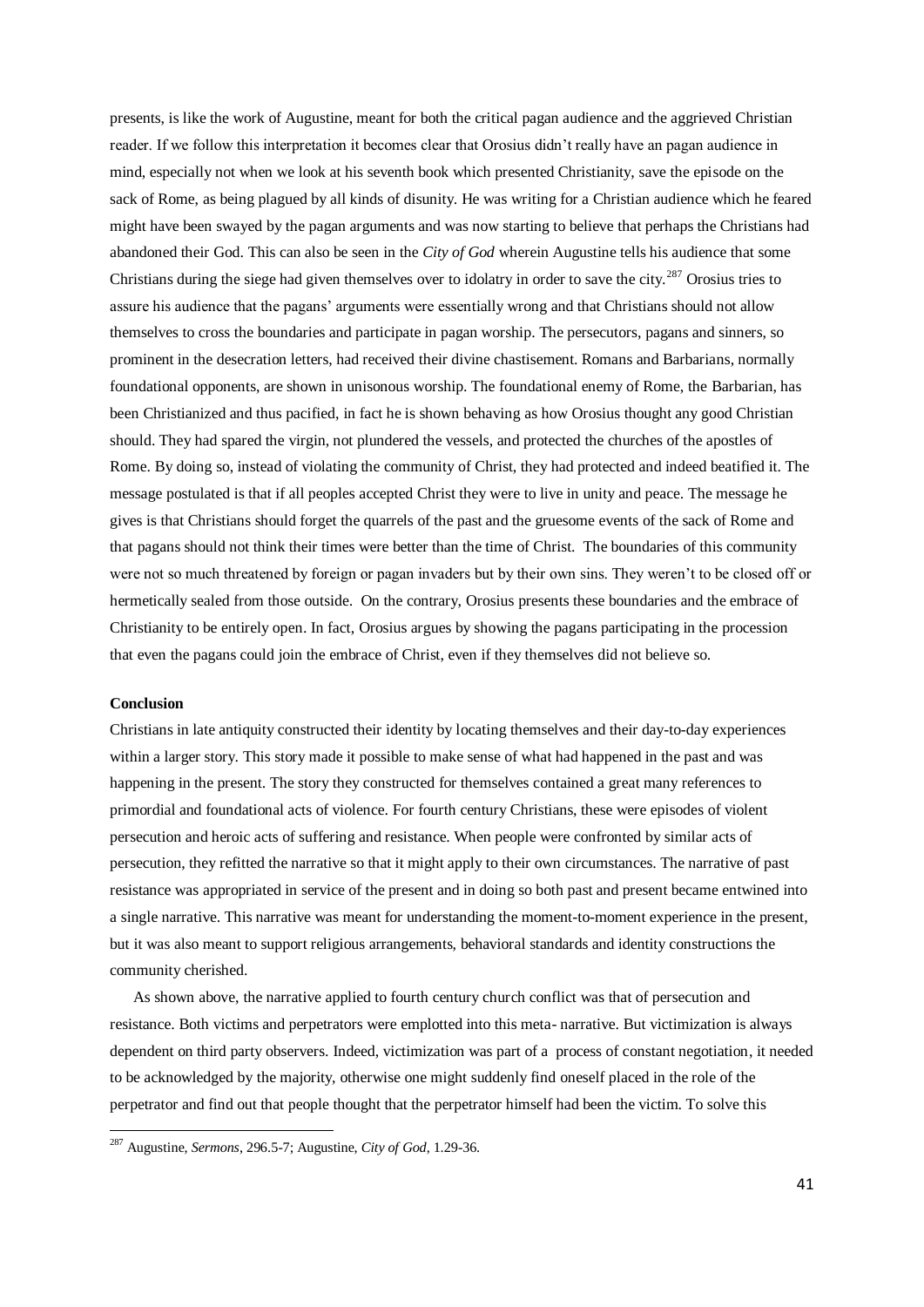presents, is like the work of Augustine, meant for both the critical pagan audience and the aggrieved Christian reader. If we follow this interpretation it becomes clear that Orosius didn't really have an pagan audience in mind, especially not when we look at his seventh book which presented Christianity, save the episode on the sack of Rome, as being plagued by all kinds of disunity. He was writing for a Christian audience which he feared might have been swayed by the pagan arguments and was now starting to believe that perhaps the Christians had abandoned their God. This can also be seen in the *City of God* wherein Augustine tells his audience that some Christians during the siege had given themselves over to idolatry in order to save the city.<sup>287</sup> Orosius tries to assure his audience that the pagans' arguments were essentially wrong and that Christians should not allow themselves to cross the boundaries and participate in pagan worship. The persecutors, pagans and sinners, so prominent in the desecration letters, had received their divine chastisement. Romans and Barbarians, normally foundational opponents, are shown in unisonous worship. The foundational enemy of Rome, the Barbarian, has been Christianized and thus pacified, in fact he is shown behaving as how Orosius thought any good Christian should. They had spared the virgin, not plundered the vessels, and protected the churches of the apostles of Rome. By doing so, instead of violating the community of Christ, they had protected and indeed beatified it. The message postulated is that if all peoples accepted Christ they were to live in unity and peace. The message he gives is that Christians should forget the quarrels of the past and the gruesome events of the sack of Rome and that pagans should not think their times were better than the time of Christ. The boundaries of this community were not so much threatened by foreign or pagan invaders but by their own sins. They weren't to be closed off or hermetically sealed from those outside. On the contrary, Orosius presents these boundaries and the embrace of Christianity to be entirely open. In fact, Orosius argues by showing the pagans participating in the procession that even the pagans could join the embrace of Christ, even if they themselves did not believe so.

# **Conclusion**

**.** 

Christians in late antiquity constructed their identity by locating themselves and their day-to-day experiences within a larger story. This story made it possible to make sense of what had happened in the past and was happening in the present. The story they constructed for themselves contained a great many references to primordial and foundational acts of violence. For fourth century Christians, these were episodes of violent persecution and heroic acts of suffering and resistance. When people were confronted by similar acts of persecution, they refitted the narrative so that it might apply to their own circumstances. The narrative of past resistance was appropriated in service of the present and in doing so both past and present became entwined into a single narrative. This narrative was meant for understanding the moment-to-moment experience in the present, but it was also meant to support religious arrangements, behavioral standards and identity constructions the community cherished.

 As shown above, the narrative applied to fourth century church conflict was that of persecution and resistance. Both victims and perpetrators were emplotted into this meta- narrative. But victimization is always dependent on third party observers. Indeed, victimization was part of a process of constant negotiation, it needed to be acknowledged by the majority, otherwise one might suddenly find oneself placed in the role of the perpetrator and find out that people thought that the perpetrator himself had been the victim. To solve this

<sup>287</sup> Augustine, *Sermons*, 296.5-7; Augustine, *City of God*, 1.29-36.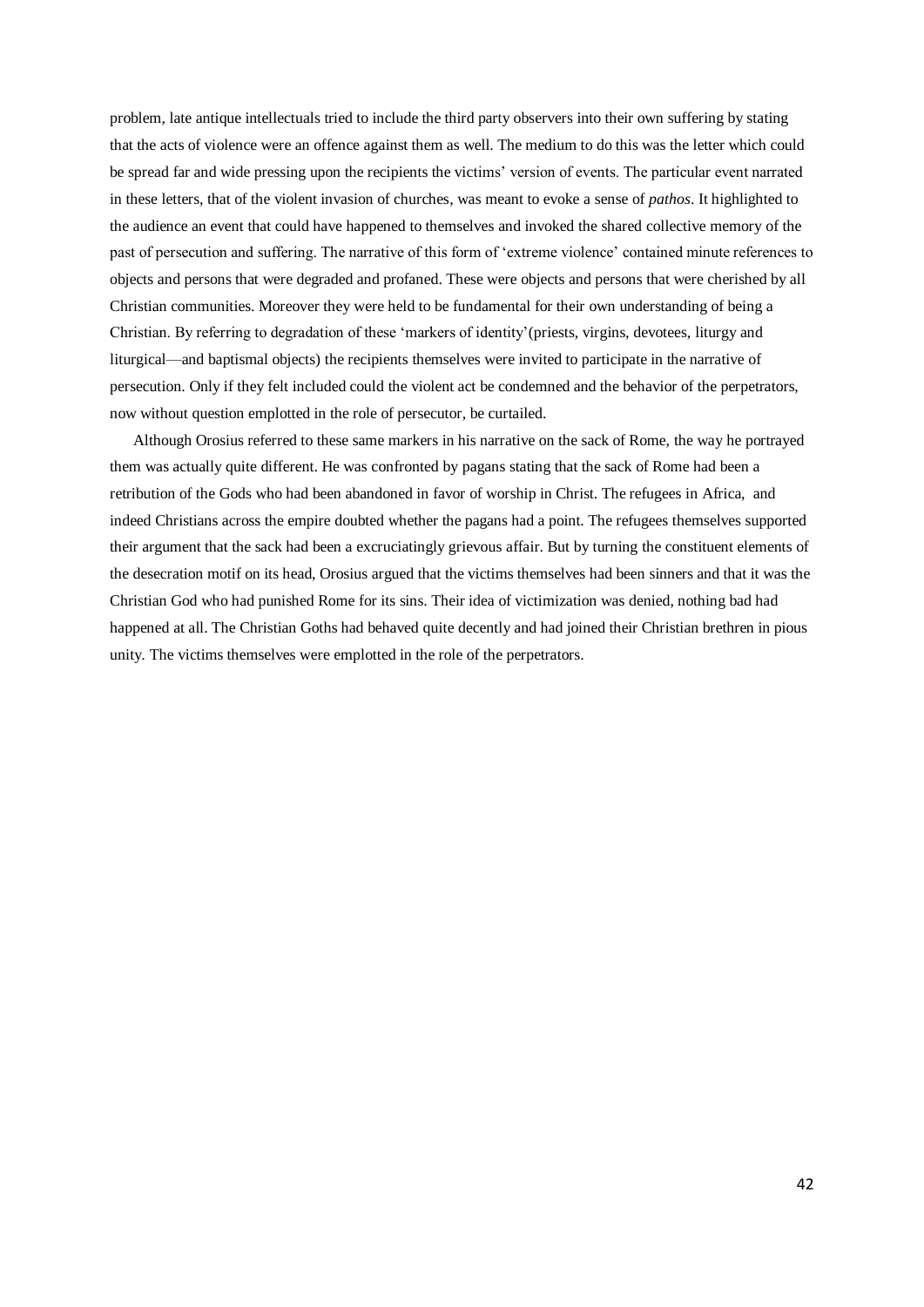problem, late antique intellectuals tried to include the third party observers into their own suffering by stating that the acts of violence were an offence against them as well. The medium to do this was the letter which could be spread far and wide pressing upon the recipients the victims' version of events. The particular event narrated in these letters, that of the violent invasion of churches, was meant to evoke a sense of *pathos*. It highlighted to the audience an event that could have happened to themselves and invoked the shared collective memory of the past of persecution and suffering. The narrative of this form of 'extreme violence' contained minute references to objects and persons that were degraded and profaned. These were objects and persons that were cherished by all Christian communities. Moreover they were held to be fundamental for their own understanding of being a Christian. By referring to degradation of these 'markers of identity'(priests, virgins, devotees, liturgy and liturgical—and baptismal objects) the recipients themselves were invited to participate in the narrative of persecution. Only if they felt included could the violent act be condemned and the behavior of the perpetrators, now without question emplotted in the role of persecutor, be curtailed.

 Although Orosius referred to these same markers in his narrative on the sack of Rome, the way he portrayed them was actually quite different. He was confronted by pagans stating that the sack of Rome had been a retribution of the Gods who had been abandoned in favor of worship in Christ. The refugees in Africa, and indeed Christians across the empire doubted whether the pagans had a point. The refugees themselves supported their argument that the sack had been a excruciatingly grievous affair. But by turning the constituent elements of the desecration motif on its head, Orosius argued that the victims themselves had been sinners and that it was the Christian God who had punished Rome for its sins. Their idea of victimization was denied, nothing bad had happened at all. The Christian Goths had behaved quite decently and had joined their Christian brethren in pious unity. The victims themselves were emplotted in the role of the perpetrators.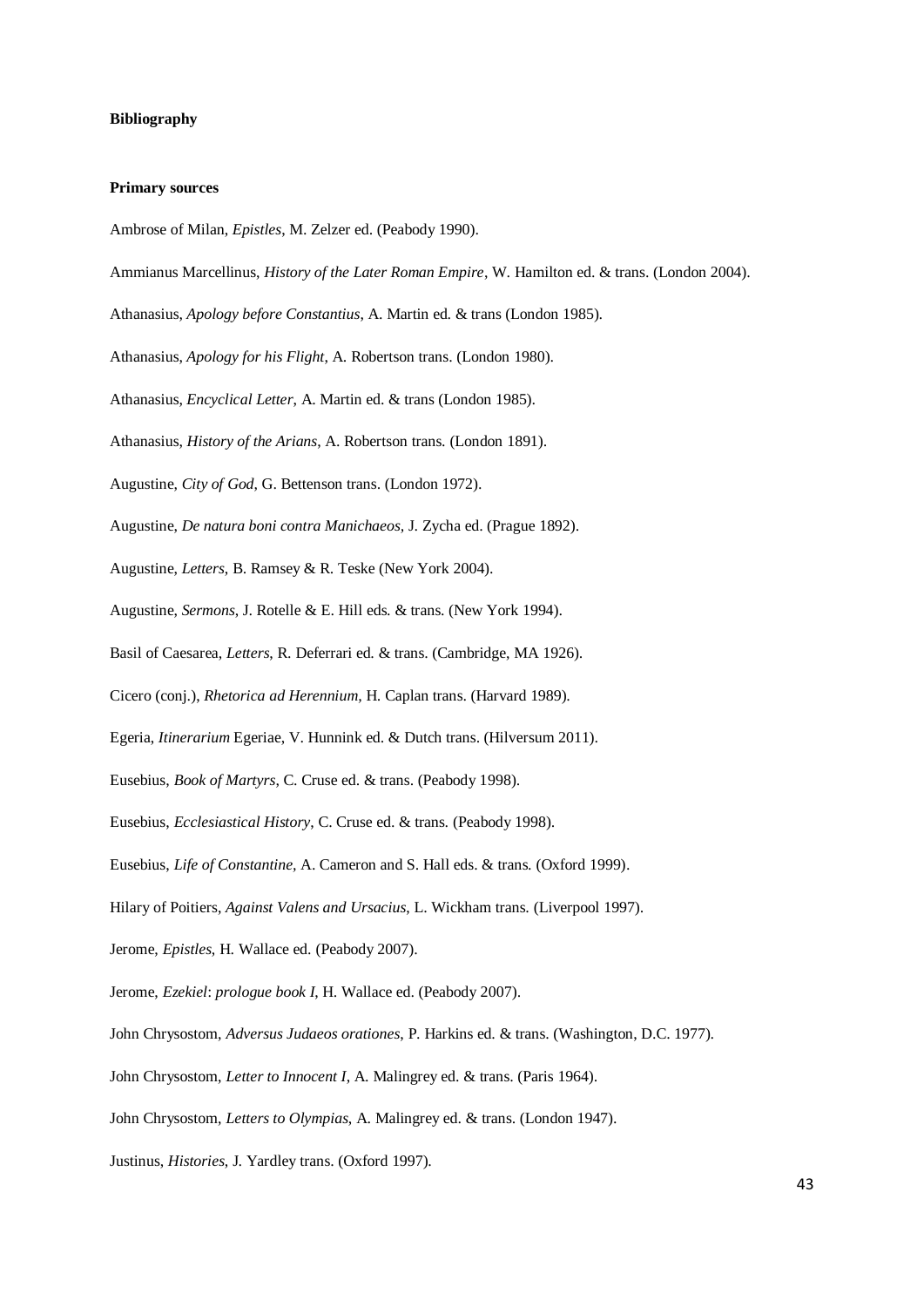#### **Bibliography**

#### **Primary sources**

- Ambrose of Milan, *Epistles*, M. Zelzer ed. (Peabody 1990).
- Ammianus Marcellinus, *History of the Later Roman Empire*, W. Hamilton ed. & trans. (London 2004).
- Athanasius, *Apology before Constantius*, A. Martin ed. & trans (London 1985).
- Athanasius, *Apology for his Flight*, A. Robertson trans. (London 1980).
- Athanasius, *Encyclical Letter*, A. Martin ed. & trans (London 1985).
- Athanasius, *History of the Arians*, A. Robertson trans. (London 1891).
- Augustine, *City of God*, G. Bettenson trans. (London 1972).
- Augustine, *De natura boni contra Manichaeos,* J. Zycha ed. (Prague 1892).
- Augustine, *Letters*, B. Ramsey & R. Teske (New York 2004).
- Augustine, *Sermons*, J. Rotelle & E. Hill eds. & trans. (New York 1994).
- Basil of Caesarea, *Letters*, R. Deferrari ed. & trans. (Cambridge, MA 1926).
- Cicero (conj.), *Rhetorica ad Herennium,* H. Caplan trans. (Harvard 1989).
- Egeria, *Itinerarium* Egeriae, V. Hunnink ed. & Dutch trans. (Hilversum 2011).
- Eusebius, *Book of Martyrs*, C. Cruse ed. & trans. (Peabody 1998).
- Eusebius, *Ecclesiastical History*, C. Cruse ed. & trans. (Peabody 1998).
- Eusebius, *Life of Constantine,* A. Cameron and S. Hall eds. & trans. (Oxford 1999).
- Hilary of Poitiers, *Against Valens and Ursacius*, L. Wickham trans. (Liverpool 1997).
- Jerome, *Epistles*, H. Wallace ed. (Peabody 2007).
- Jerome, *Ezekiel*: *prologue book I*, H. Wallace ed. (Peabody 2007).
- John Chrysostom, *Adversus Judaeos orationes*, P. Harkins ed. & trans. (Washington, D.C. 1977).
- John Chrysostom, *Letter to Innocent I*, A. Malingrey ed. & trans. (Paris 1964).
- John Chrysostom, *Letters to Olympias*, A. Malingrey ed. & trans. (London 1947).
- Justinus, *Histories*, J. Yardley trans. (Oxford 1997).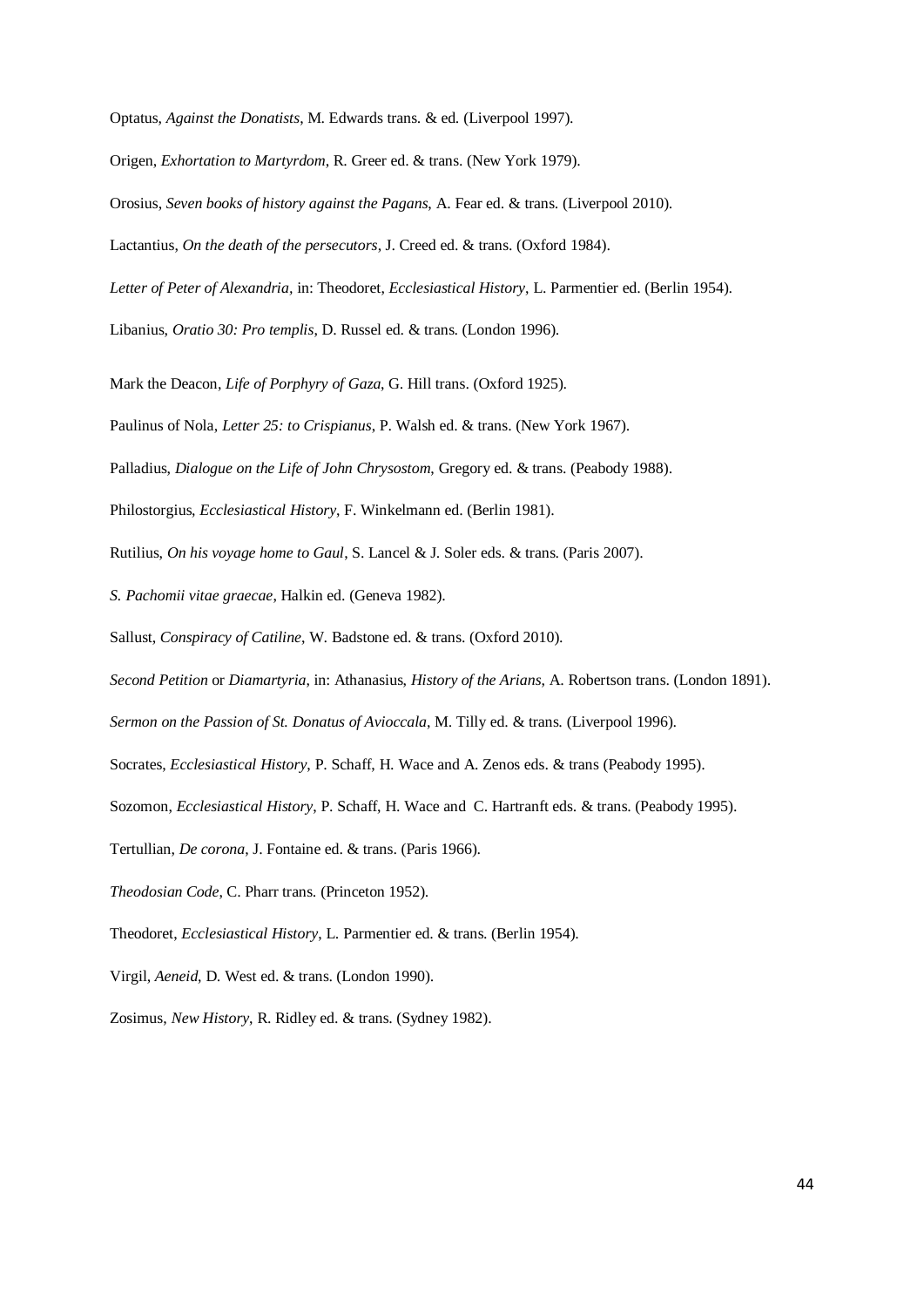Optatus, *Against the Donatists*, M. Edwards trans. & ed. (Liverpool 1997).

Origen, *Exhortation to Martyrdom*, R. Greer ed. & trans. (New York 1979).

Orosius, *Seven books of history against the Pagans*, A. Fear ed. & trans. (Liverpool 2010).

Lactantius, *On the death of the persecutors*, J. Creed ed. & trans. (Oxford 1984).

*Letter of Peter of Alexandria,* in: Theodoret, *Ecclesiastical History*, L. Parmentier ed. (Berlin 1954).

Libanius, *Oratio 30: Pro templis*, D. Russel ed. & trans. (London 1996).

Mark the Deacon, *Life of Porphyry of Gaza*, G. Hill trans. (Oxford 1925).

Paulinus of Nola, *Letter 25: to Crispianus*, P. Walsh ed. & trans. (New York 1967).

Palladius, *Dialogue on the Life of John Chrysostom*, Gregory ed. & trans. (Peabody 1988).

Philostorgius, *Ecclesiastical History*, F. Winkelmann ed. (Berlin 1981).

Rutilius, *On his voyage home to Gaul*, S. Lancel & J. Soler eds. & trans. (Paris 2007).

*S. Pachomii vitae graecae*, Halkin ed. (Geneva 1982).

Sallust, *Conspiracy of Catiline*, W. Badstone ed. & trans. (Oxford 2010).

*Second Petition* or *Diamartyria*, in: Athanasius, *History of the Arians*, A. Robertson trans. (London 1891).

*Sermon on the Passion of St. Donatus of Avioccala*, M. Tilly ed. & trans. (Liverpool 1996).

Socrates, *Ecclesiastical History*, P. Schaff, H. Wace and A. Zenos eds. & trans (Peabody 1995).

Sozomon, *Ecclesiastical History*, P. Schaff, H. Wace and C. Hartranft eds. & trans. (Peabody 1995).

Tertullian, *De corona*, J. Fontaine ed. & trans. (Paris 1966).

*Theodosian Code*, C. Pharr trans. (Princeton 1952).

Theodoret, *Ecclesiastical History*, L. Parmentier ed. & trans. (Berlin 1954).

Virgil, *Aeneid*, D. West ed. & trans. (London 1990).

Zosimus, *New History*, R. Ridley ed. & trans. (Sydney 1982).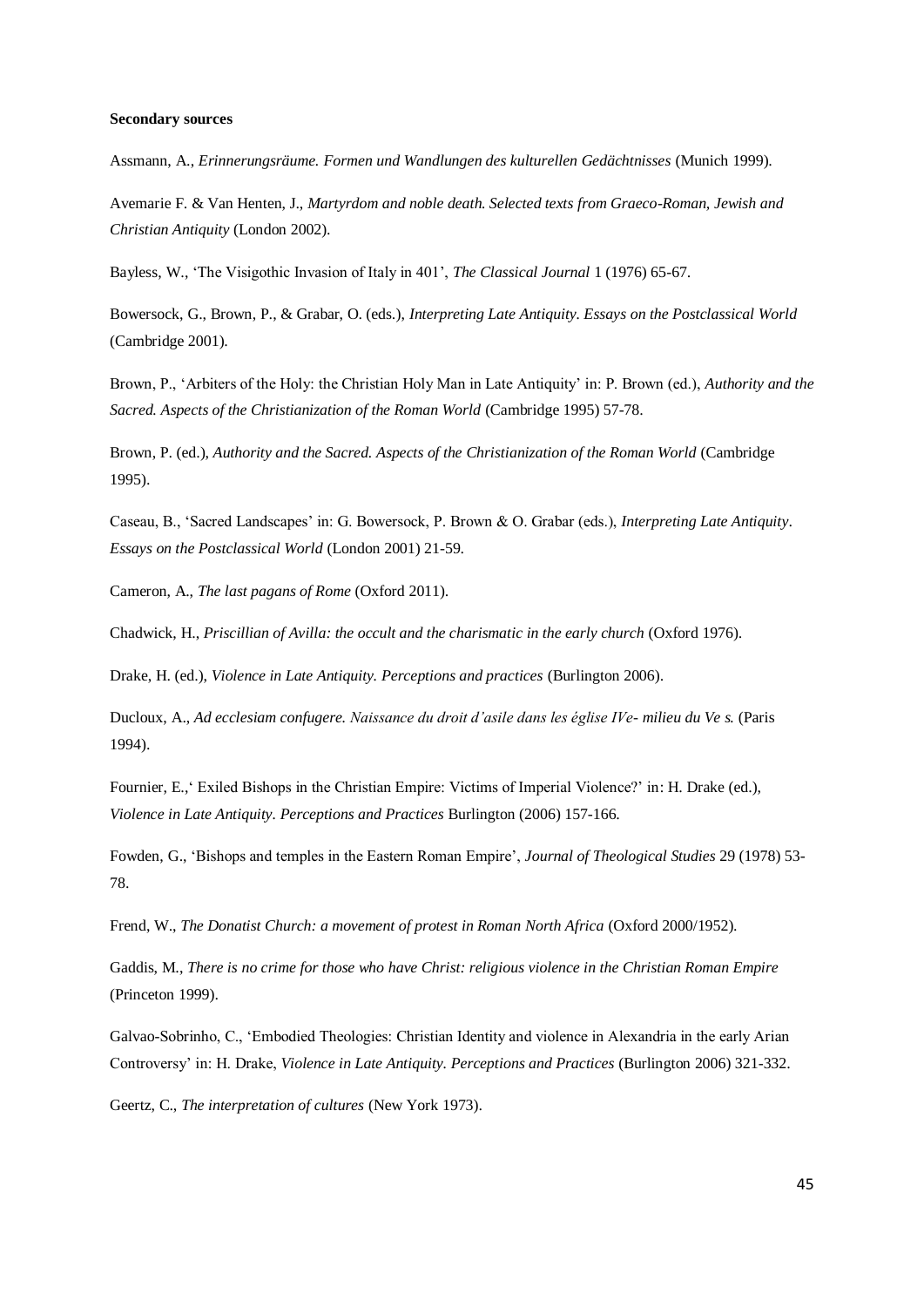#### **Secondary sources**

Assmann, A., *Erinnerungsräume. Formen und Wandlungen des kulturellen Gedächtnisses* (Munich 1999).

Avemarie F. & Van Henten, J., *Martyrdom and noble death. Selected texts from Graeco-Roman, Jewish and Christian Antiquity* (London 2002).

Bayless, W., 'The Visigothic Invasion of Italy in 401', *The Classical Journal* 1 (1976) 65-67.

Bowersock, G., Brown, P., & Grabar, O. (eds.), *Interpreting Late Antiquity. Essays on the Postclassical World* (Cambridge 2001).

Brown, P., 'Arbiters of the Holy: the Christian Holy Man in Late Antiquity' in: P. Brown (ed.), *Authority and the Sacred. Aspects of the Christianization of the Roman World* (Cambridge 1995) 57-78.

Brown, P. (ed.), *Authority and the Sacred. Aspects of the Christianization of the Roman World* (Cambridge 1995).

Caseau, B., 'Sacred Landscapes' in: G. Bowersock, P. Brown & O. Grabar (eds.), *Interpreting Late Antiquity*. *Essays on the Postclassical World* (London 2001) 21-59.

Cameron, A., *The last pagans of Rome* (Oxford 2011).

Chadwick, H., *Priscillian of Avilla: the occult and the charismatic in the early church* (Oxford 1976).

Drake, H. (ed.), *Violence in Late Antiquity. Perceptions and practices* (Burlington 2006).

Ducloux, A., *Ad ecclesiam confugere. Naissance du droit d'asile dans les église IVe- milieu du Ve s.* (Paris 1994).

Fournier, E.,' Exiled Bishops in the Christian Empire: Victims of Imperial Violence?' in: H. Drake (ed.), *Violence in Late Antiquity. Perceptions and Practices* Burlington (2006) 157-166.

Fowden, G., 'Bishops and temples in the Eastern Roman Empire', *Journal of Theological Studies* 29 (1978) 53- 78.

Frend, W., *The Donatist Church: a movement of protest in Roman North Africa* (Oxford 2000/1952).

Gaddis, M., *There is no crime for those who have Christ: religious violence in the Christian Roman Empire*  (Princeton 1999).

Galvao-Sobrinho, C., 'Embodied Theologies: Christian Identity and violence in Alexandria in the early Arian Controversy' in: H. Drake, *Violence in Late Antiquity. Perceptions and Practices* (Burlington 2006) 321-332.

Geertz, C., *The interpretation of cultures* (New York 1973).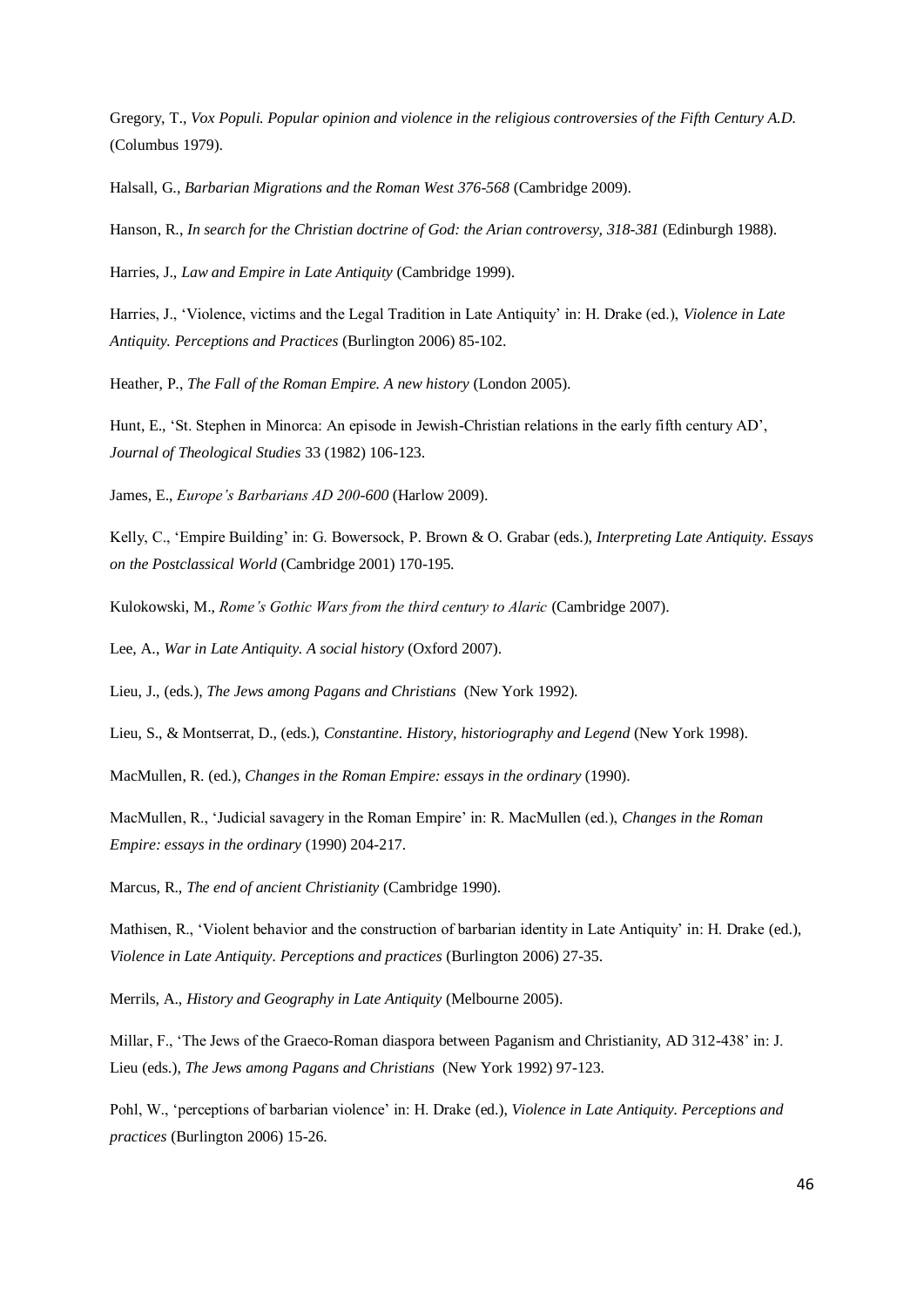Gregory, T., *Vox Populi. Popular opinion and violence in the religious controversies of the Fifth Century A.D.*  (Columbus 1979).

Halsall, G., *Barbarian Migrations and the Roman West 376-568* (Cambridge 2009).

Hanson, R., *In search for the Christian doctrine of God: the Arian controversy, 318-381* (Edinburgh 1988).

Harries, J., *Law and Empire in Late Antiquity* (Cambridge 1999).

Harries, J., 'Violence, victims and the Legal Tradition in Late Antiquity' in: H. Drake (ed.), *Violence in Late Antiquity. Perceptions and Practices* (Burlington 2006) 85-102.

Heather, P., *The Fall of the Roman Empire. A new history* (London 2005).

Hunt, E., 'St. Stephen in Minorca: An episode in Jewish-Christian relations in the early fifth century AD', *Journal of Theological Studies* 33 (1982) 106-123.

James, E., *Europe's Barbarians AD 200-600* (Harlow 2009).

Kelly, C., 'Empire Building' in: G. Bowersock, P. Brown & O. Grabar (eds.), *Interpreting Late Antiquity. Essays on the Postclassical World* (Cambridge 2001) 170-195.

Kulokowski, M., *Rome's Gothic Wars from the third century to Alaric* (Cambridge 2007).

Lee, A., *War in Late Antiquity. A social history* (Oxford 2007).

Lieu, J., (eds.), *The Jews among Pagans and Christians* (New York 1992).

Lieu, S., & Montserrat, D., (eds.), *Constantine. History, historiography and Legend* (New York 1998).

MacMullen, R. (ed.), *Changes in the Roman Empire: essays in the ordinary* (1990).

MacMullen, R., 'Judicial savagery in the Roman Empire' in: R. MacMullen (ed.), *Changes in the Roman Empire: essays in the ordinary* (1990) 204-217.

Marcus, R., *The end of ancient Christianity* (Cambridge 1990).

Mathisen, R., 'Violent behavior and the construction of barbarian identity in Late Antiquity' in: H. Drake (ed.), *Violence in Late Antiquity. Perceptions and practices* (Burlington 2006) 27-35.

Merrils, A., *History and Geography in Late Antiquity* (Melbourne 2005).

Millar, F., 'The Jews of the Graeco-Roman diaspora between Paganism and Christianity, AD 312-438' in: J. Lieu (eds.), *The Jews among Pagans and Christians* (New York 1992) 97-123.

Pohl, W., 'perceptions of barbarian violence' in: H. Drake (ed.), *Violence in Late Antiquity. Perceptions and practices* (Burlington 2006) 15-26.